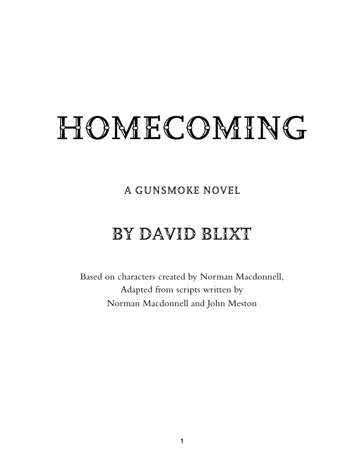# HOMECOMING A Gunsmoke Novel

# by David Blixt

Based on characters created by Norman Macdonnell, Adapted from scripts written by Norman Macdonnell and John Meston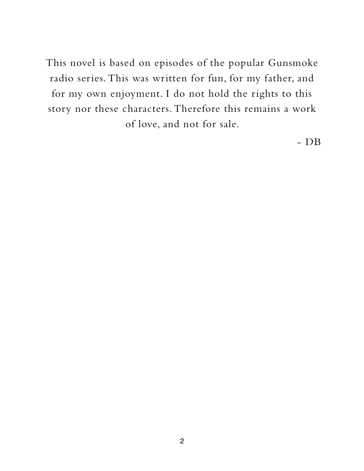This novel is based on episodes of the popular Gunsmoke radio series. This was written for fun, for my father, and for my own enjoyment. I do not hold the rights to this story nor these characters. Therefore this remains a work of love, and not for sale.

- DB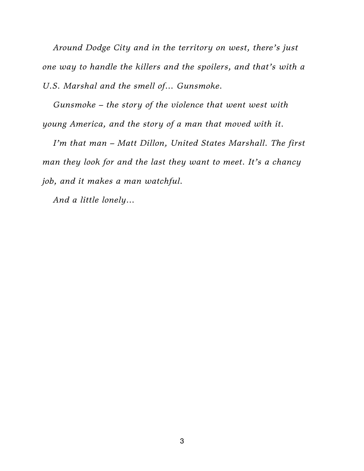*Around Dodge City and in the territory on west, there's just one way to handle the killers and the spoilers, and that's with a U.S. Marshal and the smell of… Gunsmoke.* 

*Gunsmoke – the story of the violence that went west with young America, and the story of a man that moved with it.* 

*I'm that man – Matt Dillon, United States Marshall. The first man they look for and the last they want to meet. It's a chancy job, and it makes a man watchful.* 

*And a little lonely…*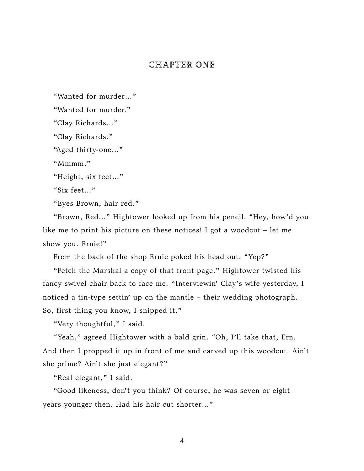# Chapter One

"Wanted for murder…"

"Wanted for murder."

"Clay Richards…"

"Clay Richards."

"Aged thirty-one…"

"Mmmm."

"Height, six feet…"

"Six feet…"

"Eyes Brown, hair red."

"Brown, Red…" Hightower looked up from his pencil. "Hey, how'd you like me to print his picture on these notices! I got a woodcut – let me show you. Ernie!"

From the back of the shop Ernie poked his head out. "Yep?"

"Fetch the Marshal a copy of that front page." Hightower twisted his fancy swivel chair back to face me. "Interviewin' Clay's wife yesterday, I noticed a tin-type settin' up on the mantle – their wedding photograph. So, first thing you know, I snipped it."

"Very thoughtful," I said.

"Yeah," agreed Hightower with a bald grin. "Oh, I'll take that, Ern. And then I propped it up in front of me and carved up this woodcut. Ain't she prime? Ain't she just elegant?"

"Real elegant," I said.

"Good likeness, don't you think? Of course, he was seven or eight years younger then. Had his hair cut shorter…"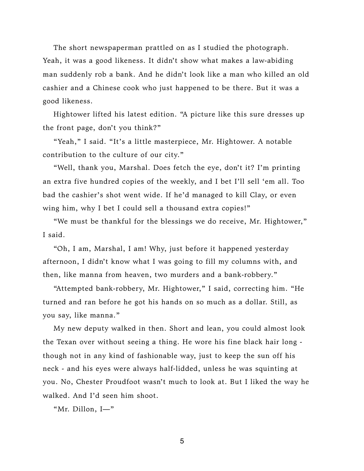The short newspaperman prattled on as I studied the photograph. Yeah, it was a good likeness. It didn't show what makes a law-abiding man suddenly rob a bank. And he didn't look like a man who killed an old cashier and a Chinese cook who just happened to be there. But it was a good likeness.

Hightower lifted his latest edition. "A picture like this sure dresses up the front page, don't you think?"

"Yeah," I said. "It's a little masterpiece, Mr. Hightower. A notable contribution to the culture of our city."

"Well, thank you, Marshal. Does fetch the eye, don't it? I'm printing an extra five hundred copies of the weekly, and I bet I'll sell 'em all. Too bad the cashier's shot went wide. If he'd managed to kill Clay, or even wing him, why I bet I could sell a thousand extra copies!"

"We must be thankful for the blessings we do receive, Mr. Hightower," I said.

"Oh, I am, Marshal, I am! Why, just before it happened yesterday afternoon, I didn't know what I was going to fill my columns with, and then, like manna from heaven, two murders and a bank-robbery."

"Attempted bank-robbery, Mr. Hightower," I said, correcting him. "He turned and ran before he got his hands on so much as a dollar. Still, as you say, like manna."

My new deputy walked in then. Short and lean, you could almost look the Texan over without seeing a thing. He wore his fine black hair long though not in any kind of fashionable way, just to keep the sun off his neck - and his eyes were always half-lidded, unless he was squinting at you. No, Chester Proudfoot wasn't much to look at. But I liked the way he walked. And I'd seen him shoot.

"Mr. Dillon, I—"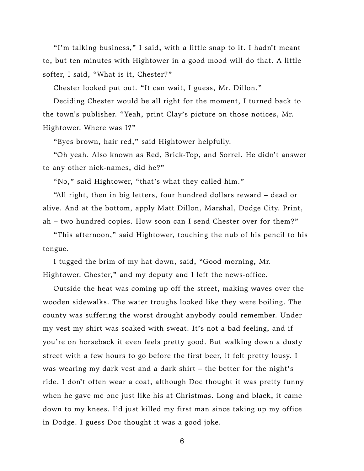"I'm talking business," I said, with a little snap to it. I hadn't meant to, but ten minutes with Hightower in a good mood will do that. A little softer, I said, "What is it, Chester?"

Chester looked put out. "It can wait, I guess, Mr. Dillon."

Deciding Chester would be all right for the moment, I turned back to the town's publisher. "Yeah, print Clay's picture on those notices, Mr. Hightower. Where was I?"

"Eyes brown, hair red," said Hightower helpfully.

"Oh yeah. Also known as Red, Brick-Top, and Sorrel. He didn't answer to any other nick-names, did he?"

"No," said Hightower, "that's what they called him."

"All right, then in big letters, four hundred dollars reward – dead or alive. And at the bottom, apply Matt Dillon, Marshal, Dodge City. Print, ah – two hundred copies. How soon can I send Chester over for them?"

"This afternoon," said Hightower, touching the nub of his pencil to his tongue.

I tugged the brim of my hat down, said, "Good morning, Mr. Hightower. Chester," and my deputy and I left the news-office.

Outside the heat was coming up off the street, making waves over the wooden sidewalks. The water troughs looked like they were boiling. The county was suffering the worst drought anybody could remember. Under my vest my shirt was soaked with sweat. It's not a bad feeling, and if you're on horseback it even feels pretty good. But walking down a dusty street with a few hours to go before the first beer, it felt pretty lousy. I was wearing my dark vest and a dark shirt – the better for the night's ride. I don't often wear a coat, although Doc thought it was pretty funny when he gave me one just like his at Christmas. Long and black, it came down to my knees. I'd just killed my first man since taking up my office in Dodge. I guess Doc thought it was a good joke.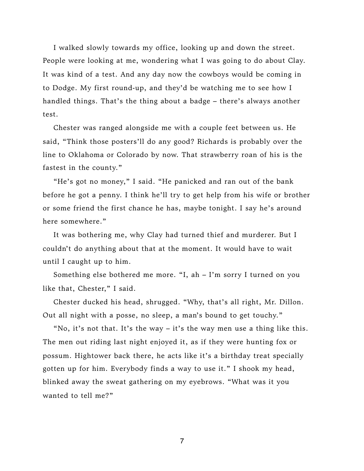I walked slowly towards my office, looking up and down the street. People were looking at me, wondering what I was going to do about Clay. It was kind of a test. And any day now the cowboys would be coming in to Dodge. My first round-up, and they'd be watching me to see how I handled things. That's the thing about a badge – there's always another test.

Chester was ranged alongside me with a couple feet between us. He said, "Think those posters'll do any good? Richards is probably over the line to Oklahoma or Colorado by now. That strawberry roan of his is the fastest in the county."

"He's got no money," I said. "He panicked and ran out of the bank before he got a penny. I think he'll try to get help from his wife or brother or some friend the first chance he has, maybe tonight. I say he's around here somewhere."

It was bothering me, why Clay had turned thief and murderer. But I couldn't do anything about that at the moment. It would have to wait until I caught up to him.

Something else bothered me more. "I, ah – I'm sorry I turned on you like that, Chester," I said.

Chester ducked his head, shrugged. "Why, that's all right, Mr. Dillon. Out all night with a posse, no sleep, a man's bound to get touchy."

"No, it's not that. It's the way – it's the way men use a thing like this. The men out riding last night enjoyed it, as if they were hunting fox or possum. Hightower back there, he acts like it's a birthday treat specially gotten up for him. Everybody finds a way to use it." I shook my head, blinked away the sweat gathering on my eyebrows. "What was it you wanted to tell me?"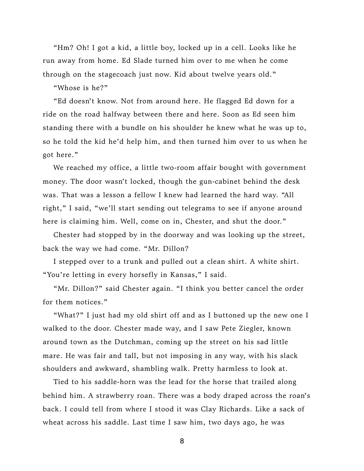"Hm? Oh! I got a kid, a little boy, locked up in a cell. Looks like he run away from home. Ed Slade turned him over to me when he come through on the stagecoach just now. Kid about twelve years old."

"Whose is he?"

"Ed doesn't know. Not from around here. He flagged Ed down for a ride on the road halfway between there and here. Soon as Ed seen him standing there with a bundle on his shoulder he knew what he was up to, so he told the kid he'd help him, and then turned him over to us when he got here."

We reached my office, a little two-room affair bought with government money. The door wasn't locked, though the gun-cabinet behind the desk was. That was a lesson a fellow I knew had learned the hard way. "All right," I said, "we'll start sending out telegrams to see if anyone around here is claiming him. Well, come on in, Chester, and shut the door."

Chester had stopped by in the doorway and was looking up the street, back the way we had come. "Mr. Dillon?

I stepped over to a trunk and pulled out a clean shirt. A white shirt. "You're letting in every horsefly in Kansas," I said.

"Mr. Dillon?" said Chester again. "I think you better cancel the order for them notices."

"What?" I just had my old shirt off and as I buttoned up the new one I walked to the door. Chester made way, and I saw Pete Ziegler, known around town as the Dutchman, coming up the street on his sad little mare. He was fair and tall, but not imposing in any way, with his slack shoulders and awkward, shambling walk. Pretty harmless to look at.

Tied to his saddle-horn was the lead for the horse that trailed along behind him. A strawberry roan. There was a body draped across the roan's back. I could tell from where I stood it was Clay Richards. Like a sack of wheat across his saddle. Last time I saw him, two days ago, he was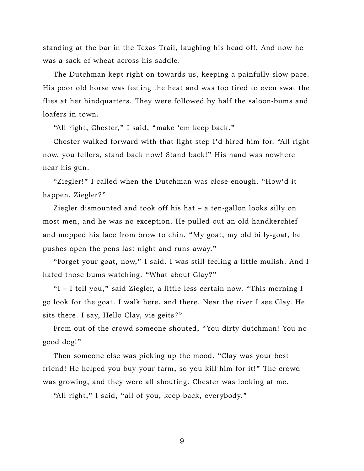standing at the bar in the Texas Trail, laughing his head off. And now he was a sack of wheat across his saddle.

The Dutchman kept right on towards us, keeping a painfully slow pace. His poor old horse was feeling the heat and was too tired to even swat the flies at her hindquarters. They were followed by half the saloon-bums and loafers in town.

"All right, Chester," I said, "make 'em keep back."

Chester walked forward with that light step I'd hired him for. "All right now, you fellers, stand back now! Stand back!" His hand was nowhere near his gun.

"Ziegler!" I called when the Dutchman was close enough. "How'd it happen, Ziegler?"

Ziegler dismounted and took off his hat – a ten-gallon looks silly on most men, and he was no exception. He pulled out an old handkerchief and mopped his face from brow to chin. "My goat, my old billy-goat, he pushes open the pens last night and runs away."

"Forget your goat, now," I said. I was still feeling a little mulish. And I hated those bums watching. "What about Clay?"

"I – I tell you," said Ziegler, a little less certain now. "This morning I go look for the goat. I walk here, and there. Near the river I see Clay. He sits there. I say, Hello Clay, vie geits?"

From out of the crowd someone shouted, "You dirty dutchman! You no good dog!"

Then someone else was picking up the mood. "Clay was your best friend! He helped you buy your farm, so you kill him for it!" The crowd was growing, and they were all shouting. Chester was looking at me.

"All right," I said, "all of you, keep back, everybody."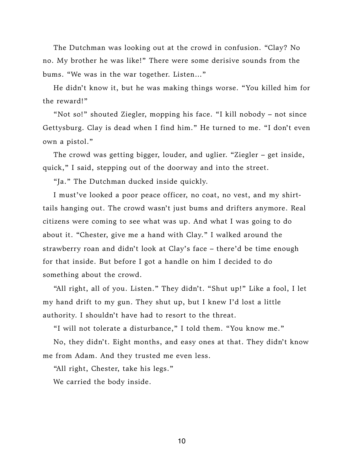The Dutchman was looking out at the crowd in confusion. "Clay? No no. My brother he was like!" There were some derisive sounds from the bums. "We was in the war together. Listen…"

He didn't know it, but he was making things worse. "You killed him for the reward!"

"Not so!" shouted Ziegler, mopping his face. "I kill nobody – not since Gettysburg. Clay is dead when I find him." He turned to me. "I don't even own a pistol."

The crowd was getting bigger, louder, and uglier. "Ziegler – get inside, quick," I said, stepping out of the doorway and into the street.

"Ja." The Dutchman ducked inside quickly.

I must've looked a poor peace officer, no coat, no vest, and my shirttails hanging out. The crowd wasn't just bums and drifters anymore. Real citizens were coming to see what was up. And what I was going to do about it. "Chester, give me a hand with Clay." I walked around the strawberry roan and didn't look at Clay's face – there'd be time enough for that inside. But before I got a handle on him I decided to do something about the crowd.

"All right, all of you. Listen." They didn't. "Shut up!" Like a fool, I let my hand drift to my gun. They shut up, but I knew I'd lost a little authority. I shouldn't have had to resort to the threat.

"I will not tolerate a disturbance," I told them. "You know me."

No, they didn't. Eight months, and easy ones at that. They didn't know me from Adam. And they trusted me even less.

"All right, Chester, take his legs."

We carried the body inside.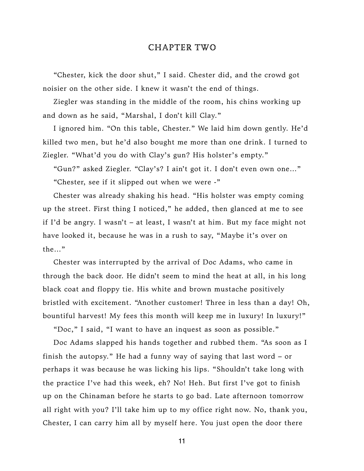# Chapter Two

"Chester, kick the door shut," I said. Chester did, and the crowd got noisier on the other side. I knew it wasn't the end of things.

Ziegler was standing in the middle of the room, his chins working up and down as he said, "Marshal, I don't kill Clay."

I ignored him. "On this table, Chester." We laid him down gently. He'd killed two men, but he'd also bought me more than one drink. I turned to Ziegler. "What'd you do with Clay's gun? His holster's empty."

"Gun?" asked Ziegler. "Clay's? I ain't got it. I don't even own one…" "Chester, see if it slipped out when we were -"

Chester was already shaking his head. "His holster was empty coming up the street. First thing I noticed," he added, then glanced at me to see if I'd be angry. I wasn't – at least, I wasn't at him. But my face might not have looked it, because he was in a rush to say, "Maybe it's over on the…"

Chester was interrupted by the arrival of Doc Adams, who came in through the back door. He didn't seem to mind the heat at all, in his long black coat and floppy tie. His white and brown mustache positively bristled with excitement. "Another customer! Three in less than a day! Oh, bountiful harvest! My fees this month will keep me in luxury! In luxury!"

"Doc," I said, "I want to have an inquest as soon as possible."

Doc Adams slapped his hands together and rubbed them. "As soon as I finish the autopsy." He had a funny way of saying that last word – or perhaps it was because he was licking his lips. "Shouldn't take long with the practice I've had this week, eh? No! Heh. But first I've got to finish up on the Chinaman before he starts to go bad. Late afternoon tomorrow all right with you? I'll take him up to my office right now. No, thank you, Chester, I can carry him all by myself here. You just open the door there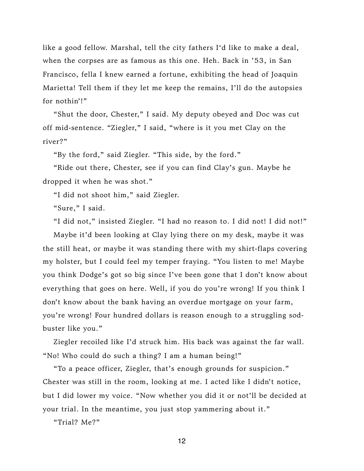like a good fellow. Marshal, tell the city fathers I'd like to make a deal, when the corpses are as famous as this one. Heh. Back in '53, in San Francisco, fella I knew earned a fortune, exhibiting the head of Joaquin Marietta! Tell them if they let me keep the remains, I'll do the autopsies for nothin'!"

"Shut the door, Chester," I said. My deputy obeyed and Doc was cut off mid-sentence. "Ziegler," I said, "where is it you met Clay on the river?"

"By the ford," said Ziegler. "This side, by the ford."

"Ride out there, Chester, see if you can find Clay's gun. Maybe he dropped it when he was shot."

"I did not shoot him," said Ziegler.

"Sure," I said.

"I did not," insisted Ziegler. "I had no reason to. I did not! I did not!"

Maybe it'd been looking at Clay lying there on my desk, maybe it was the still heat, or maybe it was standing there with my shirt-flaps covering my holster, but I could feel my temper fraying. "You listen to me! Maybe you think Dodge's got so big since I've been gone that I don't know about everything that goes on here. Well, if you do you're wrong! If you think I don't know about the bank having an overdue mortgage on your farm, you're wrong! Four hundred dollars is reason enough to a struggling sodbuster like you."

Ziegler recoiled like I'd struck him. His back was against the far wall. "No! Who could do such a thing? I am a human being!"

"To a peace officer, Ziegler, that's enough grounds for suspicion." Chester was still in the room, looking at me. I acted like I didn't notice, but I did lower my voice. "Now whether you did it or not'll be decided at your trial. In the meantime, you just stop yammering about it."

"Trial? Me?"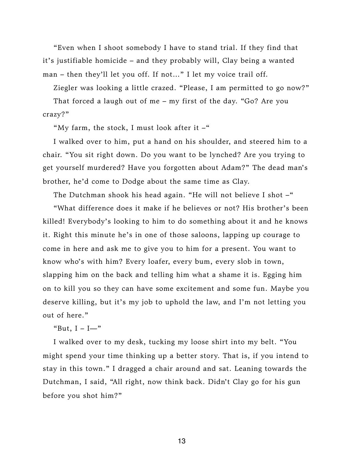"Even when I shoot somebody I have to stand trial. If they find that it's justifiable homicide – and they probably will, Clay being a wanted man – then they'll let you off. If not…" I let my voice trail off.

Ziegler was looking a little crazed. "Please, I am permitted to go now?"

That forced a laugh out of me – my first of the day. "Go? Are you crazy?"

"My farm, the stock, I must look after it  $-$ "

I walked over to him, put a hand on his shoulder, and steered him to a chair. "You sit right down. Do you want to be lynched? Are you trying to get yourself murdered? Have you forgotten about Adam?" The dead man's brother, he'd come to Dodge about the same time as Clay.

The Dutchman shook his head again. "He will not believe I shot  $-$ "

"What difference does it make if he believes or not? His brother's been killed! Everybody's looking to him to do something about it and he knows it. Right this minute he's in one of those saloons, lapping up courage to come in here and ask me to give you to him for a present. You want to know who's with him? Every loafer, every bum, every slob in town, slapping him on the back and telling him what a shame it is. Egging him on to kill you so they can have some excitement and some fun. Maybe you deserve killing, but it's my job to uphold the law, and I'm not letting you out of here."

"But,  $I - I$ —"

I walked over to my desk, tucking my loose shirt into my belt. "You might spend your time thinking up a better story. That is, if you intend to stay in this town." I dragged a chair around and sat. Leaning towards the Dutchman, I said, "All right, now think back. Didn't Clay go for his gun before you shot him?"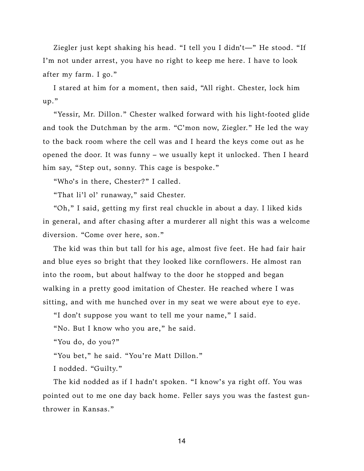Ziegler just kept shaking his head. "I tell you I didn't—" He stood. "If I'm not under arrest, you have no right to keep me here. I have to look after my farm. I go."

I stared at him for a moment, then said, "All right. Chester, lock him up."

"Yessir, Mr. Dillon." Chester walked forward with his light-footed glide and took the Dutchman by the arm. "C'mon now, Ziegler." He led the way to the back room where the cell was and I heard the keys come out as he opened the door. It was funny – we usually kept it unlocked. Then I heard him say, "Step out, sonny. This cage is bespoke."

"Who's in there, Chester?" I called.

"That li'l ol' runaway," said Chester.

"Oh," I said, getting my first real chuckle in about a day. I liked kids in general, and after chasing after a murderer all night this was a welcome diversion. "Come over here, son."

The kid was thin but tall for his age, almost five feet. He had fair hair and blue eyes so bright that they looked like cornflowers. He almost ran into the room, but about halfway to the door he stopped and began walking in a pretty good imitation of Chester. He reached where I was sitting, and with me hunched over in my seat we were about eye to eye.

"I don't suppose you want to tell me your name," I said.

"No. But I know who you are," he said.

"You do, do you?"

"You bet," he said. "You're Matt Dillon."

I nodded. "Guilty."

The kid nodded as if I hadn't spoken. "I know's ya right off. You was pointed out to me one day back home. Feller says you was the fastest gunthrower in Kansas."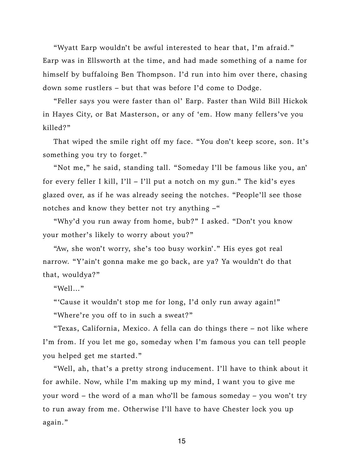"Wyatt Earp wouldn't be awful interested to hear that, I'm afraid." Earp was in Ellsworth at the time, and had made something of a name for himself by buffaloing Ben Thompson. I'd run into him over there, chasing down some rustlers – but that was before I'd come to Dodge.

"Feller says you were faster than ol' Earp. Faster than Wild Bill Hickok in Hayes City, or Bat Masterson, or any of 'em. How many fellers've you killed?"

That wiped the smile right off my face. "You don't keep score, son. It's something you try to forget."

"Not me," he said, standing tall. "Someday I'll be famous like you, an' for every feller I kill, I'll – I'll put a notch on my gun." The kid's eyes glazed over, as if he was already seeing the notches. "People'll see those notches and know they better not try anything  $-$ "

"Why'd you run away from home, bub?" I asked. "Don't you know your mother's likely to worry about you?"

"Aw, she won't worry, she's too busy workin'." His eyes got real narrow. "Y'ain't gonna make me go back, are ya? Ya wouldn't do that that, wouldya?"

"Well…"

"'Cause it wouldn't stop me for long, I'd only run away again!"

"Where're you off to in such a sweat?"

"Texas, California, Mexico. A fella can do things there – not like where I'm from. If you let me go, someday when I'm famous you can tell people you helped get me started."

"Well, ah, that's a pretty strong inducement. I'll have to think about it for awhile. Now, while I'm making up my mind, I want you to give me your word – the word of a man who'll be famous someday – you won't try to run away from me. Otherwise I'll have to have Chester lock you up again."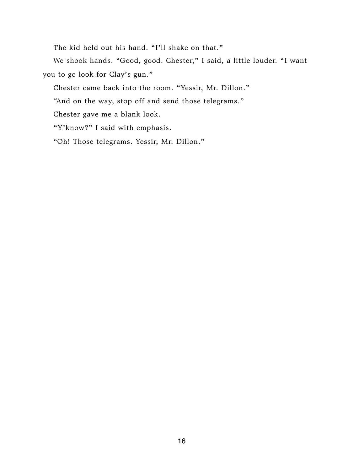The kid held out his hand. "I'll shake on that."

We shook hands. "Good, good. Chester," I said, a little louder. "I want you to go look for Clay's gun."

Chester came back into the room. "Yessir, Mr. Dillon."

"And on the way, stop off and send those telegrams."

Chester gave me a blank look.

"Y'know?" I said with emphasis.

"Oh! Those telegrams. Yessir, Mr. Dillon."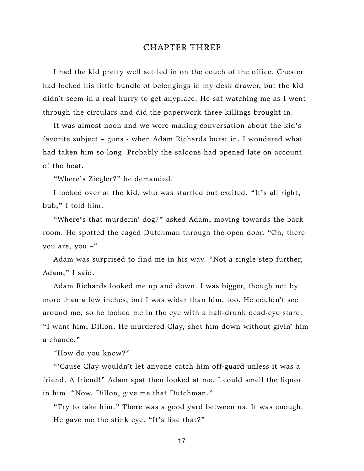#### Chapter Three

I had the kid pretty well settled in on the couch of the office. Chester had locked his little bundle of belongings in my desk drawer, but the kid didn't seem in a real hurry to get anyplace. He sat watching me as I went through the circulars and did the paperwork three killings brought in.

It was almost noon and we were making conversation about the kid's favorite subject – guns - when Adam Richards burst in. I wondered what had taken him so long. Probably the saloons had opened late on account of the heat.

"Where's Ziegler?" he demanded.

I looked over at the kid, who was startled but excited. "It's all right, bub," I told him.

"Where's that murderin' dog?" asked Adam, moving towards the back room. He spotted the caged Dutchman through the open door. "Oh, there you are, you –"

Adam was surprised to find me in his way. "Not a single step further, Adam," I said.

Adam Richards looked me up and down. I was bigger, though not by more than a few inches, but I was wider than him, too. He couldn't see around me, so he looked me in the eye with a half-drunk dead-eye stare. "I want him, Dillon. He murdered Clay, shot him down without givin' him a chance."

"How do you know?"

"'Cause Clay wouldn't let anyone catch him off-guard unless it was a friend. A friend!" Adam spat then looked at me. I could smell the liquor in him. "Now, Dillon, give me that Dutchman."

"Try to take him." There was a good yard between us. It was enough. He gave me the stink eye. "It's like that?"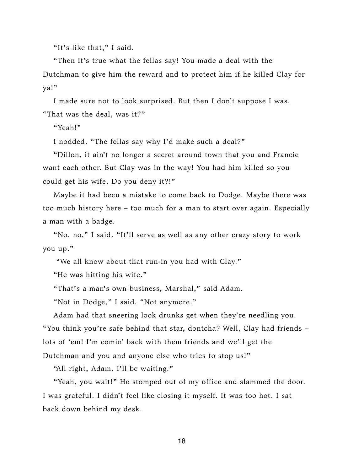"It's like that," I said.

"Then it's true what the fellas say! You made a deal with the Dutchman to give him the reward and to protect him if he killed Clay for ya!"

I made sure not to look surprised. But then I don't suppose I was. "That was the deal, was it?"

"Yeah!"

I nodded. "The fellas say why I'd make such a deal?"

"Dillon, it ain't no longer a secret around town that you and Francie want each other. But Clay was in the way! You had him killed so you could get his wife. Do you deny it?!"

Maybe it had been a mistake to come back to Dodge. Maybe there was too much history here – too much for a man to start over again. Especially a man with a badge.

"No, no," I said. "It'll serve as well as any other crazy story to work you up."

"We all know about that run-in you had with Clay."

"He was hitting his wife."

"That's a man's own business, Marshal," said Adam.

"Not in Dodge," I said. "Not anymore."

Adam had that sneering look drunks get when they're needling you. "You think you're safe behind that star, dontcha? Well, Clay had friends – lots of 'em! I'm comin' back with them friends and we'll get the Dutchman and you and anyone else who tries to stop us!"

"All right, Adam. I'll be waiting."

"Yeah, you wait!" He stomped out of my office and slammed the door. I was grateful. I didn't feel like closing it myself. It was too hot. I sat back down behind my desk.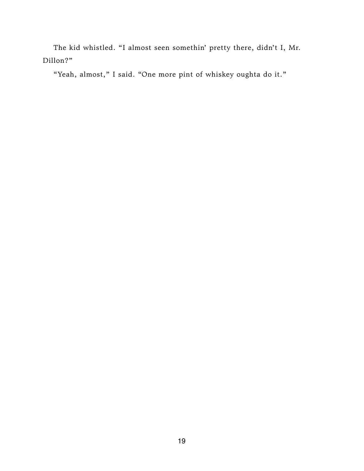The kid whistled. "I almost seen somethin' pretty there, didn't I, Mr. Dillon?"

"Yeah, almost," I said. "One more pint of whiskey oughta do it."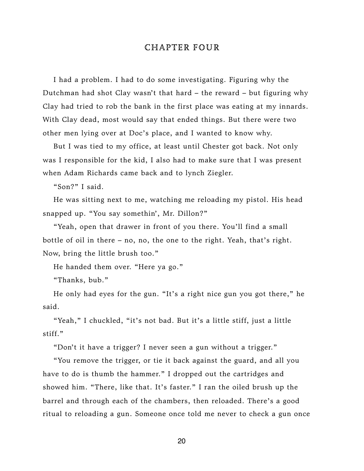# Chapter Four

I had a problem. I had to do some investigating. Figuring why the Dutchman had shot Clay wasn't that hard – the reward – but figuring why Clay had tried to rob the bank in the first place was eating at my innards. With Clay dead, most would say that ended things. But there were two other men lying over at Doc's place, and I wanted to know why.

But I was tied to my office, at least until Chester got back. Not only was I responsible for the kid, I also had to make sure that I was present when Adam Richards came back and to lynch Ziegler.

"Son?" I said.

He was sitting next to me, watching me reloading my pistol. His head snapped up. "You say somethin', Mr. Dillon?"

"Yeah, open that drawer in front of you there. You'll find a small bottle of oil in there – no, no, the one to the right. Yeah, that's right. Now, bring the little brush too."

He handed them over. "Here ya go."

"Thanks, bub."

He only had eyes for the gun. "It's a right nice gun you got there," he said.

"Yeah," I chuckled, "it's not bad. But it's a little stiff, just a little stiff."

"Don't it have a trigger? I never seen a gun without a trigger."

"You remove the trigger, or tie it back against the guard, and all you have to do is thumb the hammer." I dropped out the cartridges and showed him. "There, like that. It's faster." I ran the oiled brush up the barrel and through each of the chambers, then reloaded. There's a good ritual to reloading a gun. Someone once told me never to check a gun once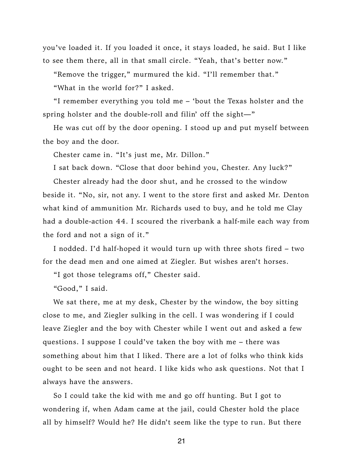you've loaded it. If you loaded it once, it stays loaded, he said. But I like to see them there, all in that small circle. "Yeah, that's better now."

"Remove the trigger," murmured the kid. "I'll remember that."

"What in the world for?" I asked.

"I remember everything you told me – 'bout the Texas holster and the spring holster and the double-roll and filin' off the sight—"

He was cut off by the door opening. I stood up and put myself between the boy and the door.

Chester came in. "It's just me, Mr. Dillon."

I sat back down. "Close that door behind you, Chester. Any luck?"

Chester already had the door shut, and he crossed to the window beside it. "No, sir, not any. I went to the store first and asked Mr. Denton what kind of ammunition Mr. Richards used to buy, and he told me Clay had a double-action 44. I scoured the riverbank a half-mile each way from the ford and not a sign of it."

I nodded. I'd half-hoped it would turn up with three shots fired – two for the dead men and one aimed at Ziegler. But wishes aren't horses.

"I got those telegrams off," Chester said.

"Good," I said.

We sat there, me at my desk, Chester by the window, the boy sitting close to me, and Ziegler sulking in the cell. I was wondering if I could leave Ziegler and the boy with Chester while I went out and asked a few questions. I suppose I could've taken the boy with me – there was something about him that I liked. There are a lot of folks who think kids ought to be seen and not heard. I like kids who ask questions. Not that I always have the answers.

So I could take the kid with me and go off hunting. But I got to wondering if, when Adam came at the jail, could Chester hold the place all by himself? Would he? He didn't seem like the type to run. But there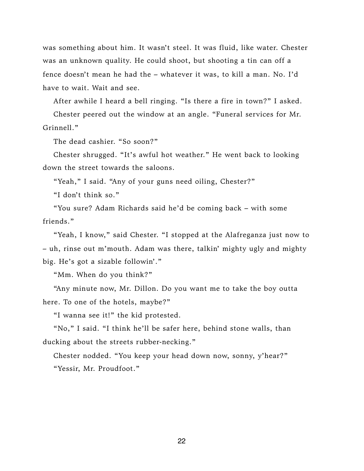was something about him. It wasn't steel. It was fluid, like water. Chester was an unknown quality. He could shoot, but shooting a tin can off a fence doesn't mean he had the – whatever it was, to kill a man. No. I'd have to wait. Wait and see.

After awhile I heard a bell ringing. "Is there a fire in town?" I asked. Chester peered out the window at an angle. "Funeral services for Mr. Grinnell."

The dead cashier. "So soon?"

Chester shrugged. "It's awful hot weather." He went back to looking down the street towards the saloons.

"Yeah," I said. "Any of your guns need oiling, Chester?"

"I don't think so."

"You sure? Adam Richards said he'd be coming back – with some friends."

"Yeah, I know," said Chester. "I stopped at the Alafreganza just now to – uh, rinse out m'mouth. Adam was there, talkin' mighty ugly and mighty big. He's got a sizable followin'."

"Mm. When do you think?"

"Any minute now, Mr. Dillon. Do you want me to take the boy outta here. To one of the hotels, maybe?"

"I wanna see it!" the kid protested.

"No," I said. "I think he'll be safer here, behind stone walls, than ducking about the streets rubber-necking."

Chester nodded. "You keep your head down now, sonny, y'hear?" "Yessir, Mr. Proudfoot."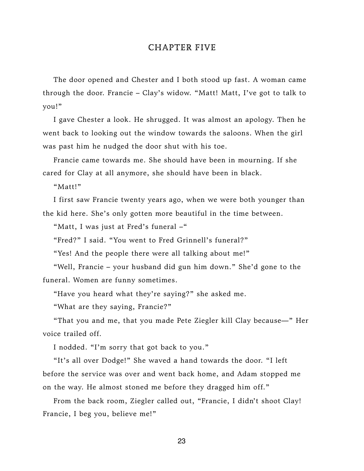#### Chapter Five

The door opened and Chester and I both stood up fast. A woman came through the door. Francie – Clay's widow. "Matt! Matt, I've got to talk to you!"

I gave Chester a look. He shrugged. It was almost an apology. Then he went back to looking out the window towards the saloons. When the girl was past him he nudged the door shut with his toe.

Francie came towards me. She should have been in mourning. If she cared for Clay at all anymore, she should have been in black.

"Matt!"

I first saw Francie twenty years ago, when we were both younger than the kid here. She's only gotten more beautiful in the time between.

"Matt, I was just at Fred's funeral -"

"Fred?" I said. "You went to Fred Grinnell's funeral?"

"Yes! And the people there were all talking about me!"

"Well, Francie – your husband did gun him down." She'd gone to the funeral. Women are funny sometimes.

"Have you heard what they're saying?" she asked me.

"What are they saying, Francie?"

"That you and me, that you made Pete Ziegler kill Clay because—" Her voice trailed off.

I nodded. "I'm sorry that got back to you."

"It's all over Dodge!" She waved a hand towards the door. "I left before the service was over and went back home, and Adam stopped me on the way. He almost stoned me before they dragged him off."

From the back room, Ziegler called out, "Francie, I didn't shoot Clay! Francie, I beg you, believe me!"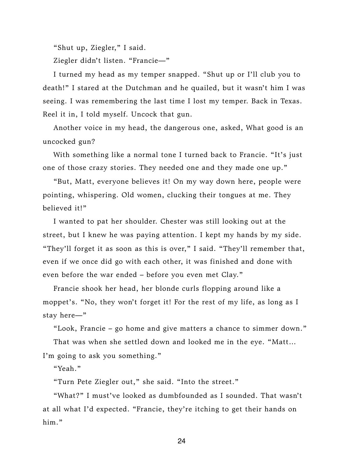"Shut up, Ziegler," I said. Ziegler didn't listen. "Francie—"

I turned my head as my temper snapped. "Shut up or I'll club you to death!" I stared at the Dutchman and he quailed, but it wasn't him I was seeing. I was remembering the last time I lost my temper. Back in Texas. Reel it in, I told myself. Uncock that gun.

Another voice in my head, the dangerous one, asked, What good is an uncocked gun?

With something like a normal tone I turned back to Francie. "It's just one of those crazy stories. They needed one and they made one up."

"But, Matt, everyone believes it! On my way down here, people were pointing, whispering. Old women, clucking their tongues at me. They believed it!"

I wanted to pat her shoulder. Chester was still looking out at the street, but I knew he was paying attention. I kept my hands by my side. "They'll forget it as soon as this is over," I said. "They'll remember that, even if we once did go with each other, it was finished and done with even before the war ended – before you even met Clay."

Francie shook her head, her blonde curls flopping around like a moppet's. "No, they won't forget it! For the rest of my life, as long as I stay here—"

"Look, Francie – go home and give matters a chance to simmer down."

That was when she settled down and looked me in the eye. "Matt… I'm going to ask you something."

"Yeah."

"Turn Pete Ziegler out," she said. "Into the street."

"What?" I must've looked as dumbfounded as I sounded. That wasn't at all what I'd expected. "Francie, they're itching to get their hands on him."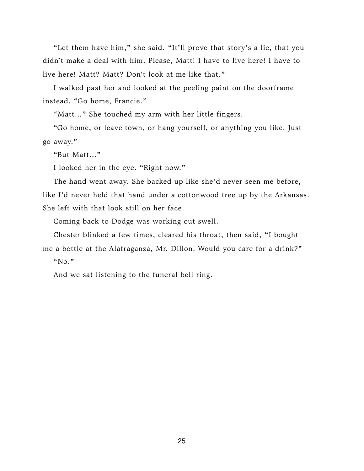"Let them have him," she said. "It'll prove that story's a lie, that you didn't make a deal with him. Please, Matt! I have to live here! I have to live here! Matt? Matt? Don't look at me like that."

I walked past her and looked at the peeling paint on the doorframe instead. "Go home, Francie."

"Matt…" She touched my arm with her little fingers.

"Go home, or leave town, or hang yourself, or anything you like. Just go away."

"But Matt…"

I looked her in the eye. "Right now."

The hand went away. She backed up like she'd never seen me before, like I'd never held that hand under a cottonwood tree up by the Arkansas. She left with that look still on her face.

Coming back to Dodge was working out swell.

Chester blinked a few times, cleared his throat, then said, "I bought me a bottle at the Alafraganza, Mr. Dillon. Would you care for a drink?" "No."

And we sat listening to the funeral bell ring.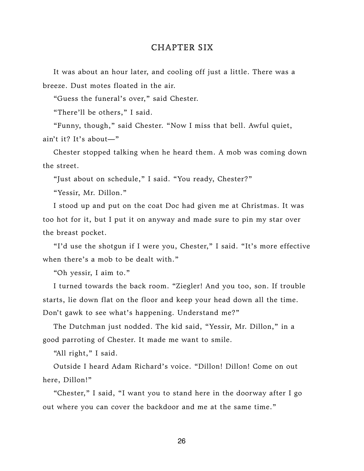### Chapter Six

It was about an hour later, and cooling off just a little. There was a breeze. Dust motes floated in the air.

"Guess the funeral's over," said Chester.

"There'll be others," I said.

"Funny, though," said Chester. "Now I miss that bell. Awful quiet, ain't it? It's about—"

Chester stopped talking when he heard them. A mob was coming down the street.

"Just about on schedule," I said. "You ready, Chester?"

"Yessir, Mr. Dillon."

I stood up and put on the coat Doc had given me at Christmas. It was too hot for it, but I put it on anyway and made sure to pin my star over the breast pocket.

"I'd use the shotgun if I were you, Chester," I said. "It's more effective when there's a mob to be dealt with."

"Oh yessir, I aim to."

I turned towards the back room. "Ziegler! And you too, son. If trouble starts, lie down flat on the floor and keep your head down all the time. Don't gawk to see what's happening. Understand me?"

The Dutchman just nodded. The kid said, "Yessir, Mr. Dillon," in a good parroting of Chester. It made me want to smile.

"All right," I said.

Outside I heard Adam Richard's voice. "Dillon! Dillon! Come on out here, Dillon!"

"Chester," I said, "I want you to stand here in the doorway after I go out where you can cover the backdoor and me at the same time."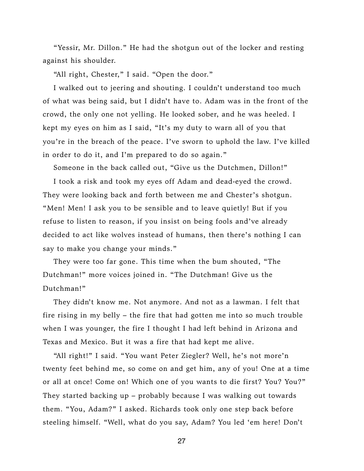"Yessir, Mr. Dillon." He had the shotgun out of the locker and resting against his shoulder.

"All right, Chester," I said. "Open the door."

I walked out to jeering and shouting. I couldn't understand too much of what was being said, but I didn't have to. Adam was in the front of the crowd, the only one not yelling. He looked sober, and he was heeled. I kept my eyes on him as I said, "It's my duty to warn all of you that you're in the breach of the peace. I've sworn to uphold the law. I've killed in order to do it, and I'm prepared to do so again."

Someone in the back called out, "Give us the Dutchmen, Dillon!"

I took a risk and took my eyes off Adam and dead-eyed the crowd. They were looking back and forth between me and Chester's shotgun. "Men! Men! I ask you to be sensible and to leave quietly! But if you refuse to listen to reason, if you insist on being fools and've already decided to act like wolves instead of humans, then there's nothing I can say to make you change your minds."

They were too far gone. This time when the bum shouted, "The Dutchman!" more voices joined in. "The Dutchman! Give us the Dutchman!"

They didn't know me. Not anymore. And not as a lawman. I felt that fire rising in my belly – the fire that had gotten me into so much trouble when I was younger, the fire I thought I had left behind in Arizona and Texas and Mexico. But it was a fire that had kept me alive.

"All right!" I said. "You want Peter Ziegler? Well, he's not more'n twenty feet behind me, so come on and get him, any of you! One at a time or all at once! Come on! Which one of you wants to die first? You? You?" They started backing up – probably because I was walking out towards them. "You, Adam?" I asked. Richards took only one step back before steeling himself. "Well, what do you say, Adam? You led 'em here! Don't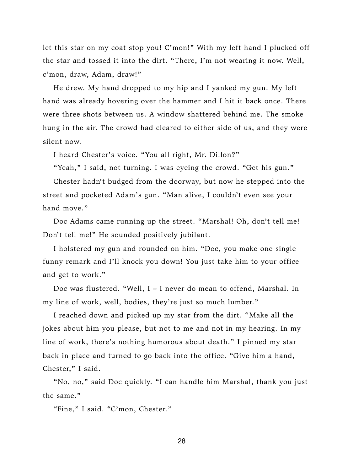let this star on my coat stop you! C'mon!" With my left hand I plucked off the star and tossed it into the dirt. "There, I'm not wearing it now. Well, c'mon, draw, Adam, draw!"

He drew. My hand dropped to my hip and I yanked my gun. My left hand was already hovering over the hammer and I hit it back once. There were three shots between us. A window shattered behind me. The smoke hung in the air. The crowd had cleared to either side of us, and they were silent now.

I heard Chester's voice. "You all right, Mr. Dillon?"

"Yeah," I said, not turning. I was eyeing the crowd. "Get his gun."

Chester hadn't budged from the doorway, but now he stepped into the street and pocketed Adam's gun. "Man alive, I couldn't even see your hand move."

Doc Adams came running up the street. "Marshal! Oh, don't tell me! Don't tell me!" He sounded positively jubilant.

I holstered my gun and rounded on him. "Doc, you make one single funny remark and I'll knock you down! You just take him to your office and get to work."

Doc was flustered. "Well, I – I never do mean to offend, Marshal. In my line of work, well, bodies, they're just so much lumber."

I reached down and picked up my star from the dirt. "Make all the jokes about him you please, but not to me and not in my hearing. In my line of work, there's nothing humorous about death." I pinned my star back in place and turned to go back into the office. "Give him a hand, Chester," I said.

"No, no," said Doc quickly. "I can handle him Marshal, thank you just the same."

"Fine," I said. "C'mon, Chester."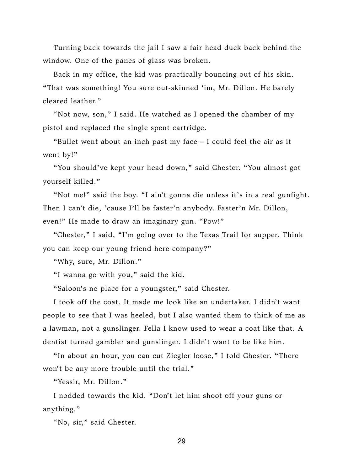Turning back towards the jail I saw a fair head duck back behind the window. One of the panes of glass was broken.

Back in my office, the kid was practically bouncing out of his skin. "That was something! You sure out-skinned 'im, Mr. Dillon. He barely cleared leather."

"Not now, son," I said. He watched as I opened the chamber of my pistol and replaced the single spent cartridge.

"Bullet went about an inch past my face – I could feel the air as it went by!"

"You should've kept your head down," said Chester. "You almost got yourself killed."

"Not me!" said the boy. "I ain't gonna die unless it's in a real gunfight. Then I can't die, 'cause I'll be faster'n anybody. Faster'n Mr. Dillon, even!" He made to draw an imaginary gun. "Pow!"

"Chester," I said, "I'm going over to the Texas Trail for supper. Think you can keep our young friend here company?"

"Why, sure, Mr. Dillon."

"I wanna go with you," said the kid.

"Saloon's no place for a youngster," said Chester.

I took off the coat. It made me look like an undertaker. I didn't want people to see that I was heeled, but I also wanted them to think of me as a lawman, not a gunslinger. Fella I know used to wear a coat like that. A dentist turned gambler and gunslinger. I didn't want to be like him.

"In about an hour, you can cut Ziegler loose," I told Chester. "There won't be any more trouble until the trial."

"Yessir, Mr. Dillon."

I nodded towards the kid. "Don't let him shoot off your guns or anything."

"No, sir," said Chester.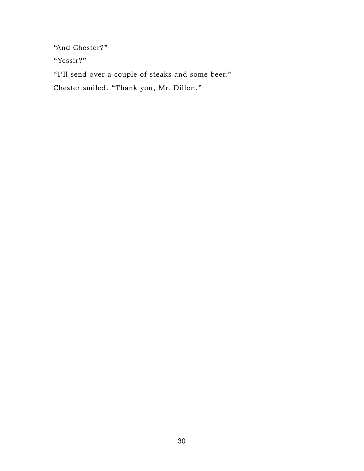"And Chester?" "Yessir?" "I'll send over a couple of steaks and some beer." Chester smiled. "Thank you, Mr. Dillon."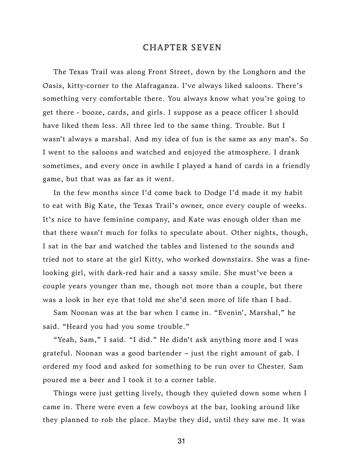#### Chapter Seven

The Texas Trail was along Front Street, down by the Longhorn and the Oasis, kitty-corner to the Alafraganza. I've always liked saloons. There's something very comfortable there. You always know what you're going to get there - booze, cards, and girls. I suppose as a peace officer I should have liked them less. All three led to the same thing. Trouble. But I wasn't always a marshal. And my idea of fun is the same as any man's. So I went to the saloons and watched and enjoyed the atmosphere. I drank sometimes, and every once in awhile I played a hand of cards in a friendly game, but that was as far as it went.

In the few months since I'd come back to Dodge I'd made it my habit to eat with Big Kate, the Texas Trail's owner, once every couple of weeks. It's nice to have feminine company, and Kate was enough older than me that there wasn't much for folks to speculate about. Other nights, though, I sat in the bar and watched the tables and listened to the sounds and tried not to stare at the girl Kitty, who worked downstairs. She was a finelooking girl, with dark-red hair and a sassy smile. She must've been a couple years younger than me, though not more than a couple, but there was a look in her eye that told me she'd seen more of life than I had.

Sam Noonan was at the bar when I came in. "Evenin', Marshal," he said. "Heard you had you some trouble."

"Yeah, Sam," I said. "I did." He didn't ask anything more and I was grateful. Noonan was a good bartender – just the right amount of gab. I ordered my food and asked for something to be run over to Chester. Sam poured me a beer and I took it to a corner table.

Things were just getting lively, though they quieted down some when I came in. There were even a few cowboys at the bar, looking around like they planned to rob the place. Maybe they did, until they saw me. It was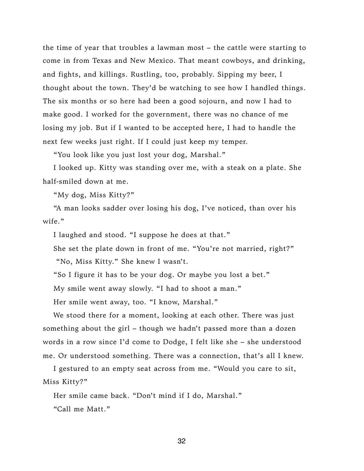the time of year that troubles a lawman most – the cattle were starting to come in from Texas and New Mexico. That meant cowboys, and drinking, and fights, and killings. Rustling, too, probably. Sipping my beer, I thought about the town. They'd be watching to see how I handled things. The six months or so here had been a good sojourn, and now I had to make good. I worked for the government, there was no chance of me losing my job. But if I wanted to be accepted here, I had to handle the next few weeks just right. If I could just keep my temper.

"You look like you just lost your dog, Marshal."

I looked up. Kitty was standing over me, with a steak on a plate. She half-smiled down at me.

"My dog, Miss Kitty?"

"A man looks sadder over losing his dog, I've noticed, than over his wife."

I laughed and stood. "I suppose he does at that."

She set the plate down in front of me. "You're not married, right?" "No, Miss Kitty." She knew I wasn't.

"So I figure it has to be your dog. Or maybe you lost a bet."

My smile went away slowly. "I had to shoot a man."

Her smile went away, too. "I know, Marshal."

We stood there for a moment, looking at each other. There was just something about the girl – though we hadn't passed more than a dozen words in a row since I'd come to Dodge, I felt like she – she understood me. Or understood something. There was a connection, that's all I knew.

I gestured to an empty seat across from me. "Would you care to sit, Miss Kitty?"

Her smile came back. "Don't mind if I do, Marshal."

"Call me Matt."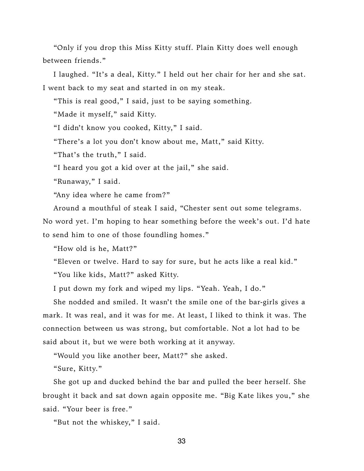"Only if you drop this Miss Kitty stuff. Plain Kitty does well enough between friends."

I laughed. "It's a deal, Kitty." I held out her chair for her and she sat. I went back to my seat and started in on my steak.

"This is real good," I said, just to be saying something.

"Made it myself," said Kitty.

"I didn't know you cooked, Kitty," I said.

"There's a lot you don't know about me, Matt," said Kitty.

"That's the truth," I said.

"I heard you got a kid over at the jail," she said.

"Runaway," I said.

"Any idea where he came from?"

Around a mouthful of steak I said, "Chester sent out some telegrams.

No word yet. I'm hoping to hear something before the week's out. I'd hate to send him to one of those foundling homes."

"How old is he, Matt?"

"Eleven or twelve. Hard to say for sure, but he acts like a real kid." "You like kids, Matt?" asked Kitty.

I put down my fork and wiped my lips. "Yeah. Yeah, I do."

She nodded and smiled. It wasn't the smile one of the bar-girls gives a mark. It was real, and it was for me. At least, I liked to think it was. The connection between us was strong, but comfortable. Not a lot had to be said about it, but we were both working at it anyway.

"Would you like another beer, Matt?" she asked.

"Sure, Kitty."

She got up and ducked behind the bar and pulled the beer herself. She brought it back and sat down again opposite me. "Big Kate likes you," she said. "Your beer is free."

"But not the whiskey," I said.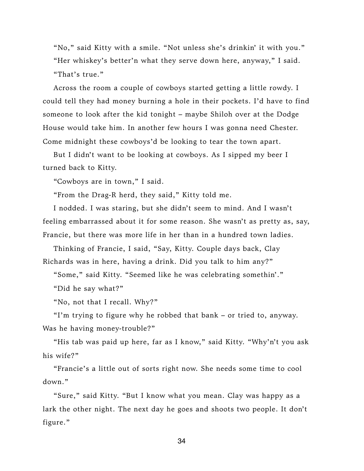"No," said Kitty with a smile. "Not unless she's drinkin' it with you." "Her whiskey's better'n what they serve down here, anyway," I said. "That's true."

Across the room a couple of cowboys started getting a little rowdy. I could tell they had money burning a hole in their pockets. I'd have to find someone to look after the kid tonight – maybe Shiloh over at the Dodge House would take him. In another few hours I was gonna need Chester. Come midnight these cowboys'd be looking to tear the town apart.

But I didn't want to be looking at cowboys. As I sipped my beer I turned back to Kitty.

"Cowboys are in town," I said.

"From the Drag-R herd, they said," Kitty told me.

I nodded. I was staring, but she didn't seem to mind. And I wasn't feeling embarrassed about it for some reason. She wasn't as pretty as, say, Francie, but there was more life in her than in a hundred town ladies.

Thinking of Francie, I said, "Say, Kitty. Couple days back, Clay Richards was in here, having a drink. Did you talk to him any?"

"Some," said Kitty. "Seemed like he was celebrating somethin'."

"Did he say what?"

"No, not that I recall. Why?"

"I'm trying to figure why he robbed that bank – or tried to, anyway. Was he having money-trouble?"

"His tab was paid up here, far as I know," said Kitty. "Why'n't you ask his wife?"

"Francie's a little out of sorts right now. She needs some time to cool down."

"Sure," said Kitty. "But I know what you mean. Clay was happy as a lark the other night. The next day he goes and shoots two people. It don't figure."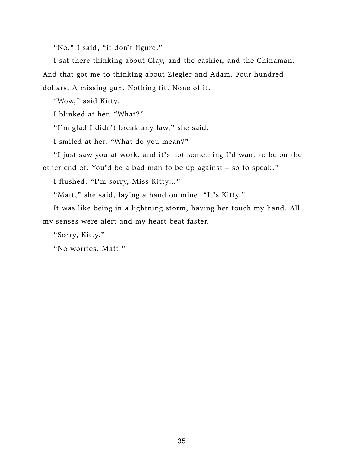"No," I said, "it don't figure."

I sat there thinking about Clay, and the cashier, and the Chinaman. And that got me to thinking about Ziegler and Adam. Four hundred dollars. A missing gun. Nothing fit. None of it.

"Wow," said Kitty.

I blinked at her. "What?"

"I'm glad I didn't break any law," she said.

I smiled at her. "What do you mean?"

"I just saw you at work, and it's not something I'd want to be on the other end of. You'd be a bad man to be up against – so to speak."

I flushed. "I'm sorry, Miss Kitty…"

"Matt," she said, laying a hand on mine. "It's Kitty."

It was like being in a lightning storm, having her touch my hand. All my senses were alert and my heart beat faster.

"Sorry, Kitty."

"No worries, Matt."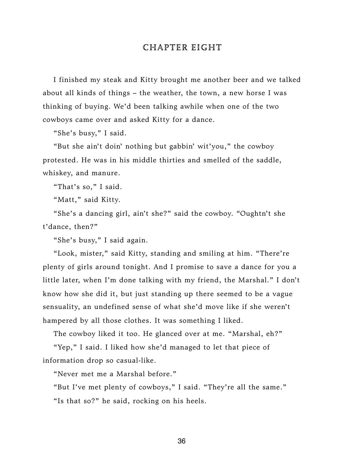## Chapter Eight

I finished my steak and Kitty brought me another beer and we talked about all kinds of things – the weather, the town, a new horse I was thinking of buying. We'd been talking awhile when one of the two cowboys came over and asked Kitty for a dance.

"She's busy," I said.

"But she ain't doin' nothing but gabbin' wit'you," the cowboy protested. He was in his middle thirties and smelled of the saddle, whiskey, and manure.

"That's so," I said.

"Matt," said Kitty.

"She's a dancing girl, ain't she?" said the cowboy. "Oughtn't she t'dance, then?"

"She's busy," I said again.

"Look, mister," said Kitty, standing and smiling at him. "There're plenty of girls around tonight. And I promise to save a dance for you a little later, when I'm done talking with my friend, the Marshal." I don't know how she did it, but just standing up there seemed to be a vague sensuality, an undefined sense of what she'd move like if she weren't hampered by all those clothes. It was something I liked.

The cowboy liked it too. He glanced over at me. "Marshal, eh?"

"Yep," I said. I liked how she'd managed to let that piece of information drop so casual-like.

"Never met me a Marshal before."

"But I've met plenty of cowboys," I said. "They're all the same."

"Is that so?" he said, rocking on his heels.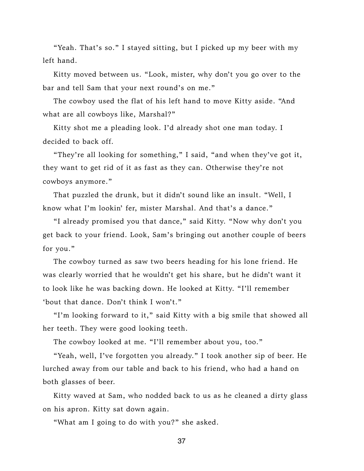"Yeah. That's so." I stayed sitting, but I picked up my beer with my left hand.

Kitty moved between us. "Look, mister, why don't you go over to the bar and tell Sam that your next round's on me."

The cowboy used the flat of his left hand to move Kitty aside. "And what are all cowboys like, Marshal?"

Kitty shot me a pleading look. I'd already shot one man today. I decided to back off.

"They're all looking for something," I said, "and when they've got it, they want to get rid of it as fast as they can. Otherwise they're not cowboys anymore."

That puzzled the drunk, but it didn't sound like an insult. "Well, I know what I'm lookin' fer, mister Marshal. And that's a dance."

"I already promised you that dance," said Kitty. "Now why don't you get back to your friend. Look, Sam's bringing out another couple of beers for you."

The cowboy turned as saw two beers heading for his lone friend. He was clearly worried that he wouldn't get his share, but he didn't want it to look like he was backing down. He looked at Kitty. "I'll remember 'bout that dance. Don't think I won't."

"I'm looking forward to it," said Kitty with a big smile that showed all her teeth. They were good looking teeth.

The cowboy looked at me. "I'll remember about you, too."

"Yeah, well, I've forgotten you already." I took another sip of beer. He lurched away from our table and back to his friend, who had a hand on both glasses of beer.

Kitty waved at Sam, who nodded back to us as he cleaned a dirty glass on his apron. Kitty sat down again.

"What am I going to do with you?" she asked.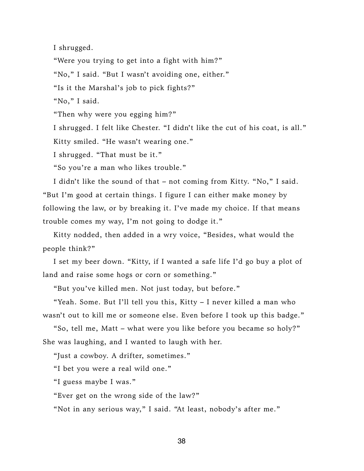I shrugged.

"Were you trying to get into a fight with him?"

"No," I said. "But I wasn't avoiding one, either."

"Is it the Marshal's job to pick fights?"

"No," I said.

"Then why were you egging him?"

I shrugged. I felt like Chester. "I didn't like the cut of his coat, is all."

Kitty smiled. "He wasn't wearing one."

I shrugged. "That must be it."

"So you're a man who likes trouble."

I didn't like the sound of that – not coming from Kitty. "No," I said. "But I'm good at certain things. I figure I can either make money by following the law, or by breaking it. I've made my choice. If that means trouble comes my way, I'm not going to dodge it."

Kitty nodded, then added in a wry voice, "Besides, what would the people think?"

I set my beer down. "Kitty, if I wanted a safe life I'd go buy a plot of land and raise some hogs or corn or something."

"But you've killed men. Not just today, but before."

"Yeah. Some. But I'll tell you this, Kitty – I never killed a man who wasn't out to kill me or someone else. Even before I took up this badge."

"So, tell me, Matt – what were you like before you became so holy?" She was laughing, and I wanted to laugh with her.

"Just a cowboy. A drifter, sometimes."

"I bet you were a real wild one."

"I guess maybe I was."

"Ever get on the wrong side of the law?"

"Not in any serious way," I said. "At least, nobody's after me."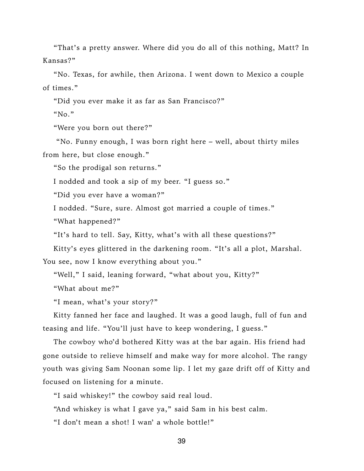"That's a pretty answer. Where did you do all of this nothing, Matt? In Kansas?"

"No. Texas, for awhile, then Arizona. I went down to Mexico a couple of times."

"Did you ever make it as far as San Francisco?"

" $No.$ "

"Were you born out there?"

 "No. Funny enough, I was born right here – well, about thirty miles from here, but close enough."

"So the prodigal son returns."

I nodded and took a sip of my beer. "I guess so."

"Did you ever have a woman?"

I nodded. "Sure, sure. Almost got married a couple of times."

"What happened?"

"It's hard to tell. Say, Kitty, what's with all these questions?"

Kitty's eyes glittered in the darkening room. "It's all a plot, Marshal.

You see, now I know everything about you."

"Well," I said, leaning forward, "what about you, Kitty?"

"What about me?"

"I mean, what's your story?"

Kitty fanned her face and laughed. It was a good laugh, full of fun and teasing and life. "You'll just have to keep wondering, I guess."

The cowboy who'd bothered Kitty was at the bar again. His friend had gone outside to relieve himself and make way for more alcohol. The rangy youth was giving Sam Noonan some lip. I let my gaze drift off of Kitty and focused on listening for a minute.

"I said whiskey!" the cowboy said real loud.

"And whiskey is what I gave ya," said Sam in his best calm.

"I don't mean a shot! I wan' a whole bottle!"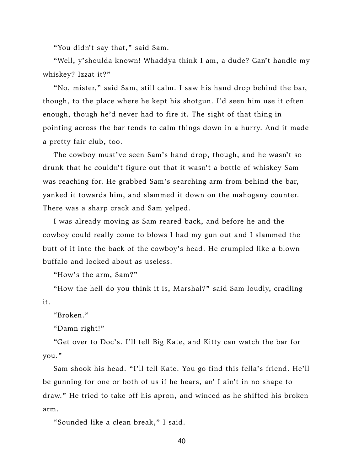"You didn't say that," said Sam.

"Well, y'shoulda known! Whaddya think I am, a dude? Can't handle my whiskey? Izzat it?"

"No, mister," said Sam, still calm. I saw his hand drop behind the bar, though, to the place where he kept his shotgun. I'd seen him use it often enough, though he'd never had to fire it. The sight of that thing in pointing across the bar tends to calm things down in a hurry. And it made a pretty fair club, too.

The cowboy must've seen Sam's hand drop, though, and he wasn't so drunk that he couldn't figure out that it wasn't a bottle of whiskey Sam was reaching for. He grabbed Sam's searching arm from behind the bar, yanked it towards him, and slammed it down on the mahogany counter. There was a sharp crack and Sam yelped.

I was already moving as Sam reared back, and before he and the cowboy could really come to blows I had my gun out and I slammed the butt of it into the back of the cowboy's head. He crumpled like a blown buffalo and looked about as useless.

"How's the arm, Sam?"

"How the hell do you think it is, Marshal?" said Sam loudly, cradling it.

"Broken."

"Damn right!"

"Get over to Doc's. I'll tell Big Kate, and Kitty can watch the bar for you."

Sam shook his head. "I'll tell Kate. You go find this fella's friend. He'll be gunning for one or both of us if he hears, an' I ain't in no shape to draw." He tried to take off his apron, and winced as he shifted his broken arm.

"Sounded like a clean break," I said.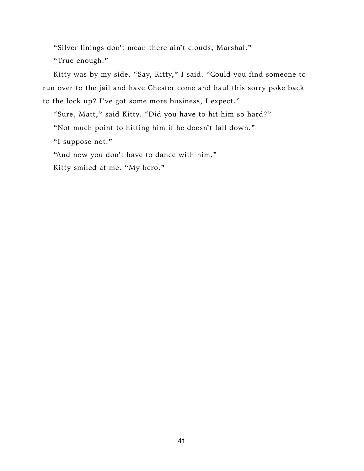"Silver linings don't mean there ain't clouds, Marshal."

"True enough."

Kitty was by my side. "Say, Kitty," I said. "Could you find someone to run over to the jail and have Chester come and haul this sorry poke back to the lock up? I've got some more business, I expect."

"Sure, Matt," said Kitty. "Did you have to hit him so hard?"

"Not much point to hitting him if he doesn't fall down."

"I suppose not."

"And now you don't have to dance with him."

Kitty smiled at me. "My hero."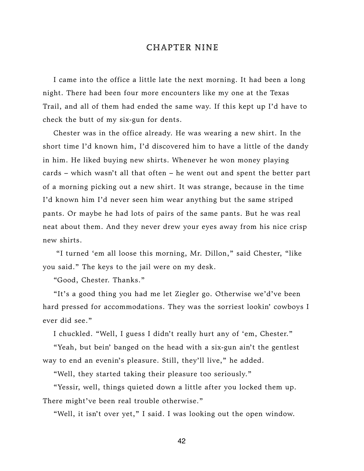## Chapter Nine

I came into the office a little late the next morning. It had been a long night. There had been four more encounters like my one at the Texas Trail, and all of them had ended the same way. If this kept up I'd have to check the butt of my six-gun for dents.

Chester was in the office already. He was wearing a new shirt. In the short time I'd known him, I'd discovered him to have a little of the dandy in him. He liked buying new shirts. Whenever he won money playing cards – which wasn't all that often – he went out and spent the better part of a morning picking out a new shirt. It was strange, because in the time I'd known him I'd never seen him wear anything but the same striped pants. Or maybe he had lots of pairs of the same pants. But he was real neat about them. And they never drew your eyes away from his nice crisp new shirts.

 "I turned 'em all loose this morning, Mr. Dillon," said Chester, "like you said." The keys to the jail were on my desk.

"Good, Chester. Thanks."

"It's a good thing you had me let Ziegler go. Otherwise we'd've been hard pressed for accommodations. They was the sorriest lookin' cowboys I ever did see."

I chuckled. "Well, I guess I didn't really hurt any of 'em, Chester."

"Yeah, but bein' banged on the head with a six-gun ain't the gentlest way to end an evenin's pleasure. Still, they'll live," he added.

"Well, they started taking their pleasure too seriously."

"Yessir, well, things quieted down a little after you locked them up. There might've been real trouble otherwise."

"Well, it isn't over yet," I said. I was looking out the open window.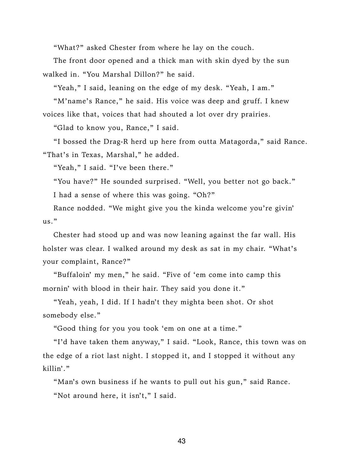"What?" asked Chester from where he lay on the couch.

The front door opened and a thick man with skin dyed by the sun walked in. "You Marshal Dillon?" he said.

"Yeah," I said, leaning on the edge of my desk. "Yeah, I am."

"M'name's Rance," he said. His voice was deep and gruff. I knew voices like that, voices that had shouted a lot over dry prairies.

"Glad to know you, Rance," I said.

"I bossed the Drag-R herd up here from outta Matagorda," said Rance. "That's in Texas, Marshal," he added.

"Yeah," I said. "I've been there."

"You have?" He sounded surprised. "Well, you better not go back."

I had a sense of where this was going. "Oh?"

Rance nodded. "We might give you the kinda welcome you're givin'  $\overline{11S}$ ."

Chester had stood up and was now leaning against the far wall. His holster was clear. I walked around my desk as sat in my chair. "What's your complaint, Rance?"

"Buffaloin' my men," he said. "Five of 'em come into camp this mornin' with blood in their hair. They said you done it."

"Yeah, yeah, I did. If I hadn't they mighta been shot. Or shot somebody else."

"Good thing for you you took 'em on one at a time."

"I'd have taken them anyway," I said. "Look, Rance, this town was on the edge of a riot last night. I stopped it, and I stopped it without any killin'."

"Man's own business if he wants to pull out his gun," said Rance.

"Not around here, it isn't," I said.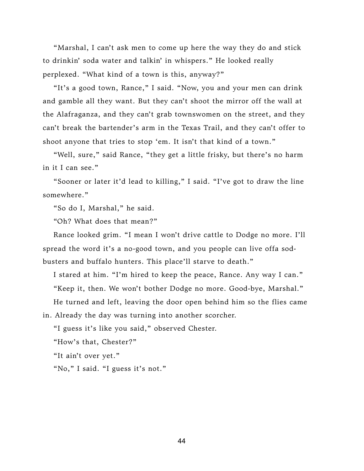"Marshal, I can't ask men to come up here the way they do and stick to drinkin' soda water and talkin' in whispers." He looked really perplexed. "What kind of a town is this, anyway?"

"It's a good town, Rance," I said. "Now, you and your men can drink and gamble all they want. But they can't shoot the mirror off the wall at the Alafraganza, and they can't grab townswomen on the street, and they can't break the bartender's arm in the Texas Trail, and they can't offer to shoot anyone that tries to stop 'em. It isn't that kind of a town."

"Well, sure," said Rance, "they get a little frisky, but there's no harm in it I can see."

"Sooner or later it'd lead to killing," I said. "I've got to draw the line somewhere."

"So do I, Marshal," he said.

"Oh? What does that mean?"

Rance looked grim. "I mean I won't drive cattle to Dodge no more. I'll spread the word it's a no-good town, and you people can live offa sodbusters and buffalo hunters. This place'll starve to death."

I stared at him. "I'm hired to keep the peace, Rance. Any way I can." "Keep it, then. We won't bother Dodge no more. Good-bye, Marshal." He turned and left, leaving the door open behind him so the flies came

in. Already the day was turning into another scorcher.

"I guess it's like you said," observed Chester.

"How's that, Chester?"

"It ain't over yet."

"No," I said. "I guess it's not."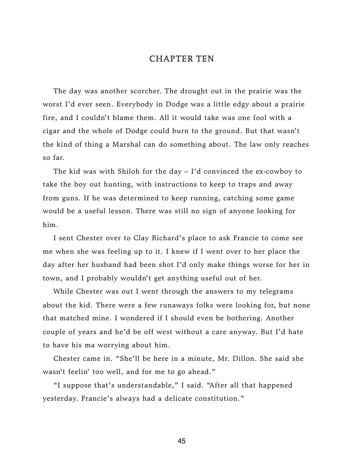# Chapter Ten

The day was another scorcher. The drought out in the prairie was the worst I'd ever seen. Everybody in Dodge was a little edgy about a prairie fire, and I couldn't blame them. All it would take was one fool with a cigar and the whole of Dodge could burn to the ground. But that wasn't the kind of thing a Marshal can do something about. The law only reaches so far.

The kid was with Shiloh for the day – I'd convinced the ex-cowboy to take the boy out hunting, with instructions to keep to traps and away from guns. If he was determined to keep running, catching some game would be a useful lesson. There was still no sign of anyone looking for him.

I sent Chester over to Clay Richard's place to ask Francie to come see me when she was feeling up to it. I knew if I went over to her place the day after her husband had been shot I'd only make things worse for her in town, and I probably wouldn't get anything useful out of her.

While Chester was out I went through the answers to my telegrams about the kid. There were a few runaways folks were looking for, but none that matched mine. I wondered if I should even be bothering. Another couple of years and he'd be off west without a care anyway. But I'd hate to have his ma worrying about him.

Chester came in. "She'll be here in a minute, Mr. Dillon. She said she wasn't feelin' too well, and for me to go ahead."

"I suppose that's understandable," I said. "After all that happened yesterday. Francie's always had a delicate constitution."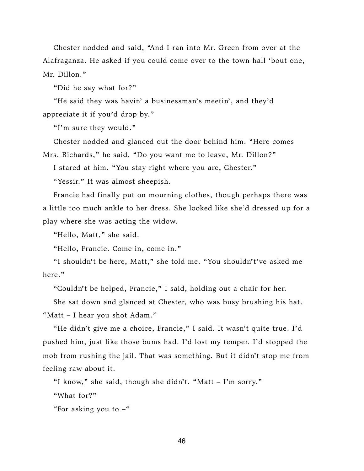Chester nodded and said, "And I ran into Mr. Green from over at the Alafraganza. He asked if you could come over to the town hall 'bout one, Mr. Dillon."

"Did he say what for?"

"He said they was havin' a businessman's meetin', and they'd appreciate it if you'd drop by."

"I'm sure they would."

Chester nodded and glanced out the door behind him. "Here comes Mrs. Richards," he said. "Do you want me to leave, Mr. Dillon?"

I stared at him. "You stay right where you are, Chester."

"Yessir." It was almost sheepish.

Francie had finally put on mourning clothes, though perhaps there was a little too much ankle to her dress. She looked like she'd dressed up for a play where she was acting the widow.

"Hello, Matt," she said.

"Hello, Francie. Come in, come in."

"I shouldn't be here, Matt," she told me. "You shouldn't've asked me here."

"Couldn't be helped, Francie," I said, holding out a chair for her.

She sat down and glanced at Chester, who was busy brushing his hat. "Matt – I hear you shot Adam."

"He didn't give me a choice, Francie," I said. It wasn't quite true. I'd pushed him, just like those bums had. I'd lost my temper. I'd stopped the mob from rushing the jail. That was something. But it didn't stop me from feeling raw about it.

"I know," she said, though she didn't. "Matt – I'm sorry."

"What for?"

"For asking you to  $-$ "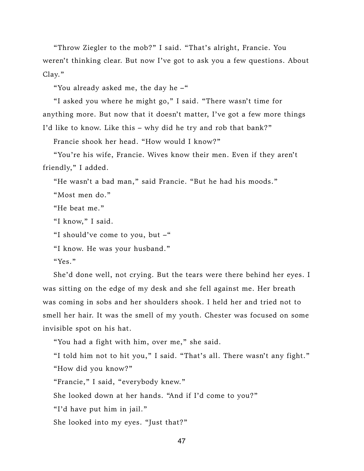"Throw Ziegler to the mob?" I said. "That's alright, Francie. You weren't thinking clear. But now I've got to ask you a few questions. About Clay."

"You already asked me, the day he  $-$ "

"I asked you where he might go," I said. "There wasn't time for anything more. But now that it doesn't matter, I've got a few more things I'd like to know. Like this – why did he try and rob that bank?"

Francie shook her head. "How would I know?"

"You're his wife, Francie. Wives know their men. Even if they aren't friendly," I added.

"He wasn't a bad man," said Francie. "But he had his moods."

"Most men do."

"He beat me."

"I know," I said.

"I should've come to you, but  $-$ "

"I know. He was your husband."

"Yes."

She'd done well, not crying. But the tears were there behind her eyes. I was sitting on the edge of my desk and she fell against me. Her breath was coming in sobs and her shoulders shook. I held her and tried not to smell her hair. It was the smell of my youth. Chester was focused on some invisible spot on his hat.

"You had a fight with him, over me," she said.

"I told him not to hit you," I said. "That's all. There wasn't any fight." "How did you know?"

"Francie," I said, "everybody knew."

She looked down at her hands. "And if I'd come to you?"

"I'd have put him in jail."

She looked into my eyes. "Just that?"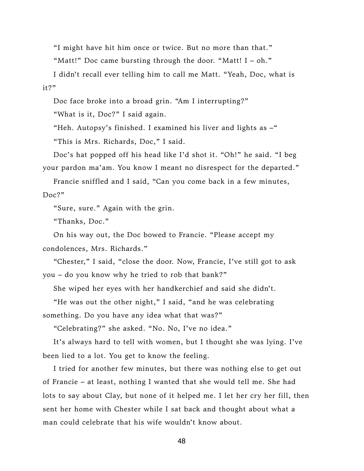"I might have hit him once or twice. But no more than that."

"Matt!" Doc came bursting through the door. "Matt!  $I - oh$ ."

I didn't recall ever telling him to call me Matt. "Yeah, Doc, what is it?"

Doc face broke into a broad grin. "Am I interrupting?"

"What is it, Doc?" I said again.

"Heh. Autopsy's finished. I examined his liver and lights as  $-$ "

"This is Mrs. Richards, Doc," I said.

Doc's hat popped off his head like I'd shot it. "Oh!" he said. "I beg your pardon ma'am. You know I meant no disrespect for the departed."

Francie sniffled and I said, "Can you come back in a few minutes,

Doc?"

"Sure, sure." Again with the grin.

"Thanks, Doc."

On his way out, the Doc bowed to Francie. "Please accept my

condolences, Mrs. Richards."

"Chester," I said, "close the door. Now, Francie, I've still got to ask you – do you know why he tried to rob that bank?"

She wiped her eyes with her handkerchief and said she didn't.

"He was out the other night," I said, "and he was celebrating

something. Do you have any idea what that was?"

"Celebrating?" she asked. "No. No, I've no idea."

It's always hard to tell with women, but I thought she was lying. I've been lied to a lot. You get to know the feeling.

I tried for another few minutes, but there was nothing else to get out of Francie – at least, nothing I wanted that she would tell me. She had lots to say about Clay, but none of it helped me. I let her cry her fill, then sent her home with Chester while I sat back and thought about what a man could celebrate that his wife wouldn't know about.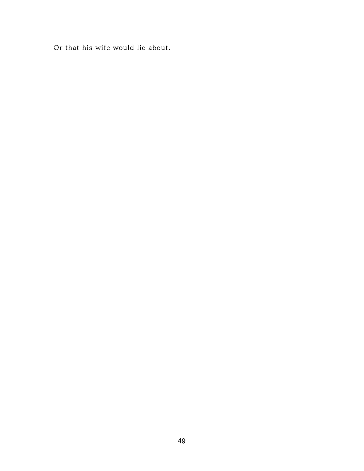Or that his wife would lie about.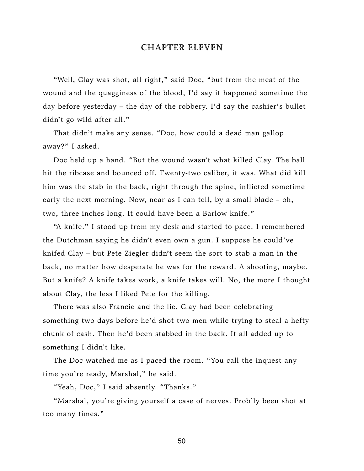## Chapter Eleven

"Well, Clay was shot, all right," said Doc, "but from the meat of the wound and the quagginess of the blood, I'd say it happened sometime the day before yesterday – the day of the robbery. I'd say the cashier's bullet didn't go wild after all."

That didn't make any sense. "Doc, how could a dead man gallop away?" I asked.

Doc held up a hand. "But the wound wasn't what killed Clay. The ball hit the ribcase and bounced off. Twenty-two caliber, it was. What did kill him was the stab in the back, right through the spine, inflicted sometime early the next morning. Now, near as I can tell, by a small blade – oh, two, three inches long. It could have been a Barlow knife."

"A knife." I stood up from my desk and started to pace. I remembered the Dutchman saying he didn't even own a gun. I suppose he could've knifed Clay – but Pete Ziegler didn't seem the sort to stab a man in the back, no matter how desperate he was for the reward. A shooting, maybe. But a knife? A knife takes work, a knife takes will. No, the more I thought about Clay, the less I liked Pete for the killing.

There was also Francie and the lie. Clay had been celebrating something two days before he'd shot two men while trying to steal a hefty chunk of cash. Then he'd been stabbed in the back. It all added up to something I didn't like.

The Doc watched me as I paced the room. "You call the inquest any time you're ready, Marshal," he said.

"Yeah, Doc," I said absently. "Thanks."

"Marshal, you're giving yourself a case of nerves. Prob'ly been shot at too many times."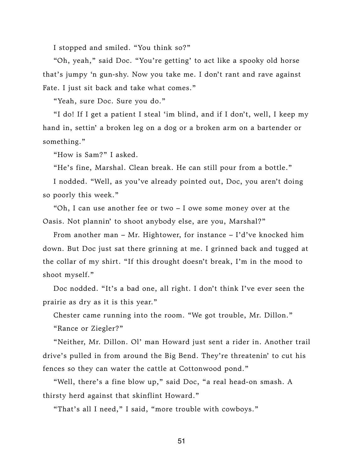I stopped and smiled. "You think so?"

"Oh, yeah," said Doc. "You're getting' to act like a spooky old horse that's jumpy 'n gun-shy. Now you take me. I don't rant and rave against Fate. I just sit back and take what comes."

"Yeah, sure Doc. Sure you do."

"I do! If I get a patient I steal 'im blind, and if I don't, well, I keep my hand in, settin' a broken leg on a dog or a broken arm on a bartender or something."

"How is Sam?" I asked.

"He's fine, Marshal. Clean break. He can still pour from a bottle."

I nodded. "Well, as you've already pointed out, Doc, you aren't doing so poorly this week."

"Oh, I can use another fee or two – I owe some money over at the Oasis. Not plannin' to shoot anybody else, are you, Marshal?"

From another man – Mr. Hightower, for instance – I'd've knocked him down. But Doc just sat there grinning at me. I grinned back and tugged at the collar of my shirt. "If this drought doesn't break, I'm in the mood to shoot myself."

Doc nodded. "It's a bad one, all right. I don't think I've ever seen the prairie as dry as it is this year."

Chester came running into the room. "We got trouble, Mr. Dillon." "Rance or Ziegler?"

"Neither, Mr. Dillon. Ol' man Howard just sent a rider in. Another trail drive's pulled in from around the Big Bend. They're threatenin' to cut his fences so they can water the cattle at Cottonwood pond."

"Well, there's a fine blow up," said Doc, "a real head-on smash. A thirsty herd against that skinflint Howard."

"That's all I need," I said, "more trouble with cowboys."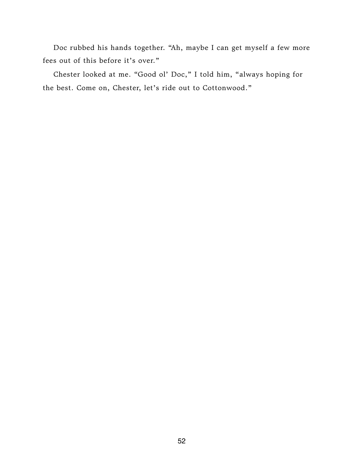Doc rubbed his hands together. "Ah, maybe I can get myself a few more fees out of this before it's over."

Chester looked at me. "Good ol' Doc," I told him, "always hoping for the best. Come on, Chester, let's ride out to Cottonwood."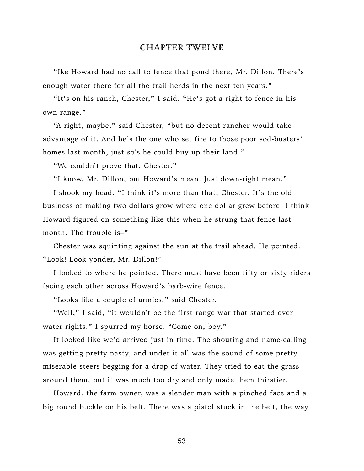### Chapter Twelve

"Ike Howard had no call to fence that pond there, Mr. Dillon. There's enough water there for all the trail herds in the next ten years."

"It's on his ranch, Chester," I said. "He's got a right to fence in his own range."

"A right, maybe," said Chester, "but no decent rancher would take advantage of it. And he's the one who set fire to those poor sod-busters' homes last month, just so's he could buy up their land."

"We couldn't prove that, Chester."

"I know, Mr. Dillon, but Howard's mean. Just down-right mean."

I shook my head. "I think it's more than that, Chester. It's the old business of making two dollars grow where one dollar grew before. I think Howard figured on something like this when he strung that fence last month. The trouble is–"

Chester was squinting against the sun at the trail ahead. He pointed. "Look! Look yonder, Mr. Dillon!"

I looked to where he pointed. There must have been fifty or sixty riders facing each other across Howard's barb-wire fence.

"Looks like a couple of armies," said Chester.

"Well," I said, "it wouldn't be the first range war that started over water rights." I spurred my horse. "Come on, boy."

It looked like we'd arrived just in time. The shouting and name-calling was getting pretty nasty, and under it all was the sound of some pretty miserable steers begging for a drop of water. They tried to eat the grass around them, but it was much too dry and only made them thirstier.

Howard, the farm owner, was a slender man with a pinched face and a big round buckle on his belt. There was a pistol stuck in the belt, the way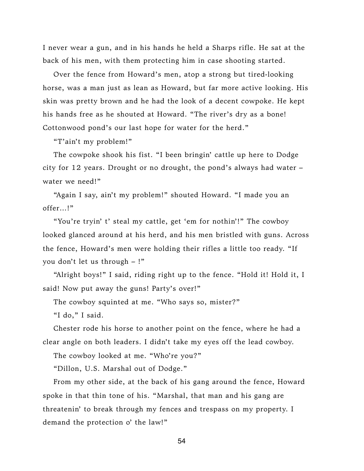I never wear a gun, and in his hands he held a Sharps rifle. He sat at the back of his men, with them protecting him in case shooting started.

Over the fence from Howard's men, atop a strong but tired-looking horse, was a man just as lean as Howard, but far more active looking. His skin was pretty brown and he had the look of a decent cowpoke. He kept his hands free as he shouted at Howard. "The river's dry as a bone! Cottonwood pond's our last hope for water for the herd."

"T'ain't my problem!"

The cowpoke shook his fist. "I been bringin' cattle up here to Dodge city for 12 years. Drought or no drought, the pond's always had water – water we need!"

"Again I say, ain't my problem!" shouted Howard. "I made you an offer…!"

"You're tryin' t' steal my cattle, get 'em for nothin'!" The cowboy looked glanced around at his herd, and his men bristled with guns. Across the fence, Howard's men were holding their rifles a little too ready. "If you don't let us through – !"

"Alright boys!" I said, riding right up to the fence. "Hold it! Hold it, I said! Now put away the guns! Party's over!"

The cowboy squinted at me. "Who says so, mister?"

"I do," I said.

Chester rode his horse to another point on the fence, where he had a clear angle on both leaders. I didn't take my eyes off the lead cowboy.

The cowboy looked at me. "Who're you?"

"Dillon, U.S. Marshal out of Dodge."

From my other side, at the back of his gang around the fence, Howard spoke in that thin tone of his. "Marshal, that man and his gang are threatenin' to break through my fences and trespass on my property. I demand the protection o' the law!"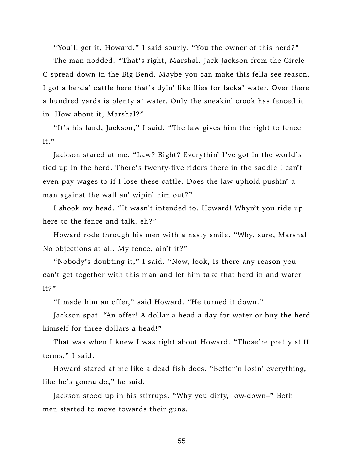"You'll get it, Howard," I said sourly. "You the owner of this herd?"

The man nodded. "That's right, Marshal. Jack Jackson from the Circle C spread down in the Big Bend. Maybe you can make this fella see reason. I got a herda' cattle here that's dyin' like flies for lacka' water. Over there a hundred yards is plenty a' water. Only the sneakin' crook has fenced it in. How about it, Marshal?"

"It's his land, Jackson," I said. "The law gives him the right to fence it."

Jackson stared at me. "Law? Right? Everythin' I've got in the world's tied up in the herd. There's twenty-five riders there in the saddle I can't even pay wages to if I lose these cattle. Does the law uphold pushin' a man against the wall an' wipin' him out?"

I shook my head. "It wasn't intended to. Howard! Whyn't you ride up here to the fence and talk, eh?"

Howard rode through his men with a nasty smile. "Why, sure, Marshal! No objections at all. My fence, ain't it?"

"Nobody's doubting it," I said. "Now, look, is there any reason you can't get together with this man and let him take that herd in and water it?"

"I made him an offer," said Howard. "He turned it down."

Jackson spat. "An offer! A dollar a head a day for water or buy the herd himself for three dollars a head!"

That was when I knew I was right about Howard. "Those're pretty stiff terms," I said.

Howard stared at me like a dead fish does. "Better'n losin' everything, like he's gonna do," he said.

Jackson stood up in his stirrups. "Why you dirty, low-down–" Both men started to move towards their guns.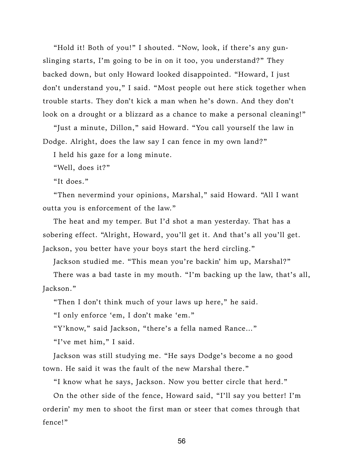"Hold it! Both of you!" I shouted. "Now, look, if there's any gunslinging starts, I'm going to be in on it too, you understand?" They backed down, but only Howard looked disappointed. "Howard, I just don't understand you," I said. "Most people out here stick together when trouble starts. They don't kick a man when he's down. And they don't look on a drought or a blizzard as a chance to make a personal cleaning!"

"Just a minute, Dillon," said Howard. "You call yourself the law in Dodge. Alright, does the law say I can fence in my own land?"

I held his gaze for a long minute.

"Well, does it?"

"It does."

"Then nevermind your opinions, Marshal," said Howard. "All I want outta you is enforcement of the law."

The heat and my temper. But I'd shot a man yesterday. That has a sobering effect. "Alright, Howard, you'll get it. And that's all you'll get. Jackson, you better have your boys start the herd circling."

Jackson studied me. "This mean you're backin' him up, Marshal?"

There was a bad taste in my mouth. "I'm backing up the law, that's all, Jackson."

"Then I don't think much of your laws up here," he said.

"I only enforce 'em, I don't make 'em."

"Y'know," said Jackson, "there's a fella named Rance…"

"I've met him," I said.

Jackson was still studying me. "He says Dodge's become a no good town. He said it was the fault of the new Marshal there."

"I know what he says, Jackson. Now you better circle that herd."

On the other side of the fence, Howard said, "I'll say you better! I'm orderin' my men to shoot the first man or steer that comes through that fence!"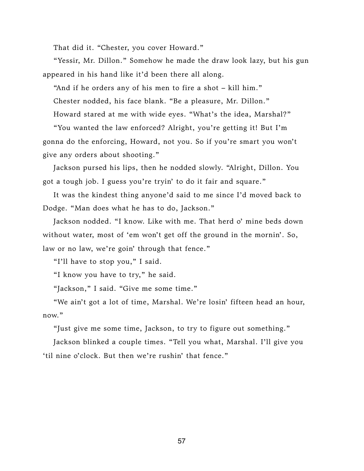That did it. "Chester, you cover Howard."

"Yessir, Mr. Dillon." Somehow he made the draw look lazy, but his gun appeared in his hand like it'd been there all along.

"And if he orders any of his men to fire a shot – kill him." Chester nodded, his face blank. "Be a pleasure, Mr. Dillon." Howard stared at me with wide eyes. "What's the idea, Marshal?"

"You wanted the law enforced? Alright, you're getting it! But I'm gonna do the enforcing, Howard, not you. So if you're smart you won't give any orders about shooting."

Jackson pursed his lips, then he nodded slowly. "Alright, Dillon. You got a tough job. I guess you're tryin' to do it fair and square."

It was the kindest thing anyone'd said to me since I'd moved back to Dodge. "Man does what he has to do, Jackson."

Jackson nodded. "I know. Like with me. That herd o' mine beds down without water, most of 'em won't get off the ground in the mornin'. So, law or no law, we're goin' through that fence."

"I'll have to stop you," I said.

"I know you have to try," he said.

"Jackson," I said. "Give me some time."

"We ain't got a lot of time, Marshal. We're losin' fifteen head an hour, now."

"Just give me some time, Jackson, to try to figure out something."

Jackson blinked a couple times. "Tell you what, Marshal. I'll give you 'til nine o'clock. But then we're rushin' that fence."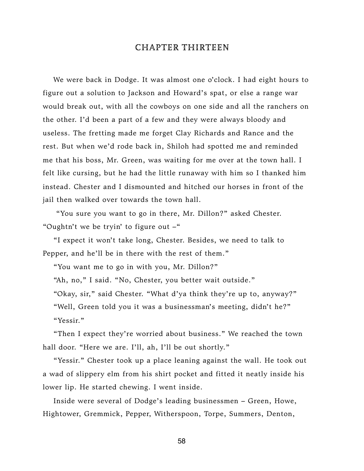## Chapter Thirteen

We were back in Dodge. It was almost one o'clock. I had eight hours to figure out a solution to Jackson and Howard's spat, or else a range war would break out, with all the cowboys on one side and all the ranchers on the other. I'd been a part of a few and they were always bloody and useless. The fretting made me forget Clay Richards and Rance and the rest. But when we'd rode back in, Shiloh had spotted me and reminded me that his boss, Mr. Green, was waiting for me over at the town hall. I felt like cursing, but he had the little runaway with him so I thanked him instead. Chester and I dismounted and hitched our horses in front of the jail then walked over towards the town hall.

 "You sure you want to go in there, Mr. Dillon?" asked Chester. "Oughtn't we be tryin' to figure out  $-$ "

"I expect it won't take long, Chester. Besides, we need to talk to Pepper, and he'll be in there with the rest of them."

"You want me to go in with you, Mr. Dillon?"

"Ah, no," I said. "No, Chester, you better wait outside."

"Okay, sir," said Chester. "What d'ya think they're up to, anyway?" "Well, Green told you it was a businessman's meeting, didn't he?"

"Yessir."

"Then I expect they're worried about business." We reached the town hall door. "Here we are. I'll, ah, I'll be out shortly."

"Yessir." Chester took up a place leaning against the wall. He took out a wad of slippery elm from his shirt pocket and fitted it neatly inside his lower lip. He started chewing. I went inside.

Inside were several of Dodge's leading businessmen – Green, Howe, Hightower, Gremmick, Pepper, Witherspoon, Torpe, Summers, Denton,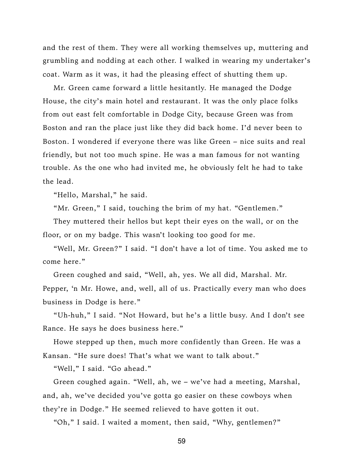and the rest of them. They were all working themselves up, muttering and grumbling and nodding at each other. I walked in wearing my undertaker's coat. Warm as it was, it had the pleasing effect of shutting them up.

Mr. Green came forward a little hesitantly. He managed the Dodge House, the city's main hotel and restaurant. It was the only place folks from out east felt comfortable in Dodge City, because Green was from Boston and ran the place just like they did back home. I'd never been to Boston. I wondered if everyone there was like Green – nice suits and real friendly, but not too much spine. He was a man famous for not wanting trouble. As the one who had invited me, he obviously felt he had to take the lead.

"Hello, Marshal," he said.

"Mr. Green," I said, touching the brim of my hat. "Gentlemen."

They muttered their hellos but kept their eyes on the wall, or on the floor, or on my badge. This wasn't looking too good for me.

"Well, Mr. Green?" I said. "I don't have a lot of time. You asked me to come here."

Green coughed and said, "Well, ah, yes. We all did, Marshal. Mr. Pepper, 'n Mr. Howe, and, well, all of us. Practically every man who does business in Dodge is here."

"Uh-huh," I said. "Not Howard, but he's a little busy. And I don't see Rance. He says he does business here."

Howe stepped up then, much more confidently than Green. He was a Kansan. "He sure does! That's what we want to talk about."

"Well," I said. "Go ahead."

Green coughed again. "Well, ah, we – we've had a meeting, Marshal, and, ah, we've decided you've gotta go easier on these cowboys when they're in Dodge." He seemed relieved to have gotten it out.

"Oh," I said. I waited a moment, then said, "Why, gentlemen?"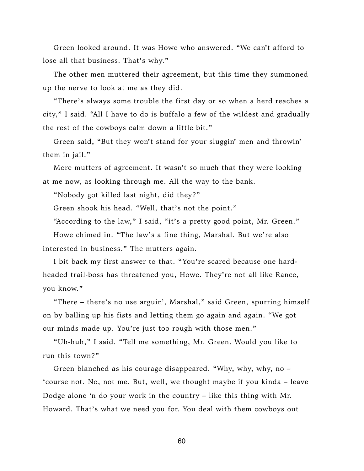Green looked around. It was Howe who answered. "We can't afford to lose all that business. That's why."

The other men muttered their agreement, but this time they summoned up the nerve to look at me as they did.

"There's always some trouble the first day or so when a herd reaches a city," I said. "All I have to do is buffalo a few of the wildest and gradually the rest of the cowboys calm down a little bit."

Green said, "But they won't stand for your sluggin' men and throwin' them in jail."

More mutters of agreement. It wasn't so much that they were looking at me now, as looking through me. All the way to the bank.

"Nobody got killed last night, did they?"

Green shook his head. "Well, that's not the point."

"According to the law," I said, "it's a pretty good point, Mr. Green."

Howe chimed in. "The law's a fine thing, Marshal. But we're also interested in business." The mutters again.

I bit back my first answer to that. "You're scared because one hardheaded trail-boss has threatened you, Howe. They're not all like Rance, you know."

"There – there's no use arguin', Marshal," said Green, spurring himself on by balling up his fists and letting them go again and again. "We got our minds made up. You're just too rough with those men."

"Uh-huh," I said. "Tell me something, Mr. Green. Would you like to run this town?"

Green blanched as his courage disappeared. "Why, why, why, no – 'course not. No, not me. But, well, we thought maybe if you kinda – leave Dodge alone 'n do your work in the country – like this thing with Mr. Howard. That's what we need you for. You deal with them cowboys out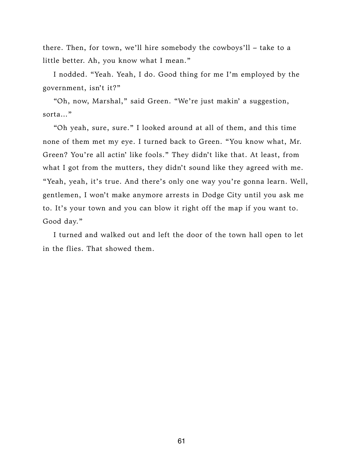there. Then, for town, we'll hire somebody the cowboys'll – take to a little better. Ah, you know what I mean."

I nodded. "Yeah. Yeah, I do. Good thing for me I'm employed by the government, isn't it?"

"Oh, now, Marshal," said Green. "We're just makin' a suggestion, sorta…"

"Oh yeah, sure, sure." I looked around at all of them, and this time none of them met my eye. I turned back to Green. "You know what, Mr. Green? You're all actin' like fools." They didn't like that. At least, from what I got from the mutters, they didn't sound like they agreed with me. "Yeah, yeah, it's true. And there's only one way you're gonna learn. Well, gentlemen, I won't make anymore arrests in Dodge City until you ask me to. It's your town and you can blow it right off the map if you want to. Good day."

I turned and walked out and left the door of the town hall open to let in the flies. That showed them.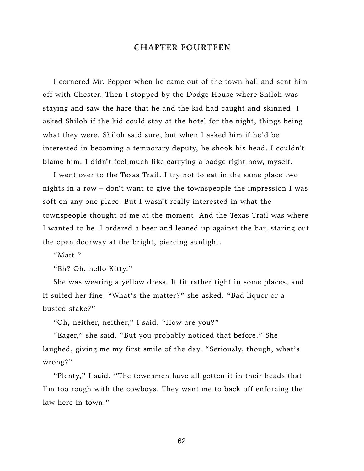# Chapter Fourteen

I cornered Mr. Pepper when he came out of the town hall and sent him off with Chester. Then I stopped by the Dodge House where Shiloh was staying and saw the hare that he and the kid had caught and skinned. I asked Shiloh if the kid could stay at the hotel for the night, things being what they were. Shiloh said sure, but when I asked him if he'd be interested in becoming a temporary deputy, he shook his head. I couldn't blame him. I didn't feel much like carrying a badge right now, myself.

I went over to the Texas Trail. I try not to eat in the same place two nights in a row – don't want to give the townspeople the impression I was soft on any one place. But I wasn't really interested in what the townspeople thought of me at the moment. And the Texas Trail was where I wanted to be. I ordered a beer and leaned up against the bar, staring out the open doorway at the bright, piercing sunlight.

"Matt."

"Eh? Oh, hello Kitty."

She was wearing a yellow dress. It fit rather tight in some places, and it suited her fine. "What's the matter?" she asked. "Bad liquor or a busted stake?"

"Oh, neither, neither," I said. "How are you?"

"Eager," she said. "But you probably noticed that before." She laughed, giving me my first smile of the day. "Seriously, though, what's wrong?"

"Plenty," I said. "The townsmen have all gotten it in their heads that I'm too rough with the cowboys. They want me to back off enforcing the law here in town."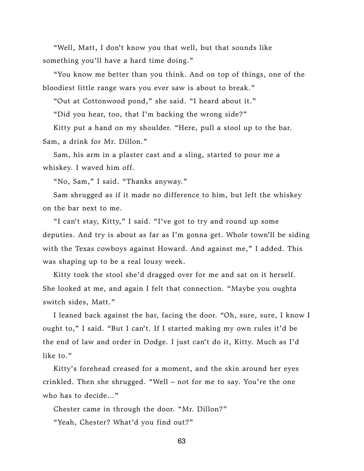"Well, Matt, I don't know you that well, but that sounds like something you'll have a hard time doing."

"You know me better than you think. And on top of things, one of the bloodiest little range wars you ever saw is about to break."

"Out at Cottonwood pond," she said. "I heard about it."

"Did you hear, too, that I'm backing the wrong side?"

Kitty put a hand on my shoulder. "Here, pull a stool up to the bar. Sam, a drink for Mr. Dillon."

Sam, his arm in a plaster cast and a sling, started to pour me a whiskey. I waved him off.

"No, Sam," I said. "Thanks anyway."

Sam shrugged as if it made no difference to him, but left the whiskey on the bar next to me.

"I can't stay, Kitty," I said. "I've got to try and round up some deputies. And try is about as far as I'm gonna get. Whole town'll be siding with the Texas cowboys against Howard. And against me," I added. This was shaping up to be a real lousy week.

Kitty took the stool she'd dragged over for me and sat on it herself. She looked at me, and again I felt that connection. "Maybe you oughta switch sides, Matt."

I leaned back against the bar, facing the door. "Oh, sure, sure, I know I ought to," I said. "But I can't. If I started making my own rules it'd be the end of law and order in Dodge. I just can't do it, Kitty. Much as I'd like to."

Kitty's forehead creased for a moment, and the skin around her eyes crinkled. Then she shrugged. "Well – not for me to say. You're the one who has to decide…"

Chester came in through the door. "Mr. Dillon?" "Yeah, Chester? What'd you find out?"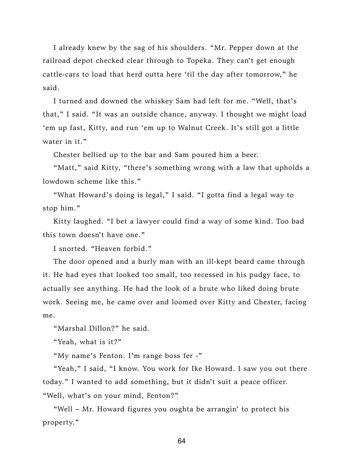I already knew by the sag of his shoulders. "Mr. Pepper down at the railroad depot checked clear through to Topeka. They can't get enough cattle-cars to load that herd outta here 'til the day after tomorrow," he said.

I turned and downed the whiskey Sam had left for me. "Well, that's that," I said. "It was an outside chance, anyway. I thought we might load 'em up fast, Kitty, and run 'em up to Walnut Creek. It's still got a little water in it."

Chester bellied up to the bar and Sam poured him a beer.

"Matt," said Kitty, "there's something wrong with a law that upholds a lowdown scheme like this."

"What Howard's doing is legal," I said. "I gotta find a legal way to stop him."

Kitty laughed. "I bet a lawyer could find a way of some kind. Too bad this town doesn't have one."

I snorted. "Heaven forbid."

The door opened and a burly man with an ill-kept beard came through it. He had eyes that looked too small, too recessed in his pudgy face, to actually see anything. He had the look of a brute who liked doing brute work. Seeing me, he came over and loomed over Kitty and Chester, facing me.

"Marshal Dillon?" he said.

"Yeah, what is it?"

"My name's Fenton. I'm range boss fer -"

"Yeah," I said, "I know. You work for Ike Howard. I saw you out there today." I wanted to add something, but it didn't suit a peace officer. "Well, what's on your mind, Fenton?"

"Well – Mr. Howard figures you oughta be arrangin' to protect his property."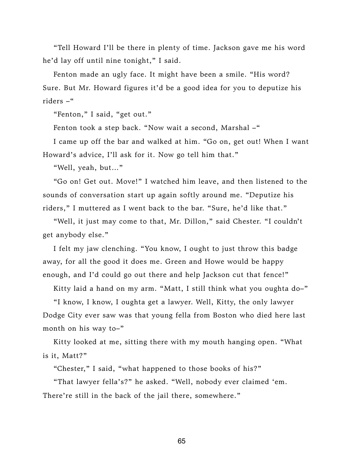"Tell Howard I'll be there in plenty of time. Jackson gave me his word he'd lay off until nine tonight," I said.

Fenton made an ugly face. It might have been a smile. "His word? Sure. But Mr. Howard figures it'd be a good idea for you to deputize his riders –"

"Fenton," I said, "get out."

Fenton took a step back. "Now wait a second, Marshal -"

I came up off the bar and walked at him. "Go on, get out! When I want Howard's advice, I'll ask for it. Now go tell him that."

"Well, yeah, but…"

"Go on! Get out. Move!" I watched him leave, and then listened to the sounds of conversation start up again softly around me. "Deputize his riders," I muttered as I went back to the bar. "Sure, he'd like that."

"Well, it just may come to that, Mr. Dillon," said Chester. "I couldn't get anybody else."

I felt my jaw clenching. "You know, I ought to just throw this badge away, for all the good it does me. Green and Howe would be happy enough, and I'd could go out there and help Jackson cut that fence!"

Kitty laid a hand on my arm. "Matt, I still think what you oughta do–"

"I know, I know, I oughta get a lawyer. Well, Kitty, the only lawyer Dodge City ever saw was that young fella from Boston who died here last month on his way to–"

Kitty looked at me, sitting there with my mouth hanging open. "What is it, Matt?"

"Chester," I said, "what happened to those books of his?"

"That lawyer fella's?" he asked. "Well, nobody ever claimed 'em. There're still in the back of the jail there, somewhere."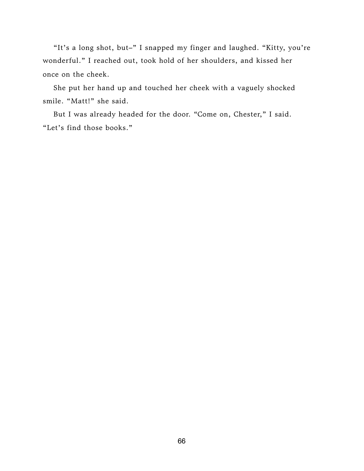"It's a long shot, but–" I snapped my finger and laughed. "Kitty, you're wonderful." I reached out, took hold of her shoulders, and kissed her once on the cheek.

She put her hand up and touched her cheek with a vaguely shocked smile. "Matt!" she said.

But I was already headed for the door. "Come on, Chester," I said. "Let's find those books."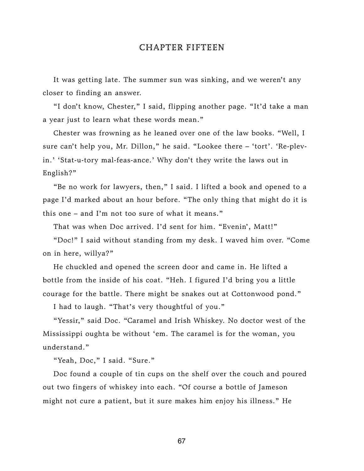## Chapter Fifteen

It was getting late. The summer sun was sinking, and we weren't any closer to finding an answer.

"I don't know, Chester," I said, flipping another page. "It'd take a man a year just to learn what these words mean."

Chester was frowning as he leaned over one of the law books. "Well, I sure can't help you, Mr. Dillon," he said. "Lookee there – 'tort'. 'Re-plevin.' 'Stat-u-tory mal-feas-ance.' Why don't they write the laws out in English?"

"Be no work for lawyers, then," I said. I lifted a book and opened to a page I'd marked about an hour before. "The only thing that might do it is this one – and I'm not too sure of what it means."

That was when Doc arrived. I'd sent for him. "Evenin', Matt!"

"Doc!" I said without standing from my desk. I waved him over. "Come on in here, willya?"

He chuckled and opened the screen door and came in. He lifted a bottle from the inside of his coat. "Heh. I figured I'd bring you a little courage for the battle. There might be snakes out at Cottonwood pond."

I had to laugh. "That's very thoughtful of you."

"Yessir," said Doc. "Caramel and Irish Whiskey. No doctor west of the Mississippi oughta be without 'em. The caramel is for the woman, you understand."

"Yeah, Doc," I said. "Sure."

Doc found a couple of tin cups on the shelf over the couch and poured out two fingers of whiskey into each. "Of course a bottle of Jameson might not cure a patient, but it sure makes him enjoy his illness." He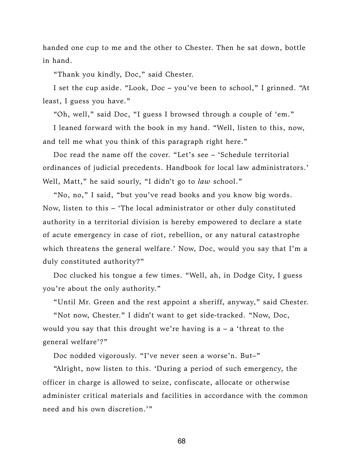handed one cup to me and the other to Chester. Then he sat down, bottle in hand.

"Thank you kindly, Doc," said Chester.

I set the cup aside. "Look, Doc – you've been to school," I grinned. "At least, I guess you have."

"Oh, well," said Doc, "I guess I browsed through a couple of 'em."

I leaned forward with the book in my hand. "Well, listen to this, now, and tell me what you think of this paragraph right here."

Doc read the name off the cover. "Let's see – 'Schedule territorial ordinances of judicial precedents. Handbook for local law administrators.' Well, Matt," he said sourly, "I didn't go to *law* school."

"No, no," I said, "but you've read books and you know big words. Now, listen to this – 'The local administrator or other duly constituted authority in a territorial division is hereby empowered to declare a state of acute emergency in case of riot, rebellion, or any natural catastrophe which threatens the general welfare.' Now, Doc, would you say that I'm a duly constituted authority?"

Doc clucked his tongue a few times. "Well, ah, in Dodge City, I guess you're about the only authority."

"Until Mr. Green and the rest appoint a sheriff, anyway," said Chester.

"Not now, Chester." I didn't want to get side-tracked. "Now, Doc, would you say that this drought we're having is a – a 'threat to the general welfare'?"

Doc nodded vigorously. "I've never seen a worse'n. But–"

"Alright, now listen to this. 'During a period of such emergency, the officer in charge is allowed to seize, confiscate, allocate or otherwise administer critical materials and facilities in accordance with the common need and his own discretion.'"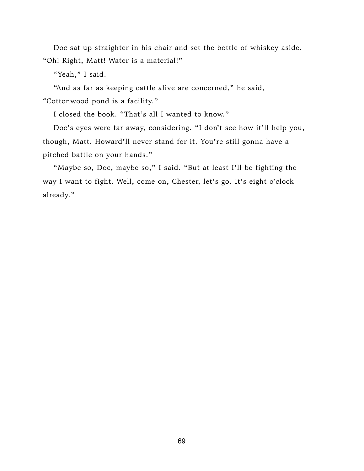Doc sat up straighter in his chair and set the bottle of whiskey aside. "Oh! Right, Matt! Water is a material!"

"Yeah," I said.

"And as far as keeping cattle alive are concerned," he said, "Cottonwood pond is a facility."

I closed the book. "That's all I wanted to know."

Doc's eyes were far away, considering. "I don't see how it'll help you, though, Matt. Howard'll never stand for it. You're still gonna have a pitched battle on your hands."

"Maybe so, Doc, maybe so," I said. "But at least I'll be fighting the way I want to fight. Well, come on, Chester, let's go. It's eight o'clock already."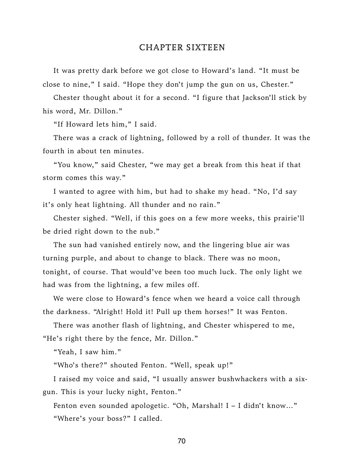### Chapter Sixteen

It was pretty dark before we got close to Howard's land. "It must be close to nine," I said. "Hope they don't jump the gun on us, Chester."

Chester thought about it for a second. "I figure that Jackson'll stick by his word, Mr. Dillon."

"If Howard lets him," I said.

There was a crack of lightning, followed by a roll of thunder. It was the fourth in about ten minutes.

"You know," said Chester, "we may get a break from this heat if that storm comes this way."

I wanted to agree with him, but had to shake my head. "No, I'd say it's only heat lightning. All thunder and no rain."

Chester sighed. "Well, if this goes on a few more weeks, this prairie'll be dried right down to the nub."

The sun had vanished entirely now, and the lingering blue air was turning purple, and about to change to black. There was no moon, tonight, of course. That would've been too much luck. The only light we had was from the lightning, a few miles off.

We were close to Howard's fence when we heard a voice call through the darkness. "Alright! Hold it! Pull up them horses!" It was Fenton.

There was another flash of lightning, and Chester whispered to me, "He's right there by the fence, Mr. Dillon."

"Yeah, I saw him."

"Who's there?" shouted Fenton. "Well, speak up!"

I raised my voice and said, "I usually answer bushwhackers with a sixgun. This is your lucky night, Fenton."

Fenton even sounded apologetic. "Oh, Marshal! I – I didn't know…" "Where's your boss?" I called.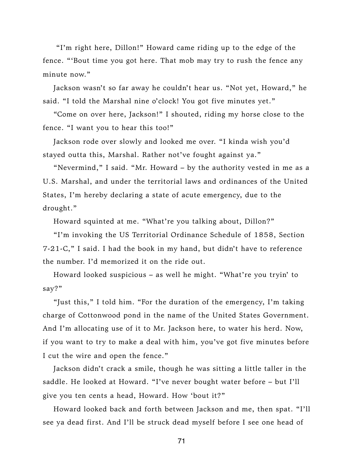"I'm right here, Dillon!" Howard came riding up to the edge of the fence. "'Bout time you got here. That mob may try to rush the fence any minute now."

Jackson wasn't so far away he couldn't hear us. "Not yet, Howard," he said. "I told the Marshal nine o'clock! You got five minutes yet."

"Come on over here, Jackson!" I shouted, riding my horse close to the fence. "I want you to hear this too!"

Jackson rode over slowly and looked me over. "I kinda wish you'd stayed outta this, Marshal. Rather not've fought against ya."

"Nevermind," I said. "Mr. Howard – by the authority vested in me as a U.S. Marshal, and under the territorial laws and ordinances of the United States, I'm hereby declaring a state of acute emergency, due to the drought."

Howard squinted at me. "What're you talking about, Dillon?"

"I'm invoking the US Territorial Ordinance Schedule of 1858, Section 7-21-C," I said. I had the book in my hand, but didn't have to reference the number. I'd memorized it on the ride out.

Howard looked suspicious – as well he might. "What're you tryin' to say?"

"Just this," I told him. "For the duration of the emergency, I'm taking charge of Cottonwood pond in the name of the United States Government. And I'm allocating use of it to Mr. Jackson here, to water his herd. Now, if you want to try to make a deal with him, you've got five minutes before I cut the wire and open the fence."

Jackson didn't crack a smile, though he was sitting a little taller in the saddle. He looked at Howard. "I've never bought water before – but I'll give you ten cents a head, Howard. How 'bout it?"

Howard looked back and forth between Jackson and me, then spat. "I'll see ya dead first. And I'll be struck dead myself before I see one head of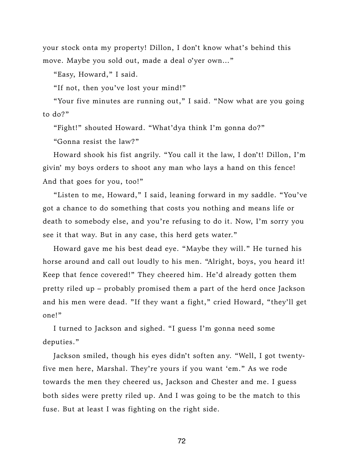your stock onta my property! Dillon, I don't know what's behind this move. Maybe you sold out, made a deal o'yer own…"

"Easy, Howard," I said.

"If not, then you've lost your mind!"

"Your five minutes are running out," I said. "Now what are you going to do?"

"Fight!" shouted Howard. "What'dya think I'm gonna do?"

"Gonna resist the law?"

Howard shook his fist angrily. "You call it the law, I don't! Dillon, I'm givin' my boys orders to shoot any man who lays a hand on this fence! And that goes for you, too!"

"Listen to me, Howard," I said, leaning forward in my saddle. "You've got a chance to do something that costs you nothing and means life or death to somebody else, and you're refusing to do it. Now, I'm sorry you see it that way. But in any case, this herd gets water."

Howard gave me his best dead eye. "Maybe they will." He turned his horse around and call out loudly to his men. "Alright, boys, you heard it! Keep that fence covered!" They cheered him. He'd already gotten them pretty riled up – probably promised them a part of the herd once Jackson and his men were dead. "If they want a fight," cried Howard, "they'll get one!"

I turned to Jackson and sighed. "I guess I'm gonna need some deputies."

Jackson smiled, though his eyes didn't soften any. "Well, I got twentyfive men here, Marshal. They're yours if you want 'em." As we rode towards the men they cheered us, Jackson and Chester and me. I guess both sides were pretty riled up. And I was going to be the match to this fuse. But at least I was fighting on the right side.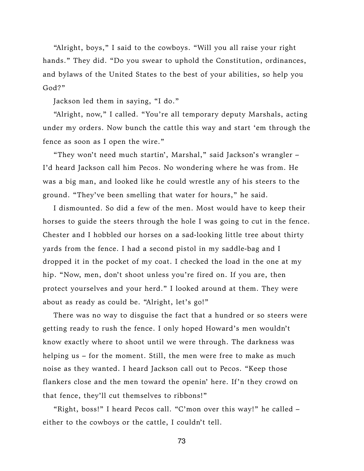"Alright, boys," I said to the cowboys. "Will you all raise your right hands." They did. "Do you swear to uphold the Constitution, ordinances, and bylaws of the United States to the best of your abilities, so help you God?"

Jackson led them in saying, "I do."

"Alright, now," I called. "You're all temporary deputy Marshals, acting under my orders. Now bunch the cattle this way and start 'em through the fence as soon as I open the wire."

"They won't need much startin', Marshal," said Jackson's wrangler – I'd heard Jackson call him Pecos. No wondering where he was from. He was a big man, and looked like he could wrestle any of his steers to the ground. "They've been smelling that water for hours," he said.

I dismounted. So did a few of the men. Most would have to keep their horses to guide the steers through the hole I was going to cut in the fence. Chester and I hobbled our horses on a sad-looking little tree about thirty yards from the fence. I had a second pistol in my saddle-bag and I dropped it in the pocket of my coat. I checked the load in the one at my hip. "Now, men, don't shoot unless you're fired on. If you are, then protect yourselves and your herd." I looked around at them. They were about as ready as could be. "Alright, let's go!"

There was no way to disguise the fact that a hundred or so steers were getting ready to rush the fence. I only hoped Howard's men wouldn't know exactly where to shoot until we were through. The darkness was helping us – for the moment. Still, the men were free to make as much noise as they wanted. I heard Jackson call out to Pecos. "Keep those flankers close and the men toward the openin' here. If'n they crowd on that fence, they'll cut themselves to ribbons!"

"Right, boss!" I heard Pecos call. "C'mon over this way!" he called – either to the cowboys or the cattle, I couldn't tell.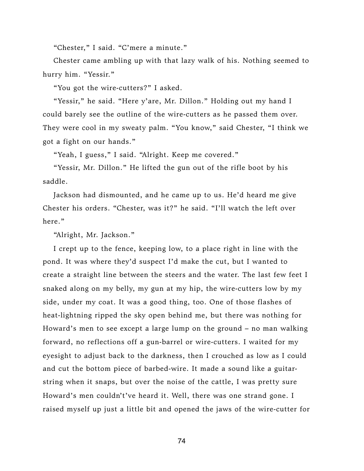"Chester," I said. "C'mere a minute."

Chester came ambling up with that lazy walk of his. Nothing seemed to hurry him. "Yessir."

"You got the wire-cutters?" I asked.

"Yessir," he said. "Here y'are, Mr. Dillon." Holding out my hand I could barely see the outline of the wire-cutters as he passed them over. They were cool in my sweaty palm. "You know," said Chester, "I think we got a fight on our hands."

"Yeah, I guess," I said. "Alright. Keep me covered."

"Yessir, Mr. Dillon." He lifted the gun out of the rifle boot by his saddle.

Jackson had dismounted, and he came up to us. He'd heard me give Chester his orders. "Chester, was it?" he said. "I'll watch the left over here."

"Alright, Mr. Jackson."

I crept up to the fence, keeping low, to a place right in line with the pond. It was where they'd suspect I'd make the cut, but I wanted to create a straight line between the steers and the water. The last few feet I snaked along on my belly, my gun at my hip, the wire-cutters low by my side, under my coat. It was a good thing, too. One of those flashes of heat-lightning ripped the sky open behind me, but there was nothing for Howard's men to see except a large lump on the ground – no man walking forward, no reflections off a gun-barrel or wire-cutters. I waited for my eyesight to adjust back to the darkness, then I crouched as low as I could and cut the bottom piece of barbed-wire. It made a sound like a guitarstring when it snaps, but over the noise of the cattle, I was pretty sure Howard's men couldn't've heard it. Well, there was one strand gone. I raised myself up just a little bit and opened the jaws of the wire-cutter for

74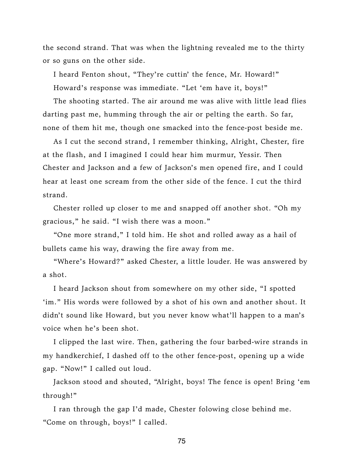the second strand. That was when the lightning revealed me to the thirty or so guns on the other side.

I heard Fenton shout, "They're cuttin' the fence, Mr. Howard!" Howard's response was immediate. "Let 'em have it, boys!"

The shooting started. The air around me was alive with little lead flies darting past me, humming through the air or pelting the earth. So far, none of them hit me, though one smacked into the fence-post beside me.

As I cut the second strand, I remember thinking, Alright, Chester, fire at the flash, and I imagined I could hear him murmur, Yessir. Then Chester and Jackson and a few of Jackson's men opened fire, and I could hear at least one scream from the other side of the fence. I cut the third strand.

Chester rolled up closer to me and snapped off another shot. "Oh my gracious," he said. "I wish there was a moon."

"One more strand," I told him. He shot and rolled away as a hail of bullets came his way, drawing the fire away from me.

"Where's Howard?" asked Chester, a little louder. He was answered by a shot.

I heard Jackson shout from somewhere on my other side, "I spotted 'im." His words were followed by a shot of his own and another shout. It didn't sound like Howard, but you never know what'll happen to a man's voice when he's been shot.

I clipped the last wire. Then, gathering the four barbed-wire strands in my handkerchief, I dashed off to the other fence-post, opening up a wide gap. "Now!" I called out loud.

Jackson stood and shouted, "Alright, boys! The fence is open! Bring 'em through!"

I ran through the gap I'd made, Chester folowing close behind me. "Come on through, boys!" I called.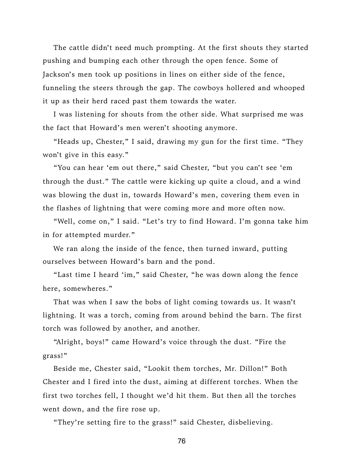The cattle didn't need much prompting. At the first shouts they started pushing and bumping each other through the open fence. Some of Jackson's men took up positions in lines on either side of the fence, funneling the steers through the gap. The cowboys hollered and whooped it up as their herd raced past them towards the water.

I was listening for shouts from the other side. What surprised me was the fact that Howard's men weren't shooting anymore.

"Heads up, Chester," I said, drawing my gun for the first time. "They won't give in this easy."

"You can hear 'em out there," said Chester, "but you can't see 'em through the dust." The cattle were kicking up quite a cloud, and a wind was blowing the dust in, towards Howard's men, covering them even in the flashes of lightning that were coming more and more often now.

"Well, come on," I said. "Let's try to find Howard. I'm gonna take him in for attempted murder."

We ran along the inside of the fence, then turned inward, putting ourselves between Howard's barn and the pond.

"Last time I heard 'im," said Chester, "he was down along the fence here, somewheres."

That was when I saw the bobs of light coming towards us. It wasn't lightning. It was a torch, coming from around behind the barn. The first torch was followed by another, and another.

"Alright, boys!" came Howard's voice through the dust. "Fire the grass!"

Beside me, Chester said, "Lookit them torches, Mr. Dillon!" Both Chester and I fired into the dust, aiming at different torches. When the first two torches fell, I thought we'd hit them. But then all the torches went down, and the fire rose up.

"They're setting fire to the grass!" said Chester, disbelieving.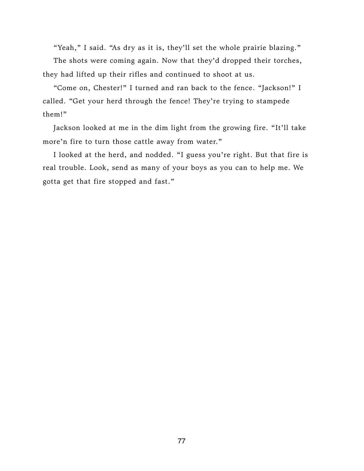"Yeah," I said. "As dry as it is, they'll set the whole prairie blazing."

The shots were coming again. Now that they'd dropped their torches, they had lifted up their rifles and continued to shoot at us.

"Come on, Chester!" I turned and ran back to the fence. "Jackson!" I called. "Get your herd through the fence! They're trying to stampede them!"

Jackson looked at me in the dim light from the growing fire. "It'll take more'n fire to turn those cattle away from water."

I looked at the herd, and nodded. "I guess you're right. But that fire is real trouble. Look, send as many of your boys as you can to help me. We gotta get that fire stopped and fast."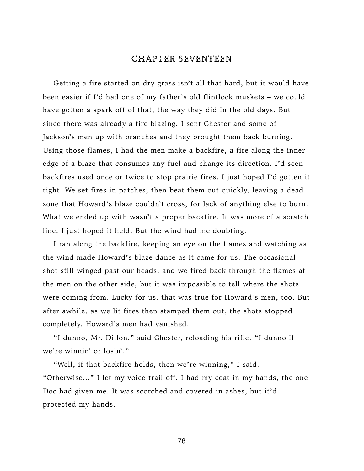## Chapter Seventeen

Getting a fire started on dry grass isn't all that hard, but it would have been easier if I'd had one of my father's old flintlock muskets – we could have gotten a spark off of that, the way they did in the old days. But since there was already a fire blazing, I sent Chester and some of Jackson's men up with branches and they brought them back burning. Using those flames, I had the men make a backfire, a fire along the inner edge of a blaze that consumes any fuel and change its direction. I'd seen backfires used once or twice to stop prairie fires. I just hoped I'd gotten it right. We set fires in patches, then beat them out quickly, leaving a dead zone that Howard's blaze couldn't cross, for lack of anything else to burn. What we ended up with wasn't a proper backfire. It was more of a scratch line. I just hoped it held. But the wind had me doubting.

I ran along the backfire, keeping an eye on the flames and watching as the wind made Howard's blaze dance as it came for us. The occasional shot still winged past our heads, and we fired back through the flames at the men on the other side, but it was impossible to tell where the shots were coming from. Lucky for us, that was true for Howard's men, too. But after awhile, as we lit fires then stamped them out, the shots stopped completely. Howard's men had vanished.

"I dunno, Mr. Dillon," said Chester, reloading his rifle. "I dunno if we're winnin' or losin'."

"Well, if that backfire holds, then we're winning," I said. "Otherwise…" I let my voice trail off. I had my coat in my hands, the one Doc had given me. It was scorched and covered in ashes, but it'd protected my hands.

78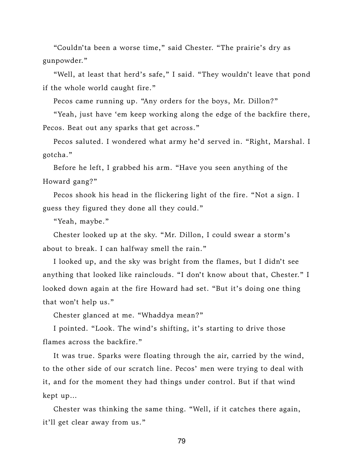"Couldn'ta been a worse time," said Chester. "The prairie's dry as gunpowder."

"Well, at least that herd's safe," I said. "They wouldn't leave that pond if the whole world caught fire."

Pecos came running up. "Any orders for the boys, Mr. Dillon?"

"Yeah, just have 'em keep working along the edge of the backfire there, Pecos. Beat out any sparks that get across."

Pecos saluted. I wondered what army he'd served in. "Right, Marshal. I gotcha."

Before he left, I grabbed his arm. "Have you seen anything of the Howard gang?"

Pecos shook his head in the flickering light of the fire. "Not a sign. I guess they figured they done all they could."

"Yeah, maybe."

Chester looked up at the sky. "Mr. Dillon, I could swear a storm's about to break. I can halfway smell the rain."

I looked up, and the sky was bright from the flames, but I didn't see anything that looked like rainclouds. "I don't know about that, Chester." I looked down again at the fire Howard had set. "But it's doing one thing that won't help us."

Chester glanced at me. "Whaddya mean?"

I pointed. "Look. The wind's shifting, it's starting to drive those flames across the backfire."

It was true. Sparks were floating through the air, carried by the wind, to the other side of our scratch line. Pecos' men were trying to deal with it, and for the moment they had things under control. But if that wind kept up…

Chester was thinking the same thing. "Well, if it catches there again, it'll get clear away from us."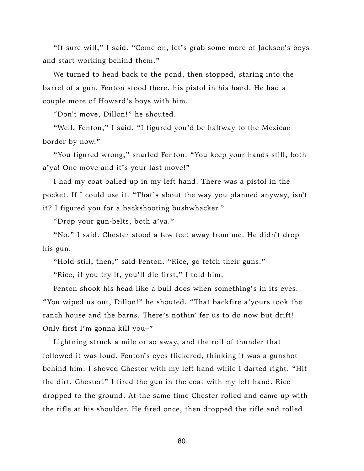"It sure will," I said. "Come on, let's grab some more of Jackson's boys and start working behind them."

We turned to head back to the pond, then stopped, staring into the barrel of a gun. Fenton stood there, his pistol in his hand. He had a couple more of Howard's boys with him.

"Don't move, Dillon!" he shouted.

"Well, Fenton," I said. "I figured you'd be halfway to the Mexican border by now."

"You figured wrong," snarled Fenton. "You keep your hands still, both a'ya! One move and it's your last move!"

I had my coat balled up in my left hand. There was a pistol in the pocket. If I could use it. "That's about the way you planned anyway, isn't it? I figured you for a backshooting bushwhacker."

"Drop your gun-belts, both a'ya."

"No," I said. Chester stood a few feet away from me. He didn't drop his gun.

"Hold still, then," said Fenton. "Rice, go fetch their guns."

"Rice, if you try it, you'll die first," I told him.

Fenton shook his head like a bull does when something's in its eyes. "You wiped us out, Dillon!" he shouted. "That backfire a'yours took the ranch house and the barns. There's nothin' fer us to do now but drift! Only first I'm gonna kill you–"

Lightning struck a mile or so away, and the roll of thunder that followed it was loud. Fenton's eyes flickered, thinking it was a gunshot behind him. I shoved Chester with my left hand while I darted right. "Hit the dirt, Chester!" I fired the gun in the coat with my left hand. Rice dropped to the ground. At the same time Chester rolled and came up with the rifle at his shoulder. He fired once, then dropped the rifle and rolled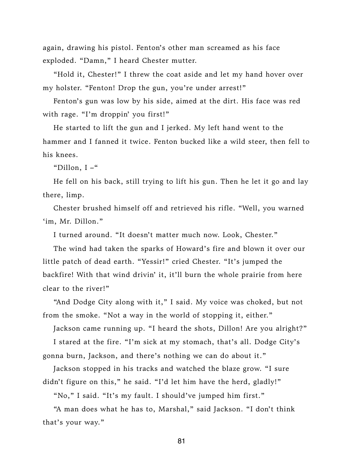again, drawing his pistol. Fenton's other man screamed as his face exploded. "Damn," I heard Chester mutter.

"Hold it, Chester!" I threw the coat aside and let my hand hover over my holster. "Fenton! Drop the gun, you're under arrest!"

Fenton's gun was low by his side, aimed at the dirt. His face was red with rage. "I'm droppin' you first!"

He started to lift the gun and I jerked. My left hand went to the hammer and I fanned it twice. Fenton bucked like a wild steer, then fell to his knees.

"Dillon,  $I -$ "

He fell on his back, still trying to lift his gun. Then he let it go and lay there, limp.

Chester brushed himself off and retrieved his rifle. "Well, you warned 'im, Mr. Dillon."

I turned around. "It doesn't matter much now. Look, Chester."

The wind had taken the sparks of Howard's fire and blown it over our little patch of dead earth. "Yessir!" cried Chester. "It's jumped the backfire! With that wind drivin' it, it'll burn the whole prairie from here clear to the river!"

"And Dodge City along with it," I said. My voice was choked, but not from the smoke. "Not a way in the world of stopping it, either."

Jackson came running up. "I heard the shots, Dillon! Are you alright?"

I stared at the fire. "I'm sick at my stomach, that's all. Dodge City's gonna burn, Jackson, and there's nothing we can do about it."

Jackson stopped in his tracks and watched the blaze grow. "I sure didn't figure on this," he said. "I'd let him have the herd, gladly!"

"No," I said. "It's my fault. I should've jumped him first."

"A man does what he has to, Marshal," said Jackson. "I don't think that's your way."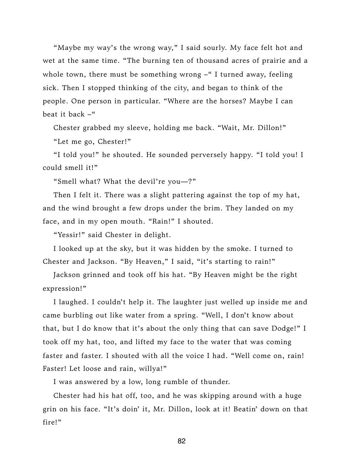"Maybe my way's the wrong way," I said sourly. My face felt hot and wet at the same time. "The burning ten of thousand acres of prairie and a whole town, there must be something wrong  $-$ " I turned away, feeling sick. Then I stopped thinking of the city, and began to think of the people. One person in particular. "Where are the horses? Maybe I can beat it back  $-$ "

Chester grabbed my sleeve, holding me back. "Wait, Mr. Dillon!" "Let me go, Chester!"

"I told you!" he shouted. He sounded perversely happy. "I told you! I could smell it!"

"Smell what? What the devil're you—?"

Then I felt it. There was a slight pattering against the top of my hat, and the wind brought a few drops under the brim. They landed on my face, and in my open mouth. "Rain!" I shouted.

"Yessir!" said Chester in delight.

I looked up at the sky, but it was hidden by the smoke. I turned to Chester and Jackson. "By Heaven," I said, "it's starting to rain!"

Jackson grinned and took off his hat. "By Heaven might be the right expression!"

I laughed. I couldn't help it. The laughter just welled up inside me and came burbling out like water from a spring. "Well, I don't know about that, but I do know that it's about the only thing that can save Dodge!" I took off my hat, too, and lifted my face to the water that was coming faster and faster. I shouted with all the voice I had. "Well come on, rain! Faster! Let loose and rain, willya!"

I was answered by a low, long rumble of thunder.

Chester had his hat off, too, and he was skipping around with a huge grin on his face. "It's doin' it, Mr. Dillon, look at it! Beatin' down on that fire!"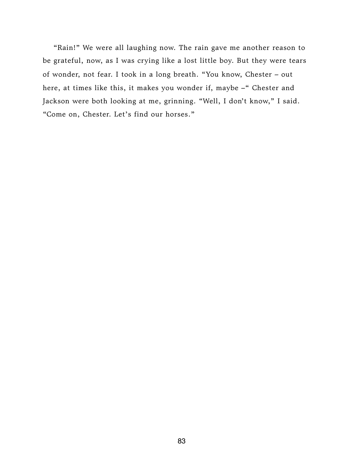"Rain!" We were all laughing now. The rain gave me another reason to be grateful, now, as I was crying like a lost little boy. But they were tears of wonder, not fear. I took in a long breath. "You know, Chester – out here, at times like this, it makes you wonder if, maybe -" Chester and Jackson were both looking at me, grinning. "Well, I don't know," I said. "Come on, Chester. Let's find our horses."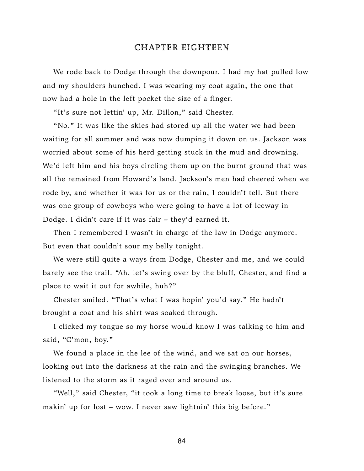### Chapter Eighteen

We rode back to Dodge through the downpour. I had my hat pulled low and my shoulders hunched. I was wearing my coat again, the one that now had a hole in the left pocket the size of a finger.

"It's sure not lettin' up, Mr. Dillon," said Chester.

"No." It was like the skies had stored up all the water we had been waiting for all summer and was now dumping it down on us. Jackson was worried about some of his herd getting stuck in the mud and drowning. We'd left him and his boys circling them up on the burnt ground that was all the remained from Howard's land. Jackson's men had cheered when we rode by, and whether it was for us or the rain, I couldn't tell. But there was one group of cowboys who were going to have a lot of leeway in Dodge. I didn't care if it was fair – they'd earned it.

Then I remembered I wasn't in charge of the law in Dodge anymore. But even that couldn't sour my belly tonight.

We were still quite a ways from Dodge, Chester and me, and we could barely see the trail. "Ah, let's swing over by the bluff, Chester, and find a place to wait it out for awhile, huh?"

Chester smiled. "That's what I was hopin' you'd say." He hadn't brought a coat and his shirt was soaked through.

I clicked my tongue so my horse would know I was talking to him and said, "C'mon, boy."

We found a place in the lee of the wind, and we sat on our horses, looking out into the darkness at the rain and the swinging branches. We listened to the storm as it raged over and around us.

"Well," said Chester, "it took a long time to break loose, but it's sure makin' up for lost – wow. I never saw lightnin' this big before."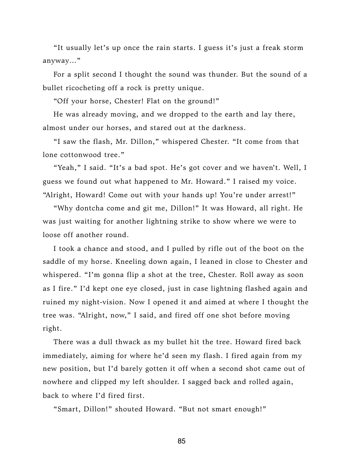"It usually let's up once the rain starts. I guess it's just a freak storm anyway…"

For a split second I thought the sound was thunder. But the sound of a bullet ricocheting off a rock is pretty unique.

"Off your horse, Chester! Flat on the ground!"

He was already moving, and we dropped to the earth and lay there, almost under our horses, and stared out at the darkness.

"I saw the flash, Mr. Dillon," whispered Chester. "It come from that lone cottonwood tree."

"Yeah," I said. "It's a bad spot. He's got cover and we haven't. Well, I guess we found out what happened to Mr. Howard." I raised my voice. "Alright, Howard! Come out with your hands up! You're under arrest!"

"Why dontcha come and git me, Dillon!" It was Howard, all right. He was just waiting for another lightning strike to show where we were to loose off another round.

I took a chance and stood, and I pulled by rifle out of the boot on the saddle of my horse. Kneeling down again, I leaned in close to Chester and whispered. "I'm gonna flip a shot at the tree, Chester. Roll away as soon as I fire." I'd kept one eye closed, just in case lightning flashed again and ruined my night-vision. Now I opened it and aimed at where I thought the tree was. "Alright, now," I said, and fired off one shot before moving right.

There was a dull thwack as my bullet hit the tree. Howard fired back immediately, aiming for where he'd seen my flash. I fired again from my new position, but I'd barely gotten it off when a second shot came out of nowhere and clipped my left shoulder. I sagged back and rolled again, back to where I'd fired first.

"Smart, Dillon!" shouted Howard. "But not smart enough!"

85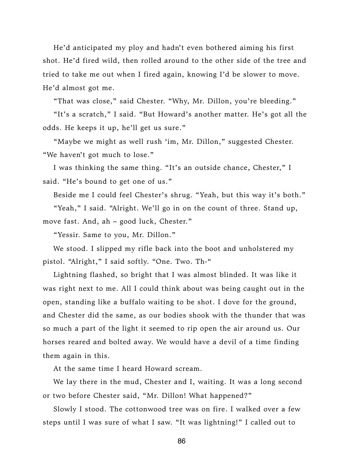He'd anticipated my ploy and hadn't even bothered aiming his first shot. He'd fired wild, then rolled around to the other side of the tree and tried to take me out when I fired again, knowing I'd be slower to move. He'd almost got me.

"That was close," said Chester. "Why, Mr. Dillon, you're bleeding."

"It's a scratch," I said. "But Howard's another matter. He's got all the odds. He keeps it up, he'll get us sure."

"Maybe we might as well rush 'im, Mr. Dillon," suggested Chester. "We haven't got much to lose."

I was thinking the same thing. "It's an outside chance, Chester," I said. "He's bound to get one of us."

Beside me I could feel Chester's shrug. "Yeah, but this way it's both."

"Yeah," I said. "Alright. We'll go in on the count of three. Stand up, move fast. And, ah – good luck, Chester."

"Yessir. Same to you, Mr. Dillon."

We stood. I slipped my rifle back into the boot and unholstered my pistol. "Alright," I said softly. "One. Two. Th-"

Lightning flashed, so bright that I was almost blinded. It was like it was right next to me. All I could think about was being caught out in the open, standing like a buffalo waiting to be shot. I dove for the ground, and Chester did the same, as our bodies shook with the thunder that was so much a part of the light it seemed to rip open the air around us. Our horses reared and bolted away. We would have a devil of a time finding them again in this.

At the same time I heard Howard scream.

We lay there in the mud, Chester and I, waiting. It was a long second or two before Chester said, "Mr. Dillon! What happened?"

Slowly I stood. The cottonwood tree was on fire. I walked over a few steps until I was sure of what I saw. "It was lightning!" I called out to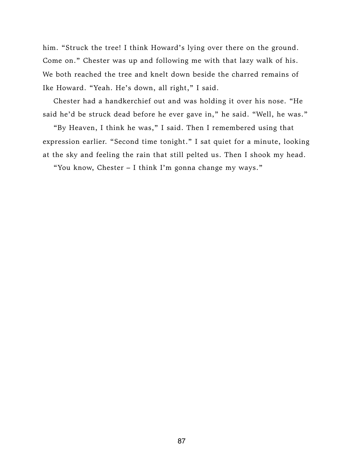him. "Struck the tree! I think Howard's lying over there on the ground. Come on." Chester was up and following me with that lazy walk of his. We both reached the tree and knelt down beside the charred remains of Ike Howard. "Yeah. He's down, all right," I said.

Chester had a handkerchief out and was holding it over his nose. "He said he'd be struck dead before he ever gave in," he said. "Well, he was."

"By Heaven, I think he was," I said. Then I remembered using that expression earlier. "Second time tonight." I sat quiet for a minute, looking at the sky and feeling the rain that still pelted us. Then I shook my head.

"You know, Chester – I think I'm gonna change my ways."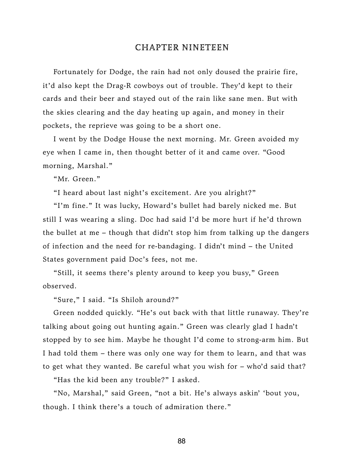### Chapter Nineteen

Fortunately for Dodge, the rain had not only doused the prairie fire, it'd also kept the Drag-R cowboys out of trouble. They'd kept to their cards and their beer and stayed out of the rain like sane men. But with the skies clearing and the day heating up again, and money in their pockets, the reprieve was going to be a short one.

I went by the Dodge House the next morning. Mr. Green avoided my eye when I came in, then thought better of it and came over. "Good morning, Marshal."

"Mr. Green."

"I heard about last night's excitement. Are you alright?"

"I'm fine." It was lucky, Howard's bullet had barely nicked me. But still I was wearing a sling. Doc had said I'd be more hurt if he'd thrown the bullet at me – though that didn't stop him from talking up the dangers of infection and the need for re-bandaging. I didn't mind – the United States government paid Doc's fees, not me.

"Still, it seems there's plenty around to keep you busy," Green observed.

"Sure," I said. "Is Shiloh around?"

Green nodded quickly. "He's out back with that little runaway. They're talking about going out hunting again." Green was clearly glad I hadn't stopped by to see him. Maybe he thought I'd come to strong-arm him. But I had told them – there was only one way for them to learn, and that was to get what they wanted. Be careful what you wish for – who'd said that?

"Has the kid been any trouble?" I asked.

"No, Marshal," said Green, "not a bit. He's always askin' 'bout you, though. I think there's a touch of admiration there."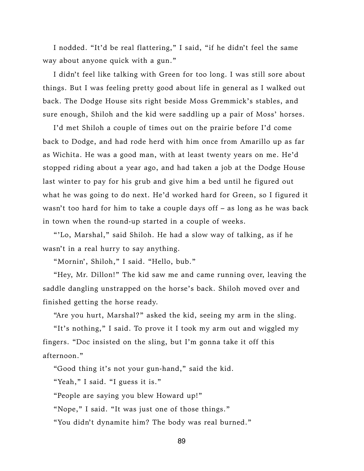I nodded. "It'd be real flattering," I said, "if he didn't feel the same way about anyone quick with a gun."

I didn't feel like talking with Green for too long. I was still sore about things. But I was feeling pretty good about life in general as I walked out back. The Dodge House sits right beside Moss Gremmick's stables, and sure enough, Shiloh and the kid were saddling up a pair of Moss' horses.

I'd met Shiloh a couple of times out on the prairie before I'd come back to Dodge, and had rode herd with him once from Amarillo up as far as Wichita. He was a good man, with at least twenty years on me. He'd stopped riding about a year ago, and had taken a job at the Dodge House last winter to pay for his grub and give him a bed until he figured out what he was going to do next. He'd worked hard for Green, so I figured it wasn't too hard for him to take a couple days off – as long as he was back in town when the round-up started in a couple of weeks.

"'Lo, Marshal," said Shiloh. He had a slow way of talking, as if he wasn't in a real hurry to say anything.

"Mornin', Shiloh," I said. "Hello, bub."

"Hey, Mr. Dillon!" The kid saw me and came running over, leaving the saddle dangling unstrapped on the horse's back. Shiloh moved over and finished getting the horse ready.

"Are you hurt, Marshal?" asked the kid, seeing my arm in the sling.

"It's nothing," I said. To prove it I took my arm out and wiggled my fingers. "Doc insisted on the sling, but I'm gonna take it off this afternoon."

"Good thing it's not your gun-hand," said the kid.

"Yeah," I said. "I guess it is."

"People are saying you blew Howard up!"

"Nope," I said. "It was just one of those things."

"You didn't dynamite him? The body was real burned."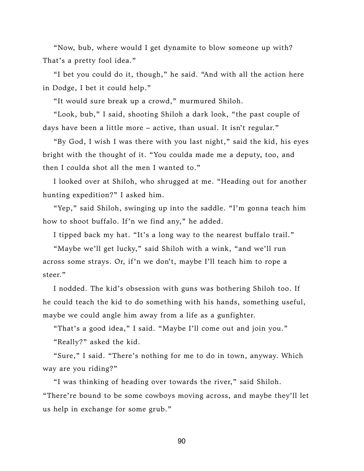"Now, bub, where would I get dynamite to blow someone up with? That's a pretty fool idea."

"I bet you could do it, though," he said. "And with all the action here in Dodge, I bet it could help."

"It would sure break up a crowd," murmured Shiloh.

"Look, bub," I said, shooting Shiloh a dark look, "the past couple of days have been a little more – active, than usual. It isn't regular."

"By God, I wish I was there with you last night," said the kid, his eyes bright with the thought of it. "You coulda made me a deputy, too, and then I coulda shot all the men I wanted to."

I looked over at Shiloh, who shrugged at me. "Heading out for another hunting expedition?" I asked him.

"Yep," said Shiloh, swinging up into the saddle. "I'm gonna teach him how to shoot buffalo. If'n we find any," he added.

I tipped back my hat. "It's a long way to the nearest buffalo trail."

"Maybe we'll get lucky," said Shiloh with a wink, "and we'll run across some strays. Or, if'n we don't, maybe I'll teach him to rope a steer."

I nodded. The kid's obsession with guns was bothering Shiloh too. If he could teach the kid to do something with his hands, something useful, maybe we could angle him away from a life as a gunfighter.

"That's a good idea," I said. "Maybe I'll come out and join you."

"Really?" asked the kid.

"Sure," I said. "There's nothing for me to do in town, anyway. Which way are you riding?"

"I was thinking of heading over towards the river," said Shiloh. "There're bound to be some cowboys moving across, and maybe they'll let us help in exchange for some grub."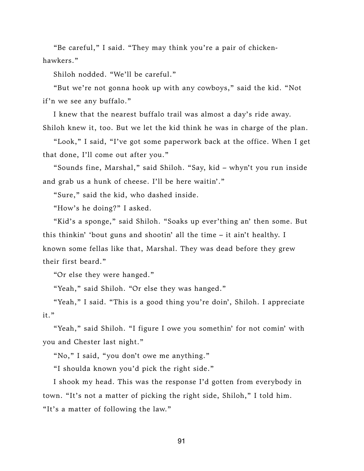"Be careful," I said. "They may think you're a pair of chickenhawkers."

Shiloh nodded. "We'll be careful."

"But we're not gonna hook up with any cowboys," said the kid. "Not if'n we see any buffalo."

I knew that the nearest buffalo trail was almost a day's ride away. Shiloh knew it, too. But we let the kid think he was in charge of the plan.

"Look," I said, "I've got some paperwork back at the office. When I get that done, I'll come out after you."

"Sounds fine, Marshal," said Shiloh. "Say, kid – whyn't you run inside and grab us a hunk of cheese. I'll be here waitin'."

"Sure," said the kid, who dashed inside.

"How's he doing?" I asked.

"Kid's a sponge," said Shiloh. "Soaks up ever'thing an' then some. But this thinkin' 'bout guns and shootin' all the time – it ain't healthy. I known some fellas like that, Marshal. They was dead before they grew their first beard."

"Or else they were hanged."

"Yeah," said Shiloh. "Or else they was hanged."

"Yeah," I said. "This is a good thing you're doin', Shiloh. I appreciate it."

"Yeah," said Shiloh. "I figure I owe you somethin' for not comin' with you and Chester last night."

"No," I said, "you don't owe me anything."

"I shoulda known you'd pick the right side."

I shook my head. This was the response I'd gotten from everybody in town. "It's not a matter of picking the right side, Shiloh," I told him. "It's a matter of following the law."

91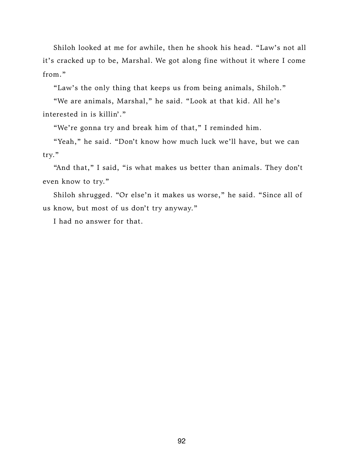Shiloh looked at me for awhile, then he shook his head. "Law's not all it's cracked up to be, Marshal. We got along fine without it where I come from."

"Law's the only thing that keeps us from being animals, Shiloh."

"We are animals, Marshal," he said. "Look at that kid. All he's interested in is killin'."

"We're gonna try and break him of that," I reminded him.

"Yeah," he said. "Don't know how much luck we'll have, but we can try."

"And that," I said, "is what makes us better than animals. They don't even know to try."

Shiloh shrugged. "Or else'n it makes us worse," he said. "Since all of us know, but most of us don't try anyway."

I had no answer for that.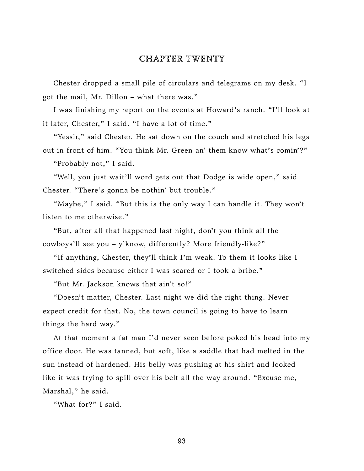### Chapter Twenty

Chester dropped a small pile of circulars and telegrams on my desk. "I got the mail, Mr. Dillon – what there was."

I was finishing my report on the events at Howard's ranch. "I'll look at it later, Chester," I said. "I have a lot of time."

"Yessir," said Chester. He sat down on the couch and stretched his legs out in front of him. "You think Mr. Green an' them know what's comin'?" "Probably not," I said.

"Well, you just wait'll word gets out that Dodge is wide open," said Chester. "There's gonna be nothin' but trouble."

"Maybe," I said. "But this is the only way I can handle it. They won't listen to me otherwise."

"But, after all that happened last night, don't you think all the cowboys'll see you – y'know, differently? More friendly-like?"

"If anything, Chester, they'll think I'm weak. To them it looks like I switched sides because either I was scared or I took a bribe."

"But Mr. Jackson knows that ain't so!"

"Doesn't matter, Chester. Last night we did the right thing. Never expect credit for that. No, the town council is going to have to learn things the hard way."

At that moment a fat man I'd never seen before poked his head into my office door. He was tanned, but soft, like a saddle that had melted in the sun instead of hardened. His belly was pushing at his shirt and looked like it was trying to spill over his belt all the way around. "Excuse me, Marshal," he said.

"What for?" I said.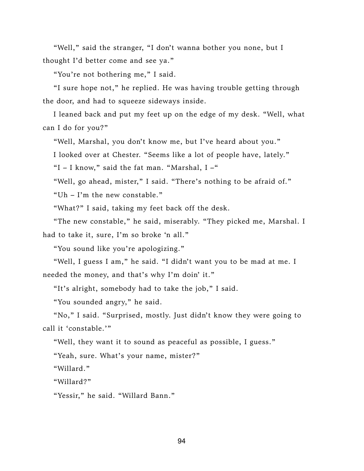"Well," said the stranger, "I don't wanna bother you none, but I thought I'd better come and see ya."

"You're not bothering me," I said.

"I sure hope not," he replied. He was having trouble getting through the door, and had to squeeze sideways inside.

I leaned back and put my feet up on the edge of my desk. "Well, what can I do for you?"

"Well, Marshal, you don't know me, but I've heard about you."

I looked over at Chester. "Seems like a lot of people have, lately."

"I – I know," said the fat man. "Marshal,  $I -$ "

"Well, go ahead, mister," I said. "There's nothing to be afraid of."

"Uh – I'm the new constable."

"What?" I said, taking my feet back off the desk.

"The new constable," he said, miserably. "They picked me, Marshal. I had to take it, sure, I'm so broke 'n all."

"You sound like you're apologizing."

"Well, I guess I am," he said. "I didn't want you to be mad at me. I needed the money, and that's why I'm doin' it."

"It's alright, somebody had to take the job," I said.

"You sounded angry," he said.

"No," I said. "Surprised, mostly. Just didn't know they were going to call it 'constable.'"

"Well, they want it to sound as peaceful as possible, I guess."

"Yeah, sure. What's your name, mister?"

"Willard."

"Willard?"

"Yessir," he said. "Willard Bann."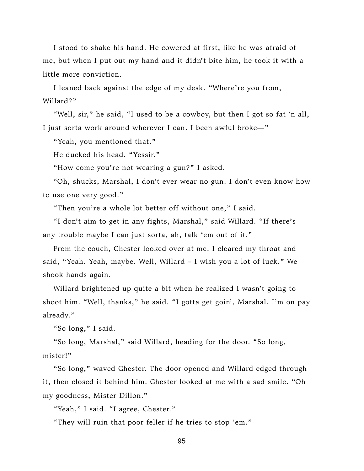I stood to shake his hand. He cowered at first, like he was afraid of me, but when I put out my hand and it didn't bite him, he took it with a little more conviction.

I leaned back against the edge of my desk. "Where're you from, Willard?"

"Well, sir," he said, "I used to be a cowboy, but then I got so fat 'n all, I just sorta work around wherever I can. I been awful broke—"

"Yeah, you mentioned that."

He ducked his head. "Yessir."

"How come you're not wearing a gun?" I asked.

"Oh, shucks, Marshal, I don't ever wear no gun. I don't even know how to use one very good."

"Then you're a whole lot better off without one," I said.

"I don't aim to get in any fights, Marshal," said Willard. "If there's any trouble maybe I can just sorta, ah, talk 'em out of it."

From the couch, Chester looked over at me. I cleared my throat and said, "Yeah. Yeah, maybe. Well, Willard – I wish you a lot of luck." We shook hands again.

Willard brightened up quite a bit when he realized I wasn't going to shoot him. "Well, thanks," he said. "I gotta get goin', Marshal, I'm on pay already."

"So long," I said.

"So long, Marshal," said Willard, heading for the door. "So long, mister!"

"So long," waved Chester. The door opened and Willard edged through it, then closed it behind him. Chester looked at me with a sad smile. "Oh my goodness, Mister Dillon."

"Yeah," I said. "I agree, Chester."

"They will ruin that poor feller if he tries to stop 'em."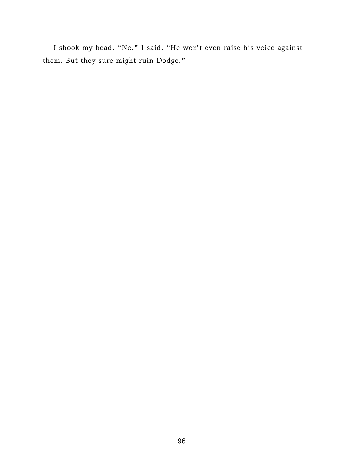I shook my head. "No," I said. "He won't even raise his voice against them. But they sure might ruin Dodge."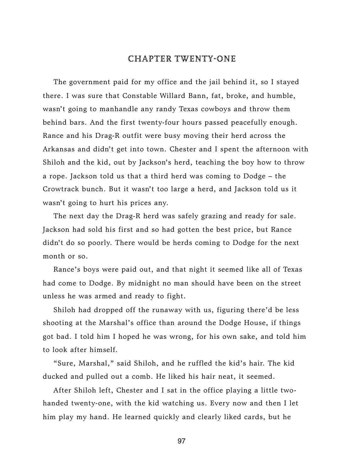# Chapter Twenty-One

The government paid for my office and the jail behind it, so I stayed there. I was sure that Constable Willard Bann, fat, broke, and humble, wasn't going to manhandle any randy Texas cowboys and throw them behind bars. And the first twenty-four hours passed peacefully enough. Rance and his Drag-R outfit were busy moving their herd across the Arkansas and didn't get into town. Chester and I spent the afternoon with Shiloh and the kid, out by Jackson's herd, teaching the boy how to throw a rope. Jackson told us that a third herd was coming to Dodge – the Crowtrack bunch. But it wasn't too large a herd, and Jackson told us it wasn't going to hurt his prices any.

The next day the Drag-R herd was safely grazing and ready for sale. Jackson had sold his first and so had gotten the best price, but Rance didn't do so poorly. There would be herds coming to Dodge for the next month or so.

Rance's boys were paid out, and that night it seemed like all of Texas had come to Dodge. By midnight no man should have been on the street unless he was armed and ready to fight.

Shiloh had dropped off the runaway with us, figuring there'd be less shooting at the Marshal's office than around the Dodge House, if things got bad. I told him I hoped he was wrong, for his own sake, and told him to look after himself.

"Sure, Marshal," said Shiloh, and he ruffled the kid's hair. The kid ducked and pulled out a comb. He liked his hair neat, it seemed.

After Shiloh left, Chester and I sat in the office playing a little twohanded twenty-one, with the kid watching us. Every now and then I let him play my hand. He learned quickly and clearly liked cards, but he

97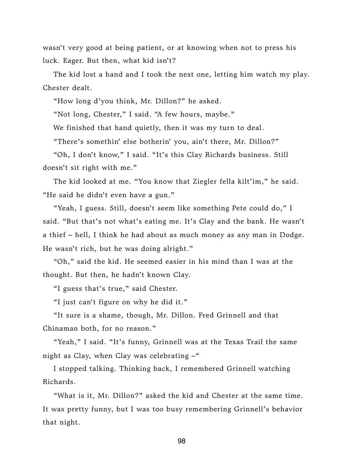wasn't very good at being patient, or at knowing when not to press his luck. Eager. But then, what kid isn't?

The kid lost a hand and I took the next one, letting him watch my play. Chester dealt.

"How long d'you think, Mr. Dillon?" he asked.

"Not long, Chester," I said. "A few hours, maybe."

We finished that hand quietly, then it was my turn to deal.

"There's somethin' else botherin' you, ain't there, Mr. Dillon?"

"Oh, I don't know," I said. "It's this Clay Richards business. Still doesn't sit right with me."

The kid looked at me. "You know that Ziegler fella kilt'im," he said. "He said he didn't even have a gun."

"Yeah, I guess. Still, doesn't seem like something Pete could do," I said. "But that's not what's eating me. It's Clay and the bank. He wasn't a thief – hell, I think he had about as much money as any man in Dodge. He wasn't rich, but he was doing alright."

"Oh," said the kid. He seemed easier in his mind than I was at the thought. But then, he hadn't known Clay.

"I guess that's true," said Chester.

"I just can't figure on why he did it."

"It sure is a shame, though, Mr. Dillon. Fred Grinnell and that Chinaman both, for no reason."

"Yeah," I said. "It's funny, Grinnell was at the Texas Trail the same night as Clay, when Clay was celebrating  $-$ "

I stopped talking. Thinking back, I remembered Grinnell watching Richards.

"What is it, Mr. Dillon?" asked the kid and Chester at the same time. It was pretty funny, but I was too busy remembering Grinnell's behavior that night.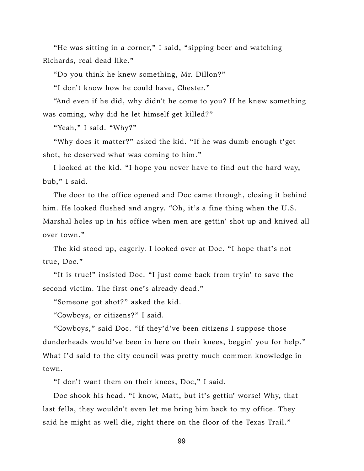"He was sitting in a corner," I said, "sipping beer and watching Richards, real dead like."

"Do you think he knew something, Mr. Dillon?"

"I don't know how he could have, Chester."

"And even if he did, why didn't he come to you? If he knew something was coming, why did he let himself get killed?"

"Yeah," I said. "Why?"

"Why does it matter?" asked the kid. "If he was dumb enough t'get shot, he deserved what was coming to him."

I looked at the kid. "I hope you never have to find out the hard way, bub," I said.

The door to the office opened and Doc came through, closing it behind him. He looked flushed and angry. "Oh, it's a fine thing when the U.S. Marshal holes up in his office when men are gettin' shot up and knived all over town."

The kid stood up, eagerly. I looked over at Doc. "I hope that's not true, Doc."

"It is true!" insisted Doc. "I just come back from tryin' to save the second victim. The first one's already dead."

"Someone got shot?" asked the kid.

"Cowboys, or citizens?" I said.

"Cowboys," said Doc. "If they'd've been citizens I suppose those dunderheads would've been in here on their knees, beggin' you for help." What I'd said to the city council was pretty much common knowledge in town.

"I don't want them on their knees, Doc," I said.

Doc shook his head. "I know, Matt, but it's gettin' worse! Why, that last fella, they wouldn't even let me bring him back to my office. They said he might as well die, right there on the floor of the Texas Trail."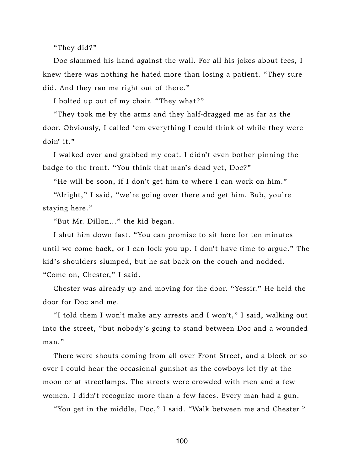"They did?"

Doc slammed his hand against the wall. For all his jokes about fees, I knew there was nothing he hated more than losing a patient. "They sure did. And they ran me right out of there."

I bolted up out of my chair. "They what?"

"They took me by the arms and they half-dragged me as far as the door. Obviously, I called 'em everything I could think of while they were doin' it."

I walked over and grabbed my coat. I didn't even bother pinning the badge to the front. "You think that man's dead yet, Doc?"

"He will be soon, if I don't get him to where I can work on him."

"Alright," I said, "we're going over there and get him. Bub, you're staying here."

"But Mr. Dillon…" the kid began.

I shut him down fast. "You can promise to sit here for ten minutes until we come back, or I can lock you up. I don't have time to argue." The kid's shoulders slumped, but he sat back on the couch and nodded. "Come on, Chester," I said.

Chester was already up and moving for the door. "Yessir." He held the door for Doc and me.

"I told them I won't make any arrests and I won't," I said, walking out into the street, "but nobody's going to stand between Doc and a wounded man."

There were shouts coming from all over Front Street, and a block or so over I could hear the occasional gunshot as the cowboys let fly at the moon or at streetlamps. The streets were crowded with men and a few women. I didn't recognize more than a few faces. Every man had a gun.

"You get in the middle, Doc," I said. "Walk between me and Chester."

100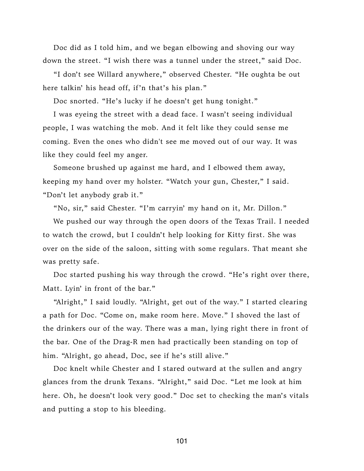Doc did as I told him, and we began elbowing and shoving our way down the street. "I wish there was a tunnel under the street," said Doc.

"I don't see Willard anywhere," observed Chester. "He oughta be out here talkin' his head off, if'n that's his plan."

Doc snorted. "He's lucky if he doesn't get hung tonight."

I was eyeing the street with a dead face. I wasn't seeing individual people, I was watching the mob. And it felt like they could sense me coming. Even the ones who didn't see me moved out of our way. It was like they could feel my anger.

Someone brushed up against me hard, and I elbowed them away, keeping my hand over my holster. "Watch your gun, Chester," I said. "Don't let anybody grab it."

"No, sir," said Chester. "I'm carryin' my hand on it, Mr. Dillon."

We pushed our way through the open doors of the Texas Trail. I needed to watch the crowd, but I couldn't help looking for Kitty first. She was over on the side of the saloon, sitting with some regulars. That meant she was pretty safe.

Doc started pushing his way through the crowd. "He's right over there, Matt. Lyin' in front of the bar."

"Alright," I said loudly. "Alright, get out of the way." I started clearing a path for Doc. "Come on, make room here. Move." I shoved the last of the drinkers our of the way. There was a man, lying right there in front of the bar. One of the Drag-R men had practically been standing on top of him. "Alright, go ahead, Doc, see if he's still alive."

Doc knelt while Chester and I stared outward at the sullen and angry glances from the drunk Texans. "Alright," said Doc. "Let me look at him here. Oh, he doesn't look very good." Doc set to checking the man's vitals and putting a stop to his bleeding.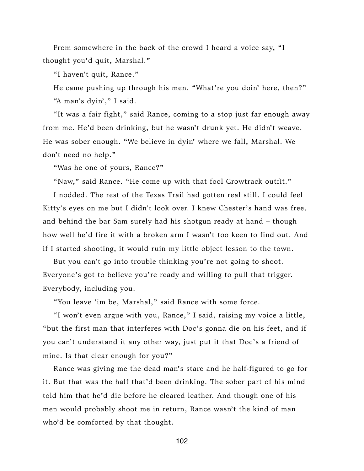From somewhere in the back of the crowd I heard a voice say, "I thought you'd quit, Marshal."

"I haven't quit, Rance."

He came pushing up through his men. "What're you doin' here, then?" "A man's dyin'," I said.

"It was a fair fight," said Rance, coming to a stop just far enough away from me. He'd been drinking, but he wasn't drunk yet. He didn't weave. He was sober enough. "We believe in dyin' where we fall, Marshal. We don't need no help."

"Was he one of yours, Rance?"

"Naw," said Rance. "He come up with that fool Crowtrack outfit."

I nodded. The rest of the Texas Trail had gotten real still. I could feel Kitty's eyes on me but I didn't look over. I knew Chester's hand was free, and behind the bar Sam surely had his shotgun ready at hand – though how well he'd fire it with a broken arm I wasn't too keen to find out. And if I started shooting, it would ruin my little object lesson to the town.

But you can't go into trouble thinking you're not going to shoot. Everyone's got to believe you're ready and willing to pull that trigger. Everybody, including you.

"You leave 'im be, Marshal," said Rance with some force.

"I won't even argue with you, Rance," I said, raising my voice a little, "but the first man that interferes with Doc's gonna die on his feet, and if you can't understand it any other way, just put it that Doc's a friend of mine. Is that clear enough for you?"

Rance was giving me the dead man's stare and he half-figured to go for it. But that was the half that'd been drinking. The sober part of his mind told him that he'd die before he cleared leather. And though one of his men would probably shoot me in return, Rance wasn't the kind of man who'd be comforted by that thought.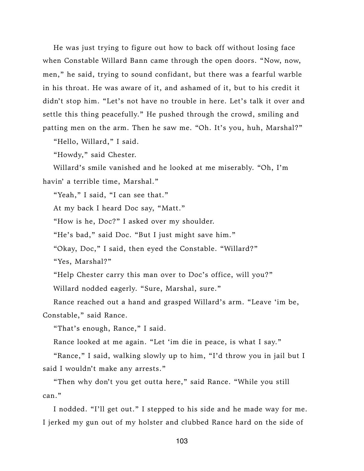He was just trying to figure out how to back off without losing face when Constable Willard Bann came through the open doors. "Now, now, men," he said, trying to sound confidant, but there was a fearful warble in his throat. He was aware of it, and ashamed of it, but to his credit it didn't stop him. "Let's not have no trouble in here. Let's talk it over and settle this thing peacefully." He pushed through the crowd, smiling and patting men on the arm. Then he saw me. "Oh. It's you, huh, Marshal?"

"Hello, Willard," I said.

"Howdy," said Chester.

Willard's smile vanished and he looked at me miserably. "Oh, I'm havin' a terrible time, Marshal."

"Yeah," I said, "I can see that."

At my back I heard Doc say, "Matt."

"How is he, Doc?" I asked over my shoulder.

"He's bad," said Doc. "But I just might save him."

"Okay, Doc," I said, then eyed the Constable. "Willard?"

"Yes, Marshal?"

"Help Chester carry this man over to Doc's office, will you?"

Willard nodded eagerly. "Sure, Marshal, sure."

Rance reached out a hand and grasped Willard's arm. "Leave 'im be, Constable," said Rance.

"That's enough, Rance," I said.

Rance looked at me again. "Let 'im die in peace, is what I say."

"Rance," I said, walking slowly up to him, "I'd throw you in jail but I said I wouldn't make any arrests."

"Then why don't you get outta here," said Rance. "While you still can."

I nodded. "I'll get out." I stepped to his side and he made way for me. I jerked my gun out of my holster and clubbed Rance hard on the side of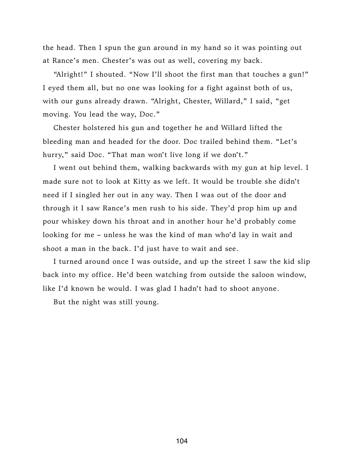the head. Then I spun the gun around in my hand so it was pointing out at Rance's men. Chester's was out as well, covering my back.

"Alright!" I shouted. "Now I'll shoot the first man that touches a gun!" I eyed them all, but no one was looking for a fight against both of us, with our guns already drawn. "Alright, Chester, Willard," I said, "get moving. You lead the way, Doc."

Chester holstered his gun and together he and Willard lifted the bleeding man and headed for the door. Doc trailed behind them. "Let's hurry," said Doc. "That man won't live long if we don't."

I went out behind them, walking backwards with my gun at hip level. I made sure not to look at Kitty as we left. It would be trouble she didn't need if I singled her out in any way. Then I was out of the door and through it I saw Rance's men rush to his side. They'd prop him up and pour whiskey down his throat and in another hour he'd probably come looking for me – unless he was the kind of man who'd lay in wait and shoot a man in the back. I'd just have to wait and see.

I turned around once I was outside, and up the street I saw the kid slip back into my office. He'd been watching from outside the saloon window, like I'd known he would. I was glad I hadn't had to shoot anyone.

But the night was still young.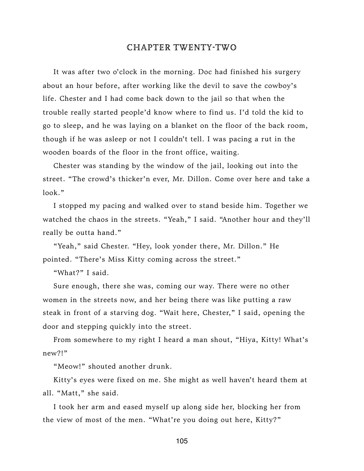#### Chapter Twenty-Two

It was after two o'clock in the morning. Doc had finished his surgery about an hour before, after working like the devil to save the cowboy's life. Chester and I had come back down to the jail so that when the trouble really started people'd know where to find us. I'd told the kid to go to sleep, and he was laying on a blanket on the floor of the back room, though if he was asleep or not I couldn't tell. I was pacing a rut in the wooden boards of the floor in the front office, waiting.

Chester was standing by the window of the jail, looking out into the street. "The crowd's thicker'n ever, Mr. Dillon. Come over here and take a look."

I stopped my pacing and walked over to stand beside him. Together we watched the chaos in the streets. "Yeah," I said. "Another hour and they'll really be outta hand."

"Yeah," said Chester. "Hey, look yonder there, Mr. Dillon." He pointed. "There's Miss Kitty coming across the street."

"What?" I said.

Sure enough, there she was, coming our way. There were no other women in the streets now, and her being there was like putting a raw steak in front of a starving dog. "Wait here, Chester," I said, opening the door and stepping quickly into the street.

From somewhere to my right I heard a man shout, "Hiya, Kitty! What's new?!"

"Meow!" shouted another drunk.

Kitty's eyes were fixed on me. She might as well haven't heard them at all. "Matt," she said.

I took her arm and eased myself up along side her, blocking her from the view of most of the men. "What're you doing out here, Kitty?"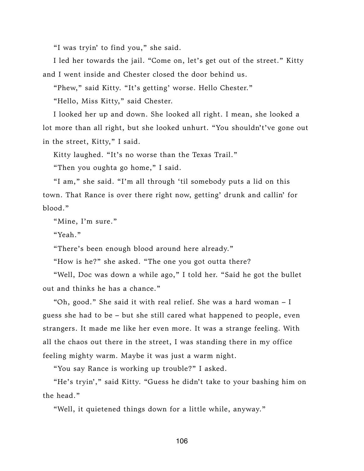"I was tryin' to find you," she said.

I led her towards the jail. "Come on, let's get out of the street." Kitty and I went inside and Chester closed the door behind us.

"Phew," said Kitty. "It's getting' worse. Hello Chester."

"Hello, Miss Kitty," said Chester.

I looked her up and down. She looked all right. I mean, she looked a lot more than all right, but she looked unhurt. "You shouldn't've gone out in the street, Kitty," I said.

Kitty laughed. "It's no worse than the Texas Trail."

"Then you oughta go home," I said.

"I am," she said. "I'm all through 'til somebody puts a lid on this town. That Rance is over there right now, getting' drunk and callin' for blood."

"Mine, I'm sure."

"Yeah."

"There's been enough blood around here already."

"How is he?" she asked. "The one you got outta there?

"Well, Doc was down a while ago," I told her. "Said he got the bullet out and thinks he has a chance."

"Oh, good." She said it with real relief. She was a hard woman – I guess she had to be – but she still cared what happened to people, even strangers. It made me like her even more. It was a strange feeling. With all the chaos out there in the street, I was standing there in my office feeling mighty warm. Maybe it was just a warm night.

"You say Rance is working up trouble?" I asked.

"He's tryin'," said Kitty. "Guess he didn't take to your bashing him on the head."

"Well, it quietened things down for a little while, anyway."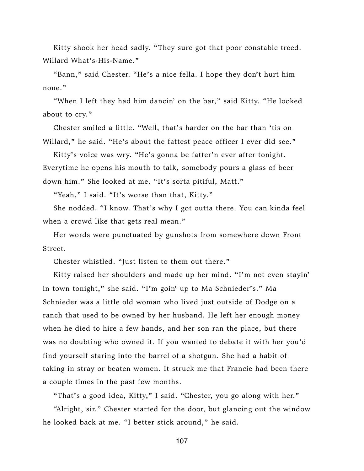Kitty shook her head sadly. "They sure got that poor constable treed. Willard What's-His-Name."

"Bann," said Chester. "He's a nice fella. I hope they don't hurt him none."

"When I left they had him dancin' on the bar," said Kitty. "He looked about to cry."

Chester smiled a little. "Well, that's harder on the bar than 'tis on Willard," he said. "He's about the fattest peace officer I ever did see."

Kitty's voice was wry. "He's gonna be fatter'n ever after tonight. Everytime he opens his mouth to talk, somebody pours a glass of beer down him." She looked at me. "It's sorta pitiful, Matt."

"Yeah," I said. "It's worse than that, Kitty."

She nodded. "I know. That's why I got outta there. You can kinda feel when a crowd like that gets real mean."

Her words were punctuated by gunshots from somewhere down Front Street.

Chester whistled. "Just listen to them out there."

Kitty raised her shoulders and made up her mind. "I'm not even stayin' in town tonight," she said. "I'm goin' up to Ma Schnieder's." Ma Schnieder was a little old woman who lived just outside of Dodge on a ranch that used to be owned by her husband. He left her enough money when he died to hire a few hands, and her son ran the place, but there was no doubting who owned it. If you wanted to debate it with her you'd find yourself staring into the barrel of a shotgun. She had a habit of taking in stray or beaten women. It struck me that Francie had been there a couple times in the past few months.

"That's a good idea, Kitty," I said. "Chester, you go along with her."

"Alright, sir." Chester started for the door, but glancing out the window he looked back at me. "I better stick around," he said.

107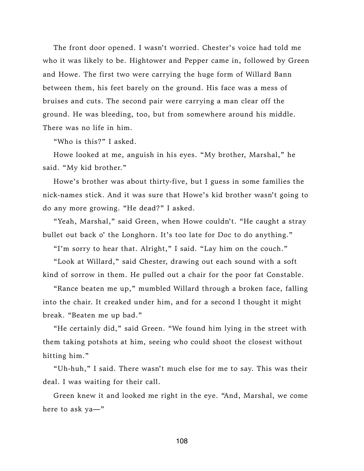The front door opened. I wasn't worried. Chester's voice had told me who it was likely to be. Hightower and Pepper came in, followed by Green and Howe. The first two were carrying the huge form of Willard Bann between them, his feet barely on the ground. His face was a mess of bruises and cuts. The second pair were carrying a man clear off the ground. He was bleeding, too, but from somewhere around his middle. There was no life in him.

"Who is this?" I asked.

Howe looked at me, anguish in his eyes. "My brother, Marshal," he said. "My kid brother."

Howe's brother was about thirty-five, but I guess in some families the nick-names stick. And it was sure that Howe's kid brother wasn't going to do any more growing. "He dead?" I asked.

"Yeah, Marshal," said Green, when Howe couldn't. "He caught a stray bullet out back o' the Longhorn. It's too late for Doc to do anything."

"I'm sorry to hear that. Alright," I said. "Lay him on the couch."

"Look at Willard," said Chester, drawing out each sound with a soft kind of sorrow in them. He pulled out a chair for the poor fat Constable.

"Rance beaten me up," mumbled Willard through a broken face, falling into the chair. It creaked under him, and for a second I thought it might break. "Beaten me up bad."

"He certainly did," said Green. "We found him lying in the street with them taking potshots at him, seeing who could shoot the closest without hitting him."

"Uh-huh," I said. There wasn't much else for me to say. This was their deal. I was waiting for their call.

Green knew it and looked me right in the eye. "And, Marshal, we come here to ask ya—"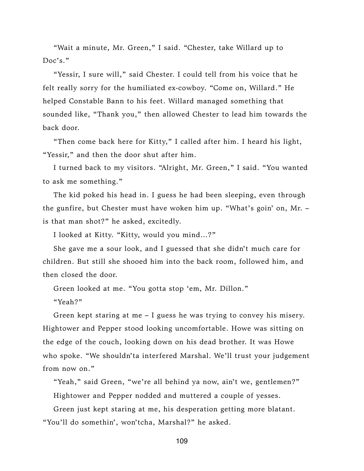"Wait a minute, Mr. Green," I said. "Chester, take Willard up to Doc's."

"Yessir, I sure will," said Chester. I could tell from his voice that he felt really sorry for the humiliated ex-cowboy. "Come on, Willard." He helped Constable Bann to his feet. Willard managed something that sounded like, "Thank you," then allowed Chester to lead him towards the back door.

"Then come back here for Kitty," I called after him. I heard his light, "Yessir," and then the door shut after him.

I turned back to my visitors. "Alright, Mr. Green," I said. "You wanted to ask me something."

The kid poked his head in. I guess he had been sleeping, even through the gunfire, but Chester must have woken him up. "What's goin' on, Mr. – is that man shot?" he asked, excitedly.

I looked at Kitty. "Kitty, would you mind…?"

She gave me a sour look, and I guessed that she didn't much care for children. But still she shooed him into the back room, followed him, and then closed the door.

Green looked at me. "You gotta stop 'em, Mr. Dillon."

"Yeah?"

Green kept staring at me – I guess he was trying to convey his misery. Hightower and Pepper stood looking uncomfortable. Howe was sitting on the edge of the couch, looking down on his dead brother. It was Howe who spoke. "We shouldn'ta interfered Marshal. We'll trust your judgement from now on."

"Yeah," said Green, "we're all behind ya now, ain't we, gentlemen?" Hightower and Pepper nodded and muttered a couple of yesses.

Green just kept staring at me, his desperation getting more blatant. "You'll do somethin', won'tcha, Marshal?" he asked.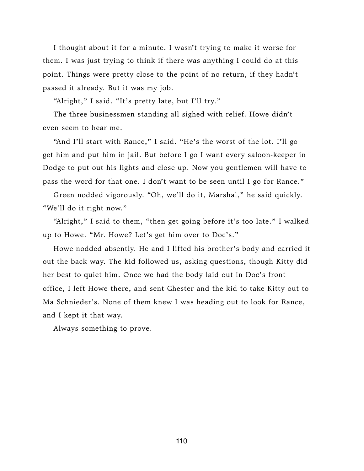I thought about it for a minute. I wasn't trying to make it worse for them. I was just trying to think if there was anything I could do at this point. Things were pretty close to the point of no return, if they hadn't passed it already. But it was my job.

"Alright," I said. "It's pretty late, but I'll try."

The three businessmen standing all sighed with relief. Howe didn't even seem to hear me.

"And I'll start with Rance," I said. "He's the worst of the lot. I'll go get him and put him in jail. But before I go I want every saloon-keeper in Dodge to put out his lights and close up. Now you gentlemen will have to pass the word for that one. I don't want to be seen until I go for Rance."

Green nodded vigorously. "Oh, we'll do it, Marshal," he said quickly. "We'll do it right now."

"Alright," I said to them, "then get going before it's too late." I walked up to Howe. "Mr. Howe? Let's get him over to Doc's."

Howe nodded absently. He and I lifted his brother's body and carried it out the back way. The kid followed us, asking questions, though Kitty did her best to quiet him. Once we had the body laid out in Doc's front office, I left Howe there, and sent Chester and the kid to take Kitty out to Ma Schnieder's. None of them knew I was heading out to look for Rance, and I kept it that way.

Always something to prove.

110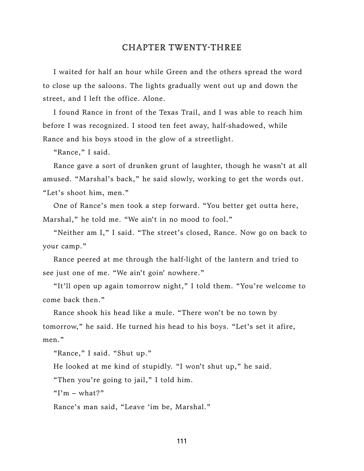### Chapter Twenty-Three

I waited for half an hour while Green and the others spread the word to close up the saloons. The lights gradually went out up and down the street, and I left the office. Alone.

I found Rance in front of the Texas Trail, and I was able to reach him before I was recognized. I stood ten feet away, half-shadowed, while Rance and his boys stood in the glow of a streetlight.

"Rance," I said.

Rance gave a sort of drunken grunt of laughter, though he wasn't at all amused. "Marshal's back," he said slowly, working to get the words out. "Let's shoot him, men."

One of Rance's men took a step forward. "You better get outta here, Marshal," he told me. "We ain't in no mood to fool."

"Neither am I," I said. "The street's closed, Rance. Now go on back to your camp."

Rance peered at me through the half-light of the lantern and tried to see just one of me. "We ain't goin' nowhere."

"It'll open up again tomorrow night," I told them. "You're welcome to come back then."

Rance shook his head like a mule. "There won't be no town by tomorrow," he said. He turned his head to his boys. "Let's set it afire, men."

"Rance," I said. "Shut up."

He looked at me kind of stupidly. "I won't shut up," he said.

"Then you're going to jail," I told him.

" $I'm - what?"$ 

Rance's man said, "Leave 'im be, Marshal."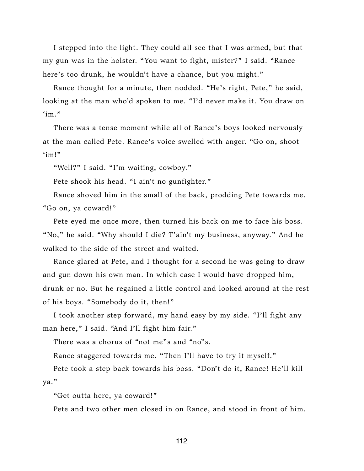I stepped into the light. They could all see that I was armed, but that my gun was in the holster. "You want to fight, mister?" I said. "Rance here's too drunk, he wouldn't have a chance, but you might."

Rance thought for a minute, then nodded. "He's right, Pete," he said, looking at the man who'd spoken to me. "I'd never make it. You draw on 'im."

There was a tense moment while all of Rance's boys looked nervously at the man called Pete. Rance's voice swelled with anger. "Go on, shoot 'im!"

"Well?" I said. "I'm waiting, cowboy."

Pete shook his head. "I ain't no gunfighter."

Rance shoved him in the small of the back, prodding Pete towards me. "Go on, ya coward!"

Pete eyed me once more, then turned his back on me to face his boss. "No," he said. "Why should I die? T'ain't my business, anyway." And he walked to the side of the street and waited.

Rance glared at Pete, and I thought for a second he was going to draw and gun down his own man. In which case I would have dropped him, drunk or no. But he regained a little control and looked around at the rest of his boys. "Somebody do it, then!"

I took another step forward, my hand easy by my side. "I'll fight any man here," I said. "And I'll fight him fair."

There was a chorus of "not me"s and "no"s.

Rance staggered towards me. "Then I'll have to try it myself."

Pete took a step back towards his boss. "Don't do it, Rance! He'll kill ya."

"Get outta here, ya coward!"

Pete and two other men closed in on Rance, and stood in front of him.

112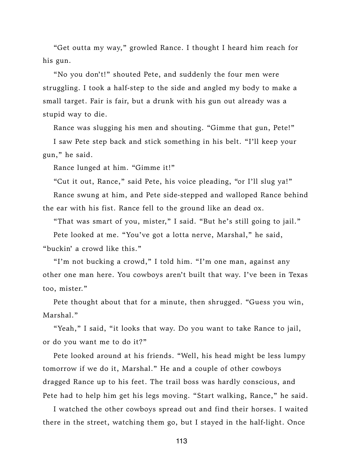"Get outta my way," growled Rance. I thought I heard him reach for his gun.

"No you don't!" shouted Pete, and suddenly the four men were struggling. I took a half-step to the side and angled my body to make a small target. Fair is fair, but a drunk with his gun out already was a stupid way to die.

Rance was slugging his men and shouting. "Gimme that gun, Pete!"

I saw Pete step back and stick something in his belt. "I'll keep your gun," he said.

Rance lunged at him. "Gimme it!"

"Cut it out, Rance," said Pete, his voice pleading, "or I'll slug ya!"

Rance swung at him, and Pete side-stepped and walloped Rance behind the ear with his fist. Rance fell to the ground like an dead ox.

"That was smart of you, mister," I said. "But he's still going to jail."

Pete looked at me. "You've got a lotta nerve, Marshal," he said, "buckin' a crowd like this."

"I'm not bucking a crowd," I told him. "I'm one man, against any other one man here. You cowboys aren't built that way. I've been in Texas too, mister."

Pete thought about that for a minute, then shrugged. "Guess you win, Marshal."

"Yeah," I said, "it looks that way. Do you want to take Rance to jail, or do you want me to do it?"

Pete looked around at his friends. "Well, his head might be less lumpy tomorrow if we do it, Marshal." He and a couple of other cowboys dragged Rance up to his feet. The trail boss was hardly conscious, and Pete had to help him get his legs moving. "Start walking, Rance," he said.

I watched the other cowboys spread out and find their horses. I waited there in the street, watching them go, but I stayed in the half-light. Once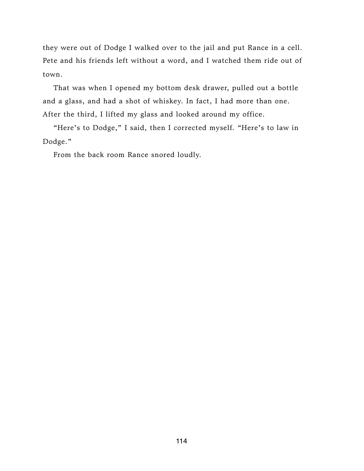they were out of Dodge I walked over to the jail and put Rance in a cell. Pete and his friends left without a word, and I watched them ride out of town.

That was when I opened my bottom desk drawer, pulled out a bottle and a glass, and had a shot of whiskey. In fact, I had more than one. After the third, I lifted my glass and looked around my office.

"Here's to Dodge," I said, then I corrected myself. "Here's to law in Dodge."

From the back room Rance snored loudly.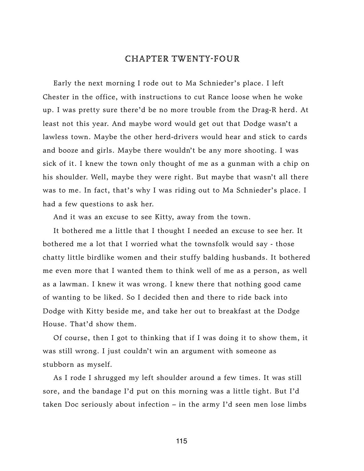# Chapter Twenty-Four

Early the next morning I rode out to Ma Schnieder's place. I left Chester in the office, with instructions to cut Rance loose when he woke up. I was pretty sure there'd be no more trouble from the Drag-R herd. At least not this year. And maybe word would get out that Dodge wasn't a lawless town. Maybe the other herd-drivers would hear and stick to cards and booze and girls. Maybe there wouldn't be any more shooting. I was sick of it. I knew the town only thought of me as a gunman with a chip on his shoulder. Well, maybe they were right. But maybe that wasn't all there was to me. In fact, that's why I was riding out to Ma Schnieder's place. I had a few questions to ask her.

And it was an excuse to see Kitty, away from the town.

It bothered me a little that I thought I needed an excuse to see her. It bothered me a lot that I worried what the townsfolk would say - those chatty little birdlike women and their stuffy balding husbands. It bothered me even more that I wanted them to think well of me as a person, as well as a lawman. I knew it was wrong. I knew there that nothing good came of wanting to be liked. So I decided then and there to ride back into Dodge with Kitty beside me, and take her out to breakfast at the Dodge House. That'd show them.

Of course, then I got to thinking that if I was doing it to show them, it was still wrong. I just couldn't win an argument with someone as stubborn as myself.

As I rode I shrugged my left shoulder around a few times. It was still sore, and the bandage I'd put on this morning was a little tight. But I'd taken Doc seriously about infection – in the army I'd seen men lose limbs

115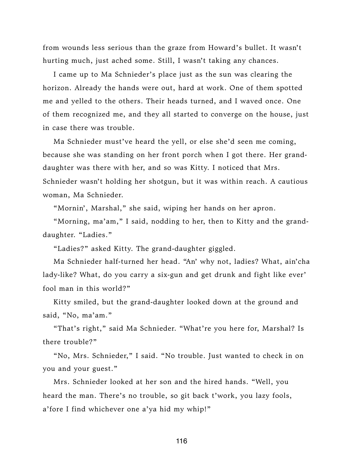from wounds less serious than the graze from Howard's bullet. It wasn't hurting much, just ached some. Still, I wasn't taking any chances.

I came up to Ma Schnieder's place just as the sun was clearing the horizon. Already the hands were out, hard at work. One of them spotted me and yelled to the others. Their heads turned, and I waved once. One of them recognized me, and they all started to converge on the house, just in case there was trouble.

Ma Schnieder must've heard the yell, or else she'd seen me coming, because she was standing on her front porch when I got there. Her granddaughter was there with her, and so was Kitty. I noticed that Mrs. Schnieder wasn't holding her shotgun, but it was within reach. A cautious woman, Ma Schnieder.

"Mornin', Marshal," she said, wiping her hands on her apron.

"Morning, ma'am," I said, nodding to her, then to Kitty and the granddaughter. "Ladies."

"Ladies?" asked Kitty. The grand-daughter giggled.

Ma Schnieder half-turned her head. "An' why not, ladies? What, ain'cha lady-like? What, do you carry a six-gun and get drunk and fight like ever' fool man in this world?"

Kitty smiled, but the grand-daughter looked down at the ground and said, "No, ma'am."

"That's right," said Ma Schnieder. "What're you here for, Marshal? Is there trouble?"

"No, Mrs. Schnieder," I said. "No trouble. Just wanted to check in on you and your guest."

Mrs. Schnieder looked at her son and the hired hands. "Well, you heard the man. There's no trouble, so git back t'work, you lazy fools, a'fore I find whichever one a'ya hid my whip!"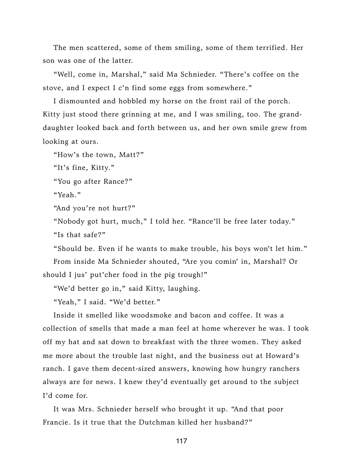The men scattered, some of them smiling, some of them terrified. Her son was one of the latter.

"Well, come in, Marshal," said Ma Schnieder. "There's coffee on the stove, and I expect I c'n find some eggs from somewhere."

I dismounted and hobbled my horse on the front rail of the porch. Kitty just stood there grinning at me, and I was smiling, too. The granddaughter looked back and forth between us, and her own smile grew from looking at ours.

"How's the town, Matt?"

"It's fine, Kitty."

"You go after Rance?"

"Yeah."

"And you're not hurt?"

"Nobody got hurt, much," I told her. "Rance'll be free later today."

"Is that safe?"

"Should be. Even if he wants to make trouble, his boys won't let him." From inside Ma Schnieder shouted, "Are you comin' in, Marshal? Or should I jus' put'cher food in the pig trough!"

"We'd better go in," said Kitty, laughing.

"Yeah," I said. "We'd better."

Inside it smelled like woodsmoke and bacon and coffee. It was a collection of smells that made a man feel at home wherever he was. I took off my hat and sat down to breakfast with the three women. They asked me more about the trouble last night, and the business out at Howard's ranch. I gave them decent-sized answers, knowing how hungry ranchers always are for news. I knew they'd eventually get around to the subject I'd come for.

It was Mrs. Schnieder herself who brought it up. "And that poor Francie. Is it true that the Dutchman killed her husband?"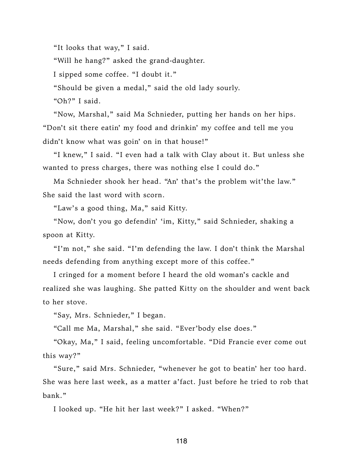"It looks that way," I said.

"Will he hang?" asked the grand-daughter.

I sipped some coffee. "I doubt it."

"Should be given a medal," said the old lady sourly.

"Oh?" I said.

"Now, Marshal," said Ma Schnieder, putting her hands on her hips. "Don't sit there eatin' my food and drinkin' my coffee and tell me you didn't know what was goin' on in that house!"

"I knew," I said. "I even had a talk with Clay about it. But unless she wanted to press charges, there was nothing else I could do."

Ma Schnieder shook her head. "An' that's the problem wit'the law." She said the last word with scorn.

"Law's a good thing, Ma," said Kitty.

"Now, don't you go defendin' 'im, Kitty," said Schnieder, shaking a spoon at Kitty.

"I'm not," she said. "I'm defending the law. I don't think the Marshal needs defending from anything except more of this coffee."

I cringed for a moment before I heard the old woman's cackle and realized she was laughing. She patted Kitty on the shoulder and went back to her stove.

"Say, Mrs. Schnieder," I began.

"Call me Ma, Marshal," she said. "Ever'body else does."

"Okay, Ma," I said, feeling uncomfortable. "Did Francie ever come out this way?"

"Sure," said Mrs. Schnieder, "whenever he got to beatin' her too hard. She was here last week, as a matter a'fact. Just before he tried to rob that bank."

I looked up. "He hit her last week?" I asked. "When?"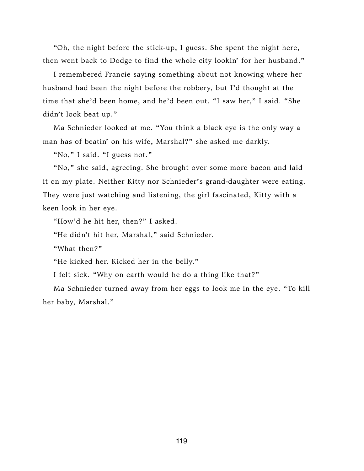"Oh, the night before the stick-up, I guess. She spent the night here, then went back to Dodge to find the whole city lookin' for her husband."

I remembered Francie saying something about not knowing where her husband had been the night before the robbery, but I'd thought at the time that she'd been home, and he'd been out. "I saw her," I said. "She didn't look beat up."

Ma Schnieder looked at me. "You think a black eye is the only way a man has of beatin' on his wife, Marshal?" she asked me darkly.

"No," I said. "I guess not."

"No," she said, agreeing. She brought over some more bacon and laid it on my plate. Neither Kitty nor Schnieder's grand-daughter were eating. They were just watching and listening, the girl fascinated, Kitty with a keen look in her eye.

"How'd he hit her, then?" I asked.

"He didn't hit her, Marshal," said Schnieder.

"What then?"

"He kicked her. Kicked her in the belly."

I felt sick. "Why on earth would he do a thing like that?"

Ma Schnieder turned away from her eggs to look me in the eye. "To kill her baby, Marshal."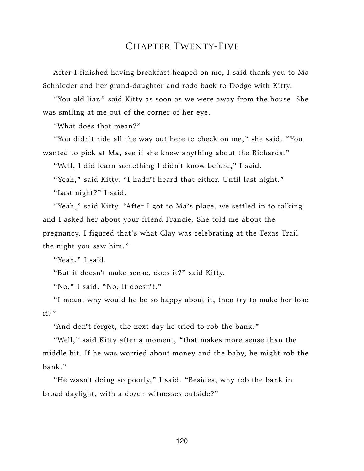# Chapter Twenty-Five

After I finished having breakfast heaped on me, I said thank you to Ma Schnieder and her grand-daughter and rode back to Dodge with Kitty.

"You old liar," said Kitty as soon as we were away from the house. She was smiling at me out of the corner of her eye.

"What does that mean?"

"You didn't ride all the way out here to check on me," she said. "You wanted to pick at Ma, see if she knew anything about the Richards."

"Well, I did learn something I didn't know before," I said.

"Yeah," said Kitty. "I hadn't heard that either. Until last night." "Last night?" I said.

"Yeah," said Kitty. "After I got to Ma's place, we settled in to talking and I asked her about your friend Francie. She told me about the pregnancy. I figured that's what Clay was celebrating at the Texas Trail the night you saw him."

"Yeah," I said.

"But it doesn't make sense, does it?" said Kitty.

"No," I said. "No, it doesn't."

"I mean, why would he be so happy about it, then try to make her lose it?"

"And don't forget, the next day he tried to rob the bank."

"Well," said Kitty after a moment, "that makes more sense than the middle bit. If he was worried about money and the baby, he might rob the bank."

"He wasn't doing so poorly," I said. "Besides, why rob the bank in broad daylight, with a dozen witnesses outside?"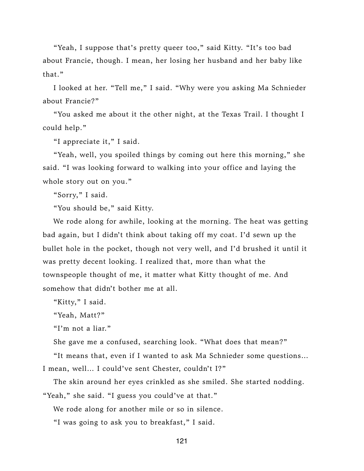"Yeah, I suppose that's pretty queer too," said Kitty. "It's too bad about Francie, though. I mean, her losing her husband and her baby like that."

I looked at her. "Tell me," I said. "Why were you asking Ma Schnieder about Francie?"

"You asked me about it the other night, at the Texas Trail. I thought I could help."

"I appreciate it," I said.

"Yeah, well, you spoiled things by coming out here this morning," she said. "I was looking forward to walking into your office and laying the whole story out on you."

"Sorry," I said.

"You should be," said Kitty.

We rode along for awhile, looking at the morning. The heat was getting bad again, but I didn't think about taking off my coat. I'd sewn up the bullet hole in the pocket, though not very well, and I'd brushed it until it was pretty decent looking. I realized that, more than what the townspeople thought of me, it matter what Kitty thought of me. And somehow that didn't bother me at all.

"Kitty," I said.

"Yeah, Matt?"

"I'm not a liar."

She gave me a confused, searching look. "What does that mean?"

"It means that, even if I wanted to ask Ma Schnieder some questions…

I mean, well… I could've sent Chester, couldn't I?"

The skin around her eyes crinkled as she smiled. She started nodding.

"Yeah," she said. "I guess you could've at that."

We rode along for another mile or so in silence.

"I was going to ask you to breakfast," I said.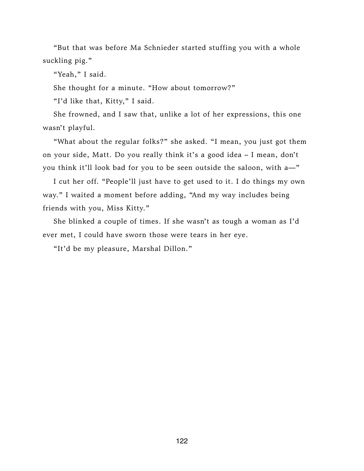"But that was before Ma Schnieder started stuffing you with a whole suckling pig."

"Yeah," I said.

She thought for a minute. "How about tomorrow?"

"I'd like that, Kitty," I said.

She frowned, and I saw that, unlike a lot of her expressions, this one wasn't playful.

"What about the regular folks?" she asked. "I mean, you just got them on your side, Matt. Do you really think it's a good idea – I mean, don't you think it'll look bad for you to be seen outside the saloon, with a—"

I cut her off. "People'll just have to get used to it. I do things my own way." I waited a moment before adding, "And my way includes being friends with you, Miss Kitty."

She blinked a couple of times. If she wasn't as tough a woman as I'd ever met, I could have sworn those were tears in her eye.

"It'd be my pleasure, Marshal Dillon."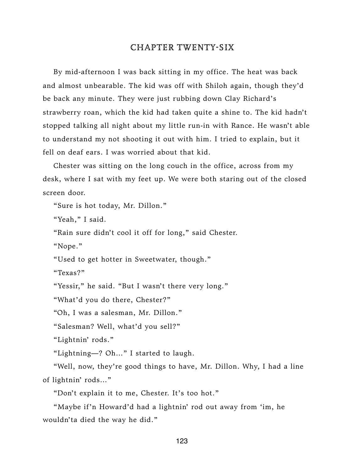### Chapter Twenty-Six

By mid-afternoon I was back sitting in my office. The heat was back and almost unbearable. The kid was off with Shiloh again, though they'd be back any minute. They were just rubbing down Clay Richard's strawberry roan, which the kid had taken quite a shine to. The kid hadn't stopped talking all night about my little run-in with Rance. He wasn't able to understand my not shooting it out with him. I tried to explain, but it fell on deaf ears. I was worried about that kid.

Chester was sitting on the long couch in the office, across from my desk, where I sat with my feet up. We were both staring out of the closed screen door.

"Sure is hot today, Mr. Dillon."

"Yeah," I said.

"Rain sure didn't cool it off for long," said Chester.

"Nope."

"Used to get hotter in Sweetwater, though."

"Texas?"

"Yessir," he said. "But I wasn't there very long."

"What'd you do there, Chester?"

"Oh, I was a salesman, Mr. Dillon."

"Salesman? Well, what'd you sell?"

"Lightnin' rods."

"Lightning—? Oh…" I started to laugh.

"Well, now, they're good things to have, Mr. Dillon. Why, I had a line of lightnin' rods…"

"Don't explain it to me, Chester. It's too hot."

"Maybe if'n Howard'd had a lightnin' rod out away from 'im, he wouldn'ta died the way he did."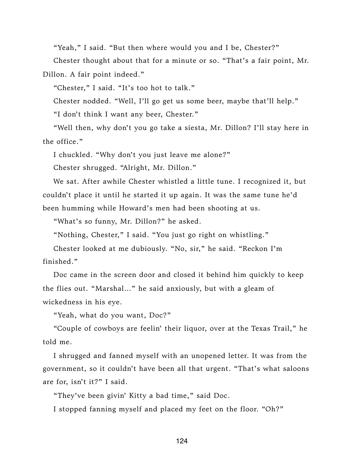"Yeah," I said. "But then where would you and I be, Chester?"

Chester thought about that for a minute or so. "That's a fair point, Mr. Dillon. A fair point indeed."

"Chester," I said. "It's too hot to talk."

Chester nodded. "Well, I'll go get us some beer, maybe that'll help."

"I don't think I want any beer, Chester."

"Well then, why don't you go take a siesta, Mr. Dillon? I'll stay here in the office."

I chuckled. "Why don't you just leave me alone?"

Chester shrugged. "Alright, Mr. Dillon."

We sat. After awhile Chester whistled a little tune. I recognized it, but couldn't place it until he started it up again. It was the same tune he'd been humming while Howard's men had been shooting at us.

"What's so funny, Mr. Dillon?" he asked.

"Nothing, Chester," I said. "You just go right on whistling."

Chester looked at me dubiously. "No, sir," he said. "Reckon I'm finished."

Doc came in the screen door and closed it behind him quickly to keep the flies out. "Marshal…" he said anxiously, but with a gleam of wickedness in his eye.

"Yeah, what do you want, Doc?"

"Couple of cowboys are feelin' their liquor, over at the Texas Trail," he told me.

I shrugged and fanned myself with an unopened letter. It was from the government, so it couldn't have been all that urgent. "That's what saloons are for, isn't it?" I said.

"They've been givin' Kitty a bad time," said Doc.

I stopped fanning myself and placed my feet on the floor. "Oh?"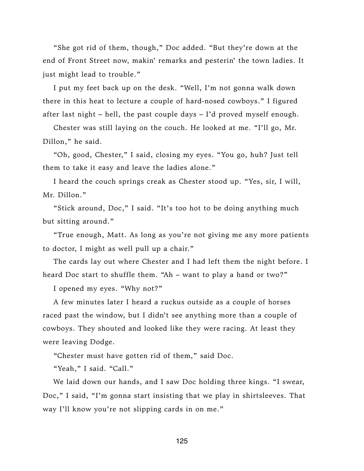"She got rid of them, though," Doc added. "But they're down at the end of Front Street now, makin' remarks and pesterin' the town ladies. It just might lead to trouble."

I put my feet back up on the desk. "Well, I'm not gonna walk down there in this heat to lecture a couple of hard-nosed cowboys." I figured after last night – hell, the past couple days – I'd proved myself enough.

Chester was still laying on the couch. He looked at me. "I'll go, Mr. Dillon," he said.

"Oh, good, Chester," I said, closing my eyes. "You go, huh? Just tell them to take it easy and leave the ladies alone."

I heard the couch springs creak as Chester stood up. "Yes, sir, I will, Mr. Dillon."

"Stick around, Doc," I said. "It's too hot to be doing anything much but sitting around."

"True enough, Matt. As long as you're not giving me any more patients to doctor, I might as well pull up a chair."

The cards lay out where Chester and I had left them the night before. I heard Doc start to shuffle them. "Ah – want to play a hand or two?"

I opened my eyes. "Why not?"

A few minutes later I heard a ruckus outside as a couple of horses raced past the window, but I didn't see anything more than a couple of cowboys. They shouted and looked like they were racing. At least they were leaving Dodge.

"Chester must have gotten rid of them," said Doc.

"Yeah," I said. "Call."

We laid down our hands, and I saw Doc holding three kings. "I swear, Doc," I said, "I'm gonna start insisting that we play in shirtsleeves. That way I'll know you're not slipping cards in on me."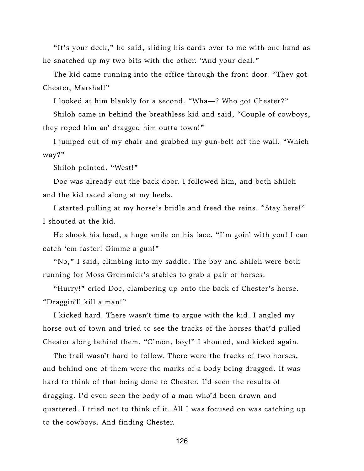"It's your deck," he said, sliding his cards over to me with one hand as he snatched up my two bits with the other. "And your deal."

The kid came running into the office through the front door. "They got Chester, Marshal!"

I looked at him blankly for a second. "Wha—? Who got Chester?"

Shiloh came in behind the breathless kid and said, "Couple of cowboys, they roped him an' dragged him outta town!"

I jumped out of my chair and grabbed my gun-belt off the wall. "Which way?"

Shiloh pointed. "West!"

Doc was already out the back door. I followed him, and both Shiloh and the kid raced along at my heels.

I started pulling at my horse's bridle and freed the reins. "Stay here!" I shouted at the kid.

He shook his head, a huge smile on his face. "I'm goin' with you! I can catch 'em faster! Gimme a gun!"

"No," I said, climbing into my saddle. The boy and Shiloh were both running for Moss Gremmick's stables to grab a pair of horses.

"Hurry!" cried Doc, clambering up onto the back of Chester's horse. "Draggin'll kill a man!"

I kicked hard. There wasn't time to argue with the kid. I angled my horse out of town and tried to see the tracks of the horses that'd pulled Chester along behind them. "C'mon, boy!" I shouted, and kicked again.

The trail wasn't hard to follow. There were the tracks of two horses, and behind one of them were the marks of a body being dragged. It was hard to think of that being done to Chester. I'd seen the results of dragging. I'd even seen the body of a man who'd been drawn and quartered. I tried not to think of it. All I was focused on was catching up to the cowboys. And finding Chester.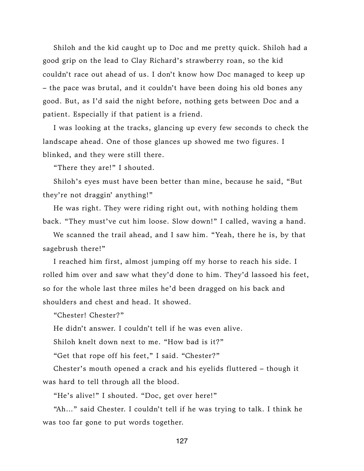Shiloh and the kid caught up to Doc and me pretty quick. Shiloh had a good grip on the lead to Clay Richard's strawberry roan, so the kid couldn't race out ahead of us. I don't know how Doc managed to keep up – the pace was brutal, and it couldn't have been doing his old bones any good. But, as I'd said the night before, nothing gets between Doc and a patient. Especially if that patient is a friend.

I was looking at the tracks, glancing up every few seconds to check the landscape ahead. One of those glances up showed me two figures. I blinked, and they were still there.

"There they are!" I shouted.

Shiloh's eyes must have been better than mine, because he said, "But they're not draggin' anything!"

He was right. They were riding right out, with nothing holding them back. "They must've cut him loose. Slow down!" I called, waving a hand.

We scanned the trail ahead, and I saw him. "Yeah, there he is, by that sagebrush there!"

I reached him first, almost jumping off my horse to reach his side. I rolled him over and saw what they'd done to him. They'd lassoed his feet, so for the whole last three miles he'd been dragged on his back and shoulders and chest and head. It showed.

"Chester! Chester?"

He didn't answer. I couldn't tell if he was even alive.

Shiloh knelt down next to me. "How bad is it?"

"Get that rope off his feet," I said. "Chester?"

Chester's mouth opened a crack and his eyelids fluttered – though it was hard to tell through all the blood.

"He's alive!" I shouted. "Doc, get over here!"

"Ah…" said Chester. I couldn't tell if he was trying to talk. I think he was too far gone to put words together.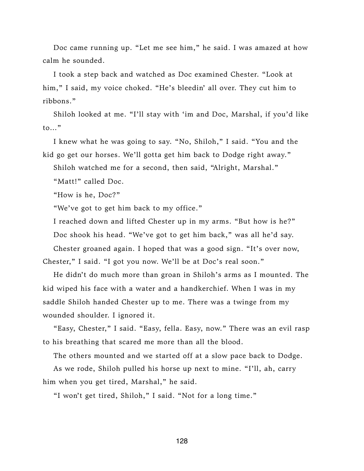Doc came running up. "Let me see him," he said. I was amazed at how calm he sounded.

I took a step back and watched as Doc examined Chester. "Look at him," I said, my voice choked. "He's bleedin' all over. They cut him to ribbons."

Shiloh looked at me. "I'll stay with 'im and Doc, Marshal, if you'd like to…"

I knew what he was going to say. "No, Shiloh," I said. "You and the kid go get our horses. We'll gotta get him back to Dodge right away."

Shiloh watched me for a second, then said, "Alright, Marshal."

"Matt!" called Doc.

"How is he, Doc?"

"We've got to get him back to my office."

I reached down and lifted Chester up in my arms. "But how is he?"

Doc shook his head. "We've got to get him back," was all he'd say.

Chester groaned again. I hoped that was a good sign. "It's over now, Chester," I said. "I got you now. We'll be at Doc's real soon."

He didn't do much more than groan in Shiloh's arms as I mounted. The kid wiped his face with a water and a handkerchief. When I was in my saddle Shiloh handed Chester up to me. There was a twinge from my wounded shoulder. I ignored it.

"Easy, Chester," I said. "Easy, fella. Easy, now." There was an evil rasp to his breathing that scared me more than all the blood.

The others mounted and we started off at a slow pace back to Dodge.

As we rode, Shiloh pulled his horse up next to mine. "I'll, ah, carry him when you get tired, Marshal," he said.

"I won't get tired, Shiloh," I said. "Not for a long time."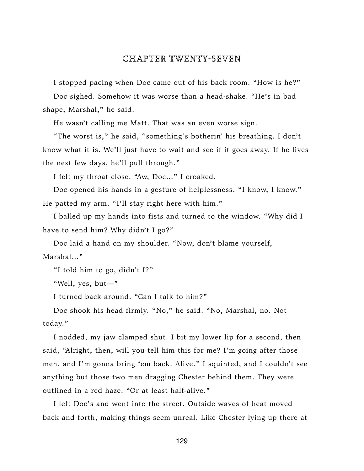# Chapter Twenty-Seven

I stopped pacing when Doc came out of his back room. "How is he?"

Doc sighed. Somehow it was worse than a head-shake. "He's in bad shape, Marshal," he said.

He wasn't calling me Matt. That was an even worse sign.

"The worst is," he said, "something's botherin' his breathing. I don't know what it is. We'll just have to wait and see if it goes away. If he lives the next few days, he'll pull through."

I felt my throat close. "Aw, Doc…" I croaked.

Doc opened his hands in a gesture of helplessness. "I know, I know." He patted my arm. "I'll stay right here with him."

I balled up my hands into fists and turned to the window. "Why did I have to send him? Why didn't I go?"

Doc laid a hand on my shoulder. "Now, don't blame yourself, Marshal…"

"I told him to go, didn't I?"

"Well, yes, but—"

I turned back around. "Can I talk to him?"

Doc shook his head firmly. "No," he said. "No, Marshal, no. Not today."

I nodded, my jaw clamped shut. I bit my lower lip for a second, then said, "Alright, then, will you tell him this for me? I'm going after those men, and I'm gonna bring 'em back. Alive." I squinted, and I couldn't see anything but those two men dragging Chester behind them. They were outlined in a red haze. "Or at least half-alive."

I left Doc's and went into the street. Outside waves of heat moved back and forth, making things seem unreal. Like Chester lying up there at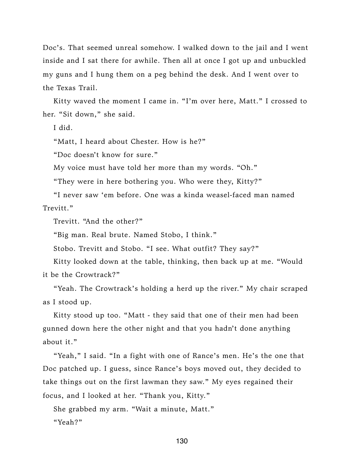Doc's. That seemed unreal somehow. I walked down to the jail and I went inside and I sat there for awhile. Then all at once I got up and unbuckled my guns and I hung them on a peg behind the desk. And I went over to the Texas Trail.

Kitty waved the moment I came in. "I'm over here, Matt." I crossed to her. "Sit down," she said.

I did.

"Matt, I heard about Chester. How is he?"

"Doc doesn't know for sure."

My voice must have told her more than my words. "Oh."

"They were in here bothering you. Who were they, Kitty?"

"I never saw 'em before. One was a kinda weasel-faced man named Trevitt."

Trevitt. "And the other?"

"Big man. Real brute. Named Stobo, I think."

Stobo. Trevitt and Stobo. "I see. What outfit? They say?"

Kitty looked down at the table, thinking, then back up at me. "Would it be the Crowtrack?"

"Yeah. The Crowtrack's holding a herd up the river." My chair scraped as I stood up.

Kitty stood up too. "Matt - they said that one of their men had been gunned down here the other night and that you hadn't done anything about it."

"Yeah," I said. "In a fight with one of Rance's men. He's the one that Doc patched up. I guess, since Rance's boys moved out, they decided to take things out on the first lawman they saw." My eyes regained their focus, and I looked at her. "Thank you, Kitty."

She grabbed my arm. "Wait a minute, Matt." "Yeah?"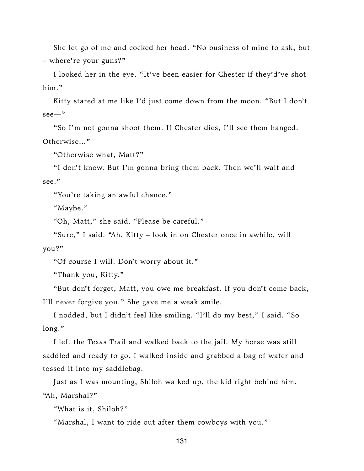She let go of me and cocked her head. "No business of mine to ask, but – where're your guns?"

I looked her in the eye. "It've been easier for Chester if they'd've shot him."

Kitty stared at me like I'd just come down from the moon. "But I don't see—"

"So I'm not gonna shoot them. If Chester dies, I'll see them hanged. Otherwise…"

"Otherwise what, Matt?"

"I don't know. But I'm gonna bring them back. Then we'll wait and see."

"You're taking an awful chance."

"Maybe."

"Oh, Matt," she said. "Please be careful."

"Sure," I said. "Ah, Kitty – look in on Chester once in awhile, will you?"

"Of course I will. Don't worry about it."

"Thank you, Kitty."

"But don't forget, Matt, you owe me breakfast. If you don't come back, I'll never forgive you." She gave me a weak smile.

I nodded, but I didn't feel like smiling. "I'll do my best," I said. "So long."

I left the Texas Trail and walked back to the jail. My horse was still saddled and ready to go. I walked inside and grabbed a bag of water and tossed it into my saddlebag.

Just as I was mounting, Shiloh walked up, the kid right behind him. "Ah, Marshal?"

"What is it, Shiloh?"

"Marshal, I want to ride out after them cowboys with you."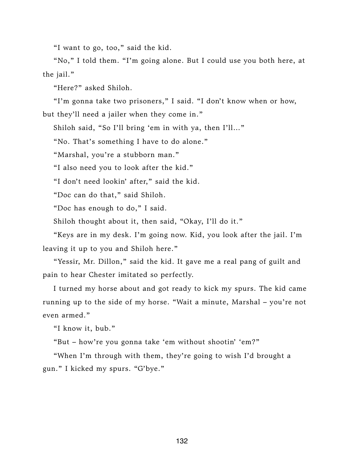"I want to go, too," said the kid.

"No," I told them. "I'm going alone. But I could use you both here, at the jail."

"Here?" asked Shiloh.

"I'm gonna take two prisoners," I said. "I don't know when or how, but they'll need a jailer when they come in."

Shiloh said, "So I'll bring 'em in with ya, then I'll…"

"No. That's something I have to do alone."

"Marshal, you're a stubborn man."

"I also need you to look after the kid."

"I don't need lookin' after," said the kid.

"Doc can do that," said Shiloh.

"Doc has enough to do," I said.

Shiloh thought about it, then said, "Okay, I'll do it."

"Keys are in my desk. I'm going now. Kid, you look after the jail. I'm leaving it up to you and Shiloh here."

"Yessir, Mr. Dillon," said the kid. It gave me a real pang of guilt and pain to hear Chester imitated so perfectly.

I turned my horse about and got ready to kick my spurs. The kid came running up to the side of my horse. "Wait a minute, Marshal – you're not even armed."

"I know it, bub."

"But – how're you gonna take 'em without shootin' 'em?"

"When I'm through with them, they're going to wish I'd brought a gun." I kicked my spurs. "G'bye."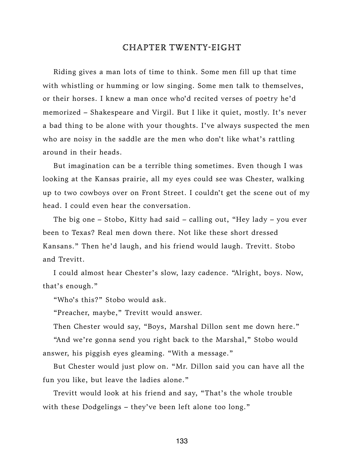#### Chapter Twenty-Eight

Riding gives a man lots of time to think. Some men fill up that time with whistling or humming or low singing. Some men talk to themselves, or their horses. I knew a man once who'd recited verses of poetry he'd memorized – Shakespeare and Virgil. But I like it quiet, mostly. It's never a bad thing to be alone with your thoughts. I've always suspected the men who are noisy in the saddle are the men who don't like what's rattling around in their heads.

But imagination can be a terrible thing sometimes. Even though I was looking at the Kansas prairie, all my eyes could see was Chester, walking up to two cowboys over on Front Street. I couldn't get the scene out of my head. I could even hear the conversation.

The big one – Stobo, Kitty had said – calling out, "Hey lady – you ever been to Texas? Real men down there. Not like these short dressed Kansans." Then he'd laugh, and his friend would laugh. Trevitt. Stobo and Trevitt.

I could almost hear Chester's slow, lazy cadence. "Alright, boys. Now, that's enough."

"Who's this?" Stobo would ask.

"Preacher, maybe," Trevitt would answer.

Then Chester would say, "Boys, Marshal Dillon sent me down here."

"And we're gonna send you right back to the Marshal," Stobo would answer, his piggish eyes gleaming. "With a message."

But Chester would just plow on. "Mr. Dillon said you can have all the fun you like, but leave the ladies alone."

Trevitt would look at his friend and say, "That's the whole trouble with these Dodgelings – they've been left alone too long."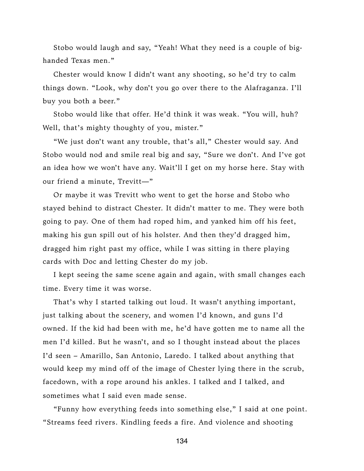Stobo would laugh and say, "Yeah! What they need is a couple of bighanded Texas men."

Chester would know I didn't want any shooting, so he'd try to calm things down. "Look, why don't you go over there to the Alafraganza. I'll buy you both a beer."

Stobo would like that offer. He'd think it was weak. "You will, huh? Well, that's mighty thoughty of you, mister."

"We just don't want any trouble, that's all," Chester would say. And Stobo would nod and smile real big and say, "Sure we don't. And I've got an idea how we won't have any. Wait'll I get on my horse here. Stay with our friend a minute, Trevitt—"

Or maybe it was Trevitt who went to get the horse and Stobo who stayed behind to distract Chester. It didn't matter to me. They were both going to pay. One of them had roped him, and yanked him off his feet, making his gun spill out of his holster. And then they'd dragged him, dragged him right past my office, while I was sitting in there playing cards with Doc and letting Chester do my job.

I kept seeing the same scene again and again, with small changes each time. Every time it was worse.

That's why I started talking out loud. It wasn't anything important, just talking about the scenery, and women I'd known, and guns I'd owned. If the kid had been with me, he'd have gotten me to name all the men I'd killed. But he wasn't, and so I thought instead about the places I'd seen – Amarillo, San Antonio, Laredo. I talked about anything that would keep my mind off of the image of Chester lying there in the scrub, facedown, with a rope around his ankles. I talked and I talked, and sometimes what I said even made sense.

"Funny how everything feeds into something else," I said at one point. "Streams feed rivers. Kindling feeds a fire. And violence and shooting

134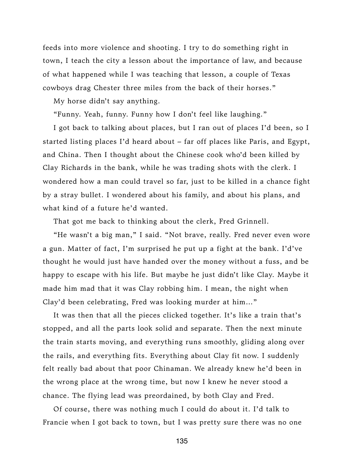feeds into more violence and shooting. I try to do something right in town, I teach the city a lesson about the importance of law, and because of what happened while I was teaching that lesson, a couple of Texas cowboys drag Chester three miles from the back of their horses."

My horse didn't say anything.

"Funny. Yeah, funny. Funny how I don't feel like laughing."

I got back to talking about places, but I ran out of places I'd been, so I started listing places I'd heard about – far off places like Paris, and Egypt, and China. Then I thought about the Chinese cook who'd been killed by Clay Richards in the bank, while he was trading shots with the clerk. I wondered how a man could travel so far, just to be killed in a chance fight by a stray bullet. I wondered about his family, and about his plans, and what kind of a future he'd wanted.

That got me back to thinking about the clerk, Fred Grinnell.

"He wasn't a big man," I said. "Not brave, really. Fred never even wore a gun. Matter of fact, I'm surprised he put up a fight at the bank. I'd've thought he would just have handed over the money without a fuss, and be happy to escape with his life. But maybe he just didn't like Clay. Maybe it made him mad that it was Clay robbing him. I mean, the night when Clay'd been celebrating, Fred was looking murder at him…"

It was then that all the pieces clicked together. It's like a train that's stopped, and all the parts look solid and separate. Then the next minute the train starts moving, and everything runs smoothly, gliding along over the rails, and everything fits. Everything about Clay fit now. I suddenly felt really bad about that poor Chinaman. We already knew he'd been in the wrong place at the wrong time, but now I knew he never stood a chance. The flying lead was preordained, by both Clay and Fred.

Of course, there was nothing much I could do about it. I'd talk to Francie when I got back to town, but I was pretty sure there was no one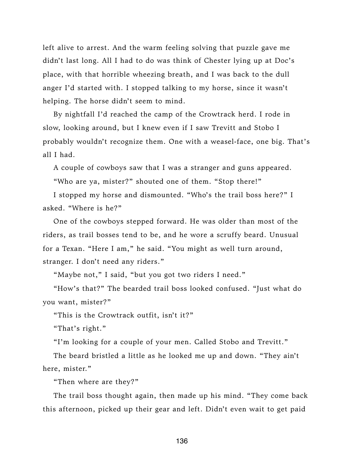left alive to arrest. And the warm feeling solving that puzzle gave me didn't last long. All I had to do was think of Chester lying up at Doc's place, with that horrible wheezing breath, and I was back to the dull anger I'd started with. I stopped talking to my horse, since it wasn't helping. The horse didn't seem to mind.

By nightfall I'd reached the camp of the Crowtrack herd. I rode in slow, looking around, but I knew even if I saw Trevitt and Stobo I probably wouldn't recognize them. One with a weasel-face, one big. That's all I had.

A couple of cowboys saw that I was a stranger and guns appeared.

"Who are ya, mister?" shouted one of them. "Stop there!"

I stopped my horse and dismounted. "Who's the trail boss here?" I asked. "Where is he?"

One of the cowboys stepped forward. He was older than most of the riders, as trail bosses tend to be, and he wore a scruffy beard. Unusual for a Texan. "Here I am," he said. "You might as well turn around, stranger. I don't need any riders."

"Maybe not," I said, "but you got two riders I need."

"How's that?" The bearded trail boss looked confused. "Just what do you want, mister?"

"This is the Crowtrack outfit, isn't it?"

"That's right."

"I'm looking for a couple of your men. Called Stobo and Trevitt."

The beard bristled a little as he looked me up and down. "They ain't here, mister."

"Then where are they?"

The trail boss thought again, then made up his mind. "They come back this afternoon, picked up their gear and left. Didn't even wait to get paid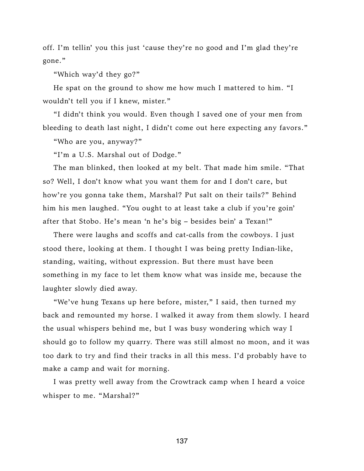off. I'm tellin' you this just 'cause they're no good and I'm glad they're gone."

"Which way'd they go?"

He spat on the ground to show me how much I mattered to him. "I wouldn't tell you if I knew, mister."

"I didn't think you would. Even though I saved one of your men from bleeding to death last night, I didn't come out here expecting any favors."

"Who are you, anyway?"

"I'm a U.S. Marshal out of Dodge."

The man blinked, then looked at my belt. That made him smile. "That so? Well, I don't know what you want them for and I don't care, but how're you gonna take them, Marshal? Put salt on their tails?" Behind him his men laughed. "You ought to at least take a club if you're goin' after that Stobo. He's mean 'n he's big – besides bein' a Texan!"

There were laughs and scoffs and cat-calls from the cowboys. I just stood there, looking at them. I thought I was being pretty Indian-like, standing, waiting, without expression. But there must have been something in my face to let them know what was inside me, because the laughter slowly died away.

"We've hung Texans up here before, mister," I said, then turned my back and remounted my horse. I walked it away from them slowly. I heard the usual whispers behind me, but I was busy wondering which way I should go to follow my quarry. There was still almost no moon, and it was too dark to try and find their tracks in all this mess. I'd probably have to make a camp and wait for morning.

I was pretty well away from the Crowtrack camp when I heard a voice whisper to me. "Marshal?"

137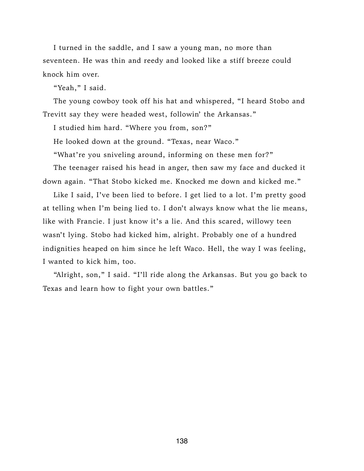I turned in the saddle, and I saw a young man, no more than seventeen. He was thin and reedy and looked like a stiff breeze could knock him over.

"Yeah," I said.

The young cowboy took off his hat and whispered, "I heard Stobo and Trevitt say they were headed west, followin' the Arkansas."

I studied him hard. "Where you from, son?"

He looked down at the ground. "Texas, near Waco."

"What're you sniveling around, informing on these men for?"

The teenager raised his head in anger, then saw my face and ducked it down again. "That Stobo kicked me. Knocked me down and kicked me."

Like I said, I've been lied to before. I get lied to a lot. I'm pretty good at telling when I'm being lied to. I don't always know what the lie means, like with Francie. I just know it's a lie. And this scared, willowy teen wasn't lying. Stobo had kicked him, alright. Probably one of a hundred indignities heaped on him since he left Waco. Hell, the way I was feeling, I wanted to kick him, too.

"Alright, son," I said. "I'll ride along the Arkansas. But you go back to Texas and learn how to fight your own battles."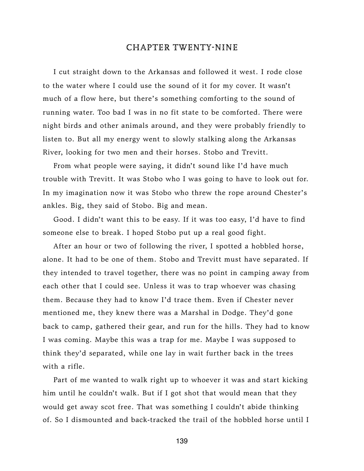### Chapter Twenty-Nine

I cut straight down to the Arkansas and followed it west. I rode close to the water where I could use the sound of it for my cover. It wasn't much of a flow here, but there's something comforting to the sound of running water. Too bad I was in no fit state to be comforted. There were night birds and other animals around, and they were probably friendly to listen to. But all my energy went to slowly stalking along the Arkansas River, looking for two men and their horses. Stobo and Trevitt.

From what people were saying, it didn't sound like I'd have much trouble with Trevitt. It was Stobo who I was going to have to look out for. In my imagination now it was Stobo who threw the rope around Chester's ankles. Big, they said of Stobo. Big and mean.

Good. I didn't want this to be easy. If it was too easy, I'd have to find someone else to break. I hoped Stobo put up a real good fight.

After an hour or two of following the river, I spotted a hobbled horse, alone. It had to be one of them. Stobo and Trevitt must have separated. If they intended to travel together, there was no point in camping away from each other that I could see. Unless it was to trap whoever was chasing them. Because they had to know I'd trace them. Even if Chester never mentioned me, they knew there was a Marshal in Dodge. They'd gone back to camp, gathered their gear, and run for the hills. They had to know I was coming. Maybe this was a trap for me. Maybe I was supposed to think they'd separated, while one lay in wait further back in the trees with a rifle.

Part of me wanted to walk right up to whoever it was and start kicking him until he couldn't walk. But if I got shot that would mean that they would get away scot free. That was something I couldn't abide thinking of. So I dismounted and back-tracked the trail of the hobbled horse until I

139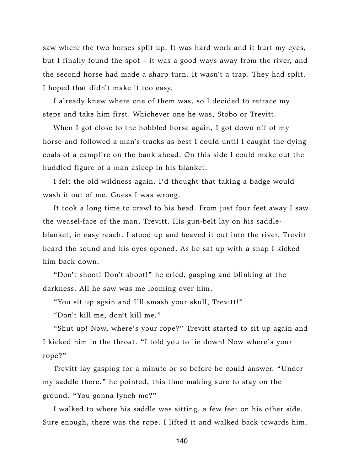saw where the two horses split up. It was hard work and it hurt my eyes, but I finally found the spot – it was a good ways away from the river, and the second horse had made a sharp turn. It wasn't a trap. They had split. I hoped that didn't make it too easy.

I already knew where one of them was, so I decided to retrace my steps and take him first. Whichever one he was, Stobo or Trevitt.

When I got close to the hobbled horse again, I got down off of my horse and followed a man's tracks as best I could until I caught the dying coals of a campfire on the bank ahead. On this side I could make out the huddled figure of a man asleep in his blanket.

I felt the old wildness again. I'd thought that taking a badge would wash it out of me. Guess I was wrong.

It took a long time to crawl to his head. From just four feet away I saw the weasel-face of the man, Trevitt. His gun-belt lay on his saddleblanket, in easy reach. I stood up and heaved it out into the river. Trevitt heard the sound and his eyes opened. As he sat up with a snap I kicked him back down.

"Don't shoot! Don't shoot!" he cried, gasping and blinking at the darkness. All he saw was me looming over him.

"You sit up again and I'll smash your skull, Trevitt!"

"Don't kill me, don't kill me."

"Shut up! Now, where's your rope?" Trevitt started to sit up again and I kicked him in the throat. "I told you to lie down! Now where's your rope?"

Trevitt lay gasping for a minute or so before he could answer. "Under my saddle there," he pointed, this time making sure to stay on the ground. "You gonna lynch me?"

I walked to where his saddle was sitting, a few feet on his other side. Sure enough, there was the rope. I lifted it and walked back towards him.

140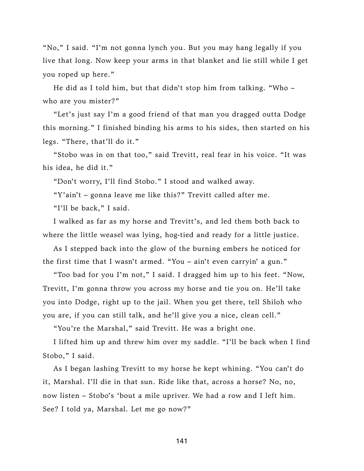"No," I said. "I'm not gonna lynch you. But you may hang legally if you live that long. Now keep your arms in that blanket and lie still while I get you roped up here."

He did as I told him, but that didn't stop him from talking. "Who – who are you mister?"

"Let's just say I'm a good friend of that man you dragged outta Dodge this morning." I finished binding his arms to his sides, then started on his legs. "There, that'll do it."

"Stobo was in on that too," said Trevitt, real fear in his voice. "It was his idea, he did it."

"Don't worry, I'll find Stobo." I stood and walked away.

"Y'ain't – gonna leave me like this?" Trevitt called after me.

"I'll be back," I said.

I walked as far as my horse and Trevitt's, and led them both back to where the little weasel was lying, hog-tied and ready for a little justice.

As I stepped back into the glow of the burning embers he noticed for the first time that I wasn't armed. "You – ain't even carryin' a gun."

"Too bad for you I'm not," I said. I dragged him up to his feet. "Now, Trevitt, I'm gonna throw you across my horse and tie you on. He'll take you into Dodge, right up to the jail. When you get there, tell Shiloh who you are, if you can still talk, and he'll give you a nice, clean cell."

"You're the Marshal," said Trevitt. He was a bright one.

I lifted him up and threw him over my saddle. "I'll be back when I find Stobo," I said.

As I began lashing Trevitt to my horse he kept whining. "You can't do it, Marshal. I'll die in that sun. Ride like that, across a horse? No, no, now listen – Stobo's 'bout a mile upriver. We had a row and I left him. See? I told ya, Marshal. Let me go now?"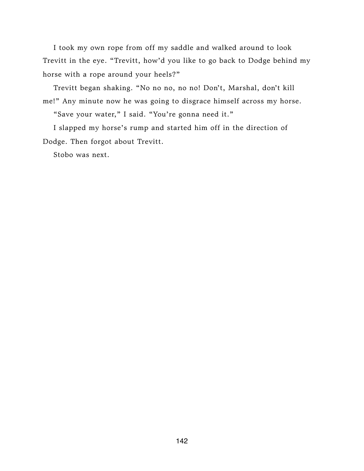I took my own rope from off my saddle and walked around to look Trevitt in the eye. "Trevitt, how'd you like to go back to Dodge behind my horse with a rope around your heels?"

Trevitt began shaking. "No no no, no no! Don't, Marshal, don't kill me!" Any minute now he was going to disgrace himself across my horse. "Save your water," I said. "You're gonna need it."

I slapped my horse's rump and started him off in the direction of Dodge. Then forgot about Trevitt.

Stobo was next.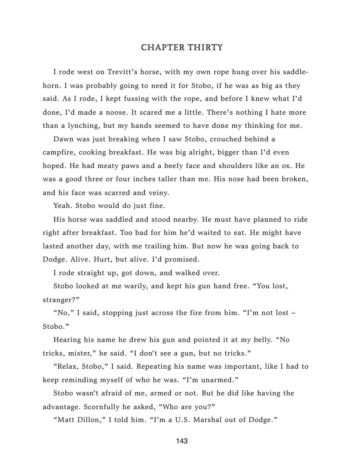#### Chapter Thirty

I rode west on Trevitt's horse, with my own rope hung over his saddlehorn. I was probably going to need it for Stobo, if he was as big as they said. As I rode, I kept fussing with the rope, and before I knew what I'd done, I'd made a noose. It scared me a little. There's nothing I hate more than a lynching, but my hands seemed to have done my thinking for me.

Dawn was just breaking when I saw Stobo, crouched behind a campfire, cooking breakfast. He was big alright, bigger than I'd even hoped. He had meaty paws and a beefy face and shoulders like an ox. He was a good three or four inches taller than me. His nose had been broken, and his face was scarred and veiny.

Yeah. Stobo would do just fine.

His horse was saddled and stood nearby. He must have planned to ride right after breakfast. Too bad for him he'd waited to eat. He might have lasted another day, with me trailing him. But now he was going back to Dodge. Alive. Hurt, but alive. I'd promised.

I rode straight up, got down, and walked over.

Stobo looked at me warily, and kept his gun hand free. "You lost, stranger?"

"No," I said, stopping just across the fire from him. "I'm not lost – Stobo."

Hearing his name he drew his gun and pointed it at my belly. "No tricks, mister," he said. "I don't see a gun, but no tricks."

"Relax, Stobo," I said. Repeating his name was important, like I had to keep reminding myself of who he was. "I'm unarmed."

Stobo wasn't afraid of me, armed or not. But he did like having the advantage. Scornfully he asked, "Who are you?"

"Matt Dillon," I told him. "I'm a U.S. Marshal out of Dodge."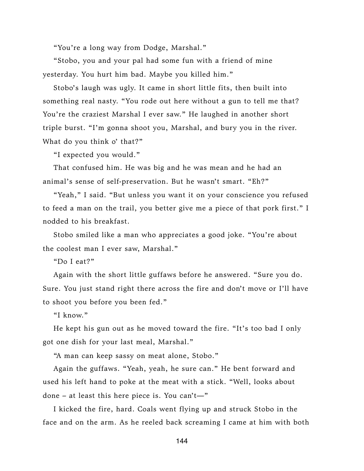"You're a long way from Dodge, Marshal."

"Stobo, you and your pal had some fun with a friend of mine yesterday. You hurt him bad. Maybe you killed him."

Stobo's laugh was ugly. It came in short little fits, then built into something real nasty. "You rode out here without a gun to tell me that? You're the craziest Marshal I ever saw." He laughed in another short triple burst. "I'm gonna shoot you, Marshal, and bury you in the river. What do you think o' that?"

"I expected you would."

That confused him. He was big and he was mean and he had an animal's sense of self-preservation. But he wasn't smart. "Eh?"

"Yeah," I said. "But unless you want it on your conscience you refused to feed a man on the trail, you better give me a piece of that pork first." I nodded to his breakfast.

Stobo smiled like a man who appreciates a good joke. "You're about the coolest man I ever saw, Marshal."

"Do I eat?"

Again with the short little guffaws before he answered. "Sure you do. Sure. You just stand right there across the fire and don't move or I'll have to shoot you before you been fed."

"I know."

He kept his gun out as he moved toward the fire. "It's too bad I only got one dish for your last meal, Marshal."

"A man can keep sassy on meat alone, Stobo."

Again the guffaws. "Yeah, yeah, he sure can." He bent forward and used his left hand to poke at the meat with a stick. "Well, looks about done – at least this here piece is. You can't—"

I kicked the fire, hard. Coals went flying up and struck Stobo in the face and on the arm. As he reeled back screaming I came at him with both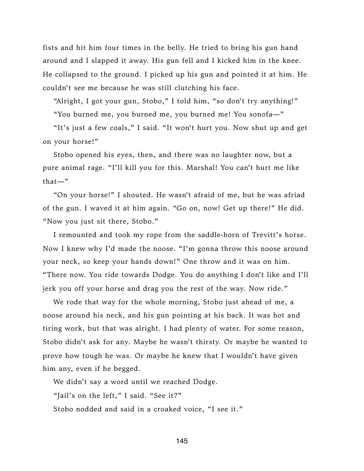fists and hit him four times in the belly. He tried to bring his gun hand around and I slapped it away. His gun fell and I kicked him in the knee. He collapsed to the ground. I picked up his gun and pointed it at him. He couldn't see me because he was still clutching his face.

"Alright, I got your gun, Stobo," I told him, "so don't try anything!" "You burned me, you burned me, you burned me! You sonofa—"

"It's just a few coals," I said. "It won't hurt you. Now shut up and get on your horse!"

Stobo opened his eyes, then, and there was no laughter now, but a pure animal rage. "I'll kill you for this. Marshal! You can't hurt me like that—"

"On your horse!" I shouted. He wasn't afraid of me, but he was afriad of the gun. I waved it at him again. "Go on, now! Get up there!" He did. "Now you just sit there, Stobo."

I remounted and took my rope from the saddle-horn of Trevitt's horse. Now I knew why I'd made the noose. "I'm gonna throw this noose around your neck, so keep your hands down!" One throw and it was on him. "There now. You ride towards Dodge. You do anything I don't like and I'll jerk you off your horse and drag you the rest of the way. Now ride."

We rode that way for the whole morning, Stobo just ahead of me, a noose around his neck, and his gun pointing at his back. It was hot and tiring work, but that was alright. I had plenty of water. For some reason, Stobo didn't ask for any. Maybe he wasn't thirsty. Or maybe he wanted to prove how tough he was. Or maybe he knew that I wouldn't have given him any, even if he begged.

We didn't say a word until we reached Dodge.

"Jail's on the left," I said. "See it?"

Stobo nodded and said in a croaked voice, "I see it."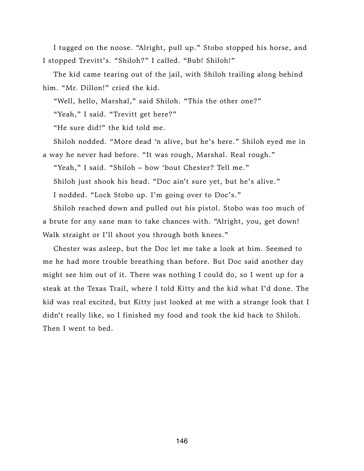I tugged on the noose. "Alright, pull up." Stobo stopped his horse, and I stopped Trevitt's. "Shiloh?" I called. "Bub! Shiloh!"

The kid came tearing out of the jail, with Shiloh trailing along behind him. "Mr. Dillon!" cried the kid.

"Well, hello, Marshal," said Shiloh. "This the other one?"

"Yeah," I said. "Trevitt get here?"

"He sure did!" the kid told me.

Shiloh nodded. "More dead 'n alive, but he's here." Shiloh eyed me in a way he never had before. "It was rough, Marshal. Real rough."

"Yeah," I said. "Shiloh – how 'bout Chester? Tell me."

Shiloh just shook his head. "Doc ain't sure yet, but he's alive."

I nodded. "Lock Stobo up. I'm going over to Doc's."

Shiloh reached down and pulled out his pistol. Stobo was too much of a brute for any sane man to take chances with. "Alright, you, get down! Walk straight or I'll shoot you through both knees."

Chester was asleep, but the Doc let me take a look at him. Seemed to me he had more trouble breathing than before. But Doc said another day might see him out of it. There was nothing I could do, so I went up for a steak at the Texas Trail, where I told Kitty and the kid what I'd done. The kid was real excited, but Kitty just looked at me with a strange look that I didn't really like, so I finished my food and took the kid back to Shiloh. Then I went to bed.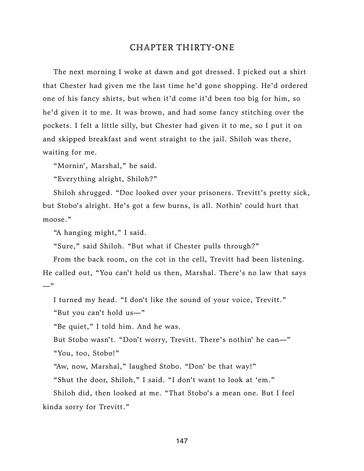#### Chapter Thirty-One

The next morning I woke at dawn and got dressed. I picked out a shirt that Chester had given me the last time he'd gone shopping. He'd ordered one of his fancy shirts, but when it'd come it'd been too big for him, so he'd given it to me. It was brown, and had some fancy stitching over the pockets. I felt a little silly, but Chester had given it to me, so I put it on and skipped breakfast and went straight to the jail. Shiloh was there, waiting for me.

"Mornin', Marshal," he said.

"Everything alright, Shiloh?"

Shiloh shrugged. "Doc looked over your prisoners. Trevitt's pretty sick, but Stobo's alright. He's got a few burns, is all. Nothin' could hurt that moose."

"A hanging might," I said.

"Sure," said Shiloh. "But what if Chester pulls through?"

From the back room, on the cot in the cell, Trevitt had been listening. He called out, "You can't hold us then, Marshal. There's no law that says  $-$ "

I turned my head. "I don't like the sound of your voice, Trevitt."

"But you can't hold us—"

"Be quiet," I told him. And he was.

But Stobo wasn't. "Don't worry, Trevitt. There's nothin' he can—" "You, too, Stobo!"

"Aw, now, Marshal," laughed Stobo. "Don' be that way!"

"Shut the door, Shiloh," I said. "I don't want to look at 'em."

Shiloh did, then looked at me. "That Stobo's a mean one. But I feel kinda sorry for Trevitt."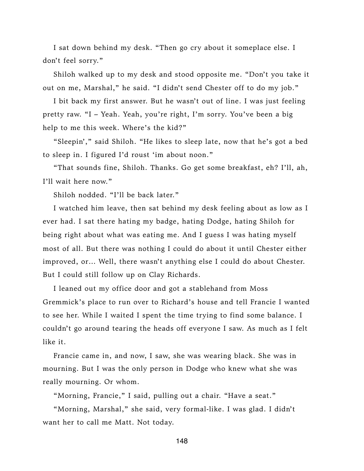I sat down behind my desk. "Then go cry about it someplace else. I don't feel sorry."

Shiloh walked up to my desk and stood opposite me. "Don't you take it out on me, Marshal," he said. "I didn't send Chester off to do my job."

I bit back my first answer. But he wasn't out of line. I was just feeling pretty raw. "I – Yeah. Yeah, you're right, I'm sorry. You've been a big help to me this week. Where's the kid?"

"Sleepin'," said Shiloh. "He likes to sleep late, now that he's got a bed to sleep in. I figured I'd roust 'im about noon."

"That sounds fine, Shiloh. Thanks. Go get some breakfast, eh? I'll, ah, I'll wait here now."

Shiloh nodded. "I'll be back later."

I watched him leave, then sat behind my desk feeling about as low as I ever had. I sat there hating my badge, hating Dodge, hating Shiloh for being right about what was eating me. And I guess I was hating myself most of all. But there was nothing I could do about it until Chester either improved, or… Well, there wasn't anything else I could do about Chester. But I could still follow up on Clay Richards.

I leaned out my office door and got a stablehand from Moss Gremmick's place to run over to Richard's house and tell Francie I wanted to see her. While I waited I spent the time trying to find some balance. I couldn't go around tearing the heads off everyone I saw. As much as I felt like it.

Francie came in, and now, I saw, she was wearing black. She was in mourning. But I was the only person in Dodge who knew what she was really mourning. Or whom.

"Morning, Francie," I said, pulling out a chair. "Have a seat."

"Morning, Marshal," she said, very formal-like. I was glad. I didn't want her to call me Matt. Not today.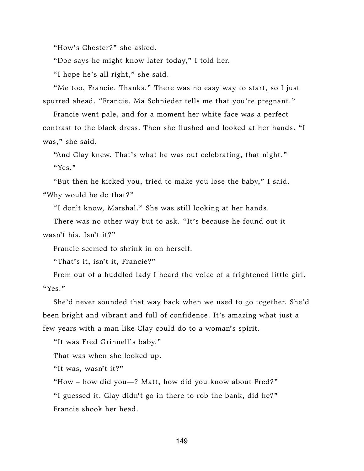"How's Chester?" she asked.

"Doc says he might know later today," I told her.

"I hope he's all right," she said.

"Me too, Francie. Thanks." There was no easy way to start, so I just spurred ahead. "Francie, Ma Schnieder tells me that you're pregnant."

Francie went pale, and for a moment her white face was a perfect contrast to the black dress. Then she flushed and looked at her hands. "I was," she said.

"And Clay knew. That's what he was out celebrating, that night." "Yes."

"But then he kicked you, tried to make you lose the baby," I said. "Why would he do that?"

"I don't know, Marshal." She was still looking at her hands.

There was no other way but to ask. "It's because he found out it wasn't his. Isn't it?"

Francie seemed to shrink in on herself.

"That's it, isn't it, Francie?"

From out of a huddled lady I heard the voice of a frightened little girl. "Yes."

She'd never sounded that way back when we used to go together. She'd been bright and vibrant and full of confidence. It's amazing what just a few years with a man like Clay could do to a woman's spirit.

"It was Fred Grinnell's baby."

That was when she looked up.

"It was, wasn't it?"

"How – how did you—? Matt, how did you know about Fred?"

"I guessed it. Clay didn't go in there to rob the bank, did he?" Francie shook her head.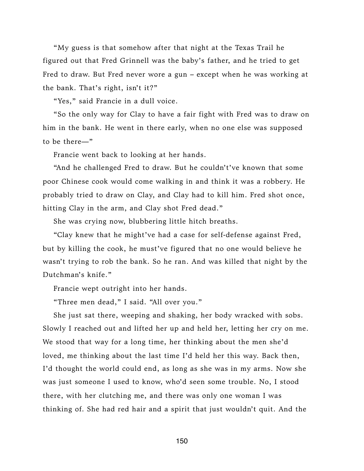"My guess is that somehow after that night at the Texas Trail he figured out that Fred Grinnell was the baby's father, and he tried to get Fred to draw. But Fred never wore a gun – except when he was working at the bank. That's right, isn't it?"

"Yes," said Francie in a dull voice.

"So the only way for Clay to have a fair fight with Fred was to draw on him in the bank. He went in there early, when no one else was supposed to be there—"

Francie went back to looking at her hands.

"And he challenged Fred to draw. But he couldn't've known that some poor Chinese cook would come walking in and think it was a robbery. He probably tried to draw on Clay, and Clay had to kill him. Fred shot once, hitting Clay in the arm, and Clay shot Fred dead."

She was crying now, blubbering little hitch breaths.

"Clay knew that he might've had a case for self-defense against Fred, but by killing the cook, he must've figured that no one would believe he wasn't trying to rob the bank. So he ran. And was killed that night by the Dutchman's knife."

Francie wept outright into her hands.

"Three men dead," I said. "All over you."

She just sat there, weeping and shaking, her body wracked with sobs. Slowly I reached out and lifted her up and held her, letting her cry on me. We stood that way for a long time, her thinking about the men she'd loved, me thinking about the last time I'd held her this way. Back then, I'd thought the world could end, as long as she was in my arms. Now she was just someone I used to know, who'd seen some trouble. No, I stood there, with her clutching me, and there was only one woman I was thinking of. She had red hair and a spirit that just wouldn't quit. And the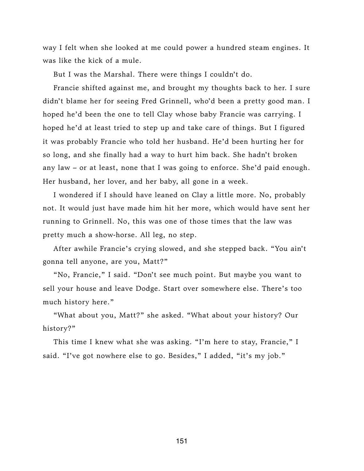way I felt when she looked at me could power a hundred steam engines. It was like the kick of a mule.

But I was the Marshal. There were things I couldn't do.

Francie shifted against me, and brought my thoughts back to her. I sure didn't blame her for seeing Fred Grinnell, who'd been a pretty good man. I hoped he'd been the one to tell Clay whose baby Francie was carrying. I hoped he'd at least tried to step up and take care of things. But I figured it was probably Francie who told her husband. He'd been hurting her for so long, and she finally had a way to hurt him back. She hadn't broken any law – or at least, none that I was going to enforce. She'd paid enough. Her husband, her lover, and her baby, all gone in a week.

I wondered if I should have leaned on Clay a little more. No, probably not. It would just have made him hit her more, which would have sent her running to Grinnell. No, this was one of those times that the law was pretty much a show-horse. All leg, no step.

After awhile Francie's crying slowed, and she stepped back. "You ain't gonna tell anyone, are you, Matt?"

"No, Francie," I said. "Don't see much point. But maybe you want to sell your house and leave Dodge. Start over somewhere else. There's too much history here."

"What about you, Matt?" she asked. "What about your history? Our history?"

This time I knew what she was asking. "I'm here to stay, Francie," I said. "I've got nowhere else to go. Besides," I added, "it's my job."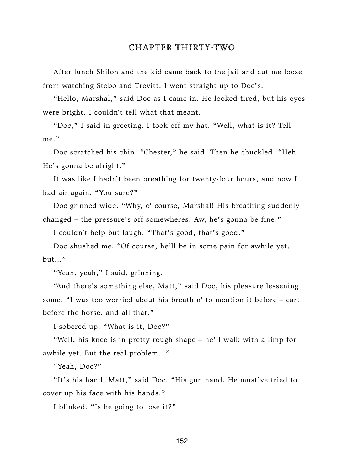#### Chapter Thirty-Two

After lunch Shiloh and the kid came back to the jail and cut me loose from watching Stobo and Trevitt. I went straight up to Doc's.

"Hello, Marshal," said Doc as I came in. He looked tired, but his eyes were bright. I couldn't tell what that meant.

"Doc," I said in greeting. I took off my hat. "Well, what is it? Tell me."

Doc scratched his chin. "Chester," he said. Then he chuckled. "Heh. He's gonna be alright."

It was like I hadn't been breathing for twenty-four hours, and now I had air again. "You sure?"

Doc grinned wide. "Why, o' course, Marshal! His breathing suddenly changed – the pressure's off somewheres. Aw, he's gonna be fine."

I couldn't help but laugh. "That's good, that's good."

Doc shushed me. "Of course, he'll be in some pain for awhile yet, but…"

"Yeah, yeah," I said, grinning.

"And there's something else, Matt," said Doc, his pleasure lessening some. "I was too worried about his breathin' to mention it before – cart before the horse, and all that."

I sobered up. "What is it, Doc?"

"Well, his knee is in pretty rough shape – he'll walk with a limp for awhile yet. But the real problem…"

"Yeah, Doc?"

"It's his hand, Matt," said Doc. "His gun hand. He must've tried to cover up his face with his hands."

I blinked. "Is he going to lose it?"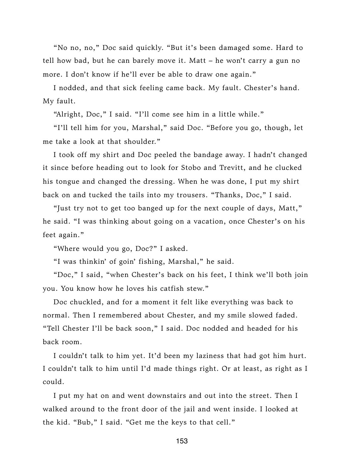"No no, no," Doc said quickly. "But it's been damaged some. Hard to tell how bad, but he can barely move it. Matt – he won't carry a gun no more. I don't know if he'll ever be able to draw one again."

I nodded, and that sick feeling came back. My fault. Chester's hand. My fault.

"Alright, Doc," I said. "I'll come see him in a little while."

"I'll tell him for you, Marshal," said Doc. "Before you go, though, let me take a look at that shoulder."

I took off my shirt and Doc peeled the bandage away. I hadn't changed it since before heading out to look for Stobo and Trevitt, and he clucked his tongue and changed the dressing. When he was done, I put my shirt back on and tucked the tails into my trousers. "Thanks, Doc," I said.

"Just try not to get too banged up for the next couple of days, Matt," he said. "I was thinking about going on a vacation, once Chester's on his feet again."

"Where would you go, Doc?" I asked.

"I was thinkin' of goin' fishing, Marshal," he said.

"Doc," I said, "when Chester's back on his feet, I think we'll both join you. You know how he loves his catfish stew."

Doc chuckled, and for a moment it felt like everything was back to normal. Then I remembered about Chester, and my smile slowed faded. "Tell Chester I'll be back soon," I said. Doc nodded and headed for his back room.

I couldn't talk to him yet. It'd been my laziness that had got him hurt. I couldn't talk to him until I'd made things right. Or at least, as right as I could.

I put my hat on and went downstairs and out into the street. Then I walked around to the front door of the jail and went inside. I looked at the kid. "Bub," I said. "Get me the keys to that cell."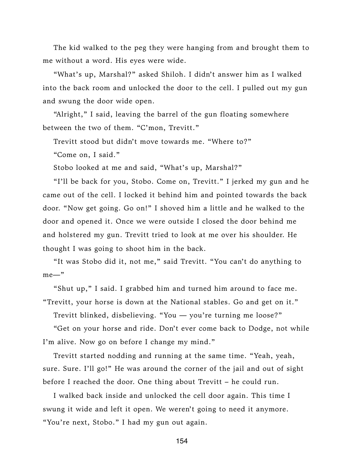The kid walked to the peg they were hanging from and brought them to me without a word. His eyes were wide.

"What's up, Marshal?" asked Shiloh. I didn't answer him as I walked into the back room and unlocked the door to the cell. I pulled out my gun and swung the door wide open.

"Alright," I said, leaving the barrel of the gun floating somewhere between the two of them. "C'mon, Trevitt."

Trevitt stood but didn't move towards me. "Where to?"

"Come on, I said."

Stobo looked at me and said, "What's up, Marshal?"

"I'll be back for you, Stobo. Come on, Trevitt." I jerked my gun and he came out of the cell. I locked it behind him and pointed towards the back door. "Now get going. Go on!" I shoved him a little and he walked to the door and opened it. Once we were outside I closed the door behind me and holstered my gun. Trevitt tried to look at me over his shoulder. He thought I was going to shoot him in the back.

"It was Stobo did it, not me," said Trevitt. "You can't do anything to me—"

"Shut up," I said. I grabbed him and turned him around to face me. "Trevitt, your horse is down at the National stables. Go and get on it."

Trevitt blinked, disbelieving. "You — you're turning me loose?"

"Get on your horse and ride. Don't ever come back to Dodge, not while I'm alive. Now go on before I change my mind."

Trevitt started nodding and running at the same time. "Yeah, yeah, sure. Sure. I'll go!" He was around the corner of the jail and out of sight before I reached the door. One thing about Trevitt – he could run.

I walked back inside and unlocked the cell door again. This time I swung it wide and left it open. We weren't going to need it anymore. "You're next, Stobo." I had my gun out again.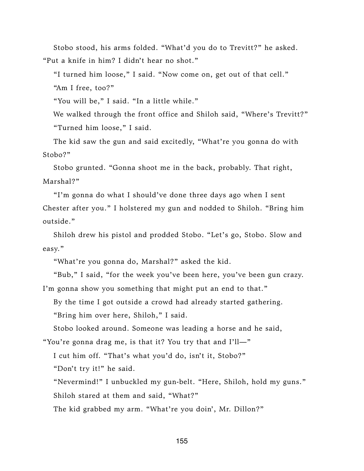Stobo stood, his arms folded. "What'd you do to Trevitt?" he asked. "Put a knife in him? I didn't hear no shot."

"I turned him loose," I said. "Now come on, get out of that cell."

"Am I free, too?"

"You will be," I said. "In a little while."

We walked through the front office and Shiloh said, "Where's Trevitt?" "Turned him loose," I said.

The kid saw the gun and said excitedly, "What're you gonna do with Stobo?"

Stobo grunted. "Gonna shoot me in the back, probably. That right, Marshal?"

"I'm gonna do what I should've done three days ago when I sent Chester after you." I holstered my gun and nodded to Shiloh. "Bring him outside."

Shiloh drew his pistol and prodded Stobo. "Let's go, Stobo. Slow and easy."

"What're you gonna do, Marshal?" asked the kid.

"Bub," I said, "for the week you've been here, you've been gun crazy. I'm gonna show you something that might put an end to that."

By the time I got outside a crowd had already started gathering.

"Bring him over here, Shiloh," I said.

Stobo looked around. Someone was leading a horse and he said,

"You're gonna drag me, is that it? You try that and I'll—"

I cut him off. "That's what you'd do, isn't it, Stobo?"

"Don't try it!" he said.

"Nevermind!" I unbuckled my gun-belt. "Here, Shiloh, hold my guns." Shiloh stared at them and said, "What?"

The kid grabbed my arm. "What're you doin', Mr. Dillon?"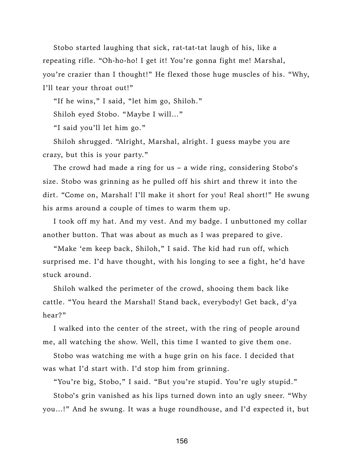Stobo started laughing that sick, rat-tat-tat laugh of his, like a repeating rifle. "Oh-ho-ho! I get it! You're gonna fight me! Marshal, you're crazier than I thought!" He flexed those huge muscles of his. "Why, I'll tear your throat out!"

"If he wins," I said, "let him go, Shiloh."

Shiloh eyed Stobo. "Maybe I will…"

"I said you'll let him go."

Shiloh shrugged. "Alright, Marshal, alright. I guess maybe you are crazy, but this is your party."

The crowd had made a ring for us – a wide ring, considering Stobo's size. Stobo was grinning as he pulled off his shirt and threw it into the dirt. "Come on, Marshal! I'll make it short for you! Real short!" He swung his arms around a couple of times to warm them up.

I took off my hat. And my vest. And my badge. I unbuttoned my collar another button. That was about as much as I was prepared to give.

"Make 'em keep back, Shiloh," I said. The kid had run off, which surprised me. I'd have thought, with his longing to see a fight, he'd have stuck around.

Shiloh walked the perimeter of the crowd, shooing them back like cattle. "You heard the Marshal! Stand back, everybody! Get back, d'ya hear?"

I walked into the center of the street, with the ring of people around me, all watching the show. Well, this time I wanted to give them one.

Stobo was watching me with a huge grin on his face. I decided that was what I'd start with. I'd stop him from grinning.

"You're big, Stobo," I said. "But you're stupid. You're ugly stupid."

Stobo's grin vanished as his lips turned down into an ugly sneer. "Why you…!" And he swung. It was a huge roundhouse, and I'd expected it, but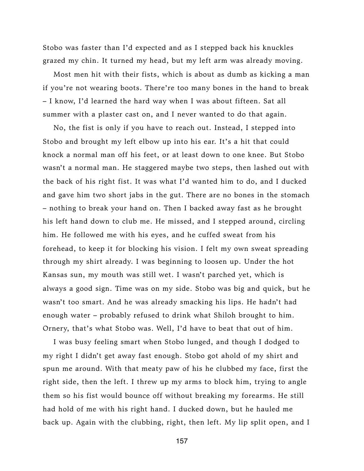Stobo was faster than I'd expected and as I stepped back his knuckles grazed my chin. It turned my head, but my left arm was already moving.

Most men hit with their fists, which is about as dumb as kicking a man if you're not wearing boots. There're too many bones in the hand to break – I know, I'd learned the hard way when I was about fifteen. Sat all summer with a plaster cast on, and I never wanted to do that again.

No, the fist is only if you have to reach out. Instead, I stepped into Stobo and brought my left elbow up into his ear. It's a hit that could knock a normal man off his feet, or at least down to one knee. But Stobo wasn't a normal man. He staggered maybe two steps, then lashed out with the back of his right fist. It was what I'd wanted him to do, and I ducked and gave him two short jabs in the gut. There are no bones in the stomach – nothing to break your hand on. Then I backed away fast as he brought his left hand down to club me. He missed, and I stepped around, circling him. He followed me with his eyes, and he cuffed sweat from his forehead, to keep it for blocking his vision. I felt my own sweat spreading through my shirt already. I was beginning to loosen up. Under the hot Kansas sun, my mouth was still wet. I wasn't parched yet, which is always a good sign. Time was on my side. Stobo was big and quick, but he wasn't too smart. And he was already smacking his lips. He hadn't had enough water – probably refused to drink what Shiloh brought to him. Ornery, that's what Stobo was. Well, I'd have to beat that out of him.

I was busy feeling smart when Stobo lunged, and though I dodged to my right I didn't get away fast enough. Stobo got ahold of my shirt and spun me around. With that meaty paw of his he clubbed my face, first the right side, then the left. I threw up my arms to block him, trying to angle them so his fist would bounce off without breaking my forearms. He still had hold of me with his right hand. I ducked down, but he hauled me back up. Again with the clubbing, right, then left. My lip split open, and I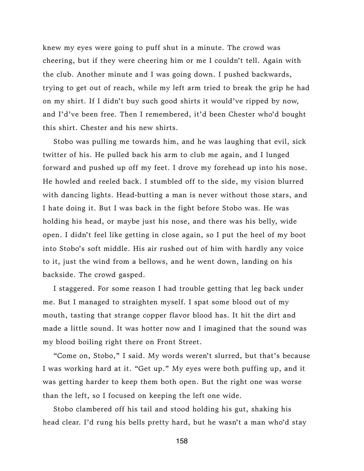knew my eyes were going to puff shut in a minute. The crowd was cheering, but if they were cheering him or me I couldn't tell. Again with the club. Another minute and I was going down. I pushed backwards, trying to get out of reach, while my left arm tried to break the grip he had on my shirt. If I didn't buy such good shirts it would've ripped by now, and I'd've been free. Then I remembered, it'd been Chester who'd bought this shirt. Chester and his new shirts.

Stobo was pulling me towards him, and he was laughing that evil, sick twitter of his. He pulled back his arm to club me again, and I lunged forward and pushed up off my feet. I drove my forehead up into his nose. He howled and reeled back. I stumbled off to the side, my vision blurred with dancing lights. Head-butting a man is never without those stars, and I hate doing it. But I was back in the fight before Stobo was. He was holding his head, or maybe just his nose, and there was his belly, wide open. I didn't feel like getting in close again, so I put the heel of my boot into Stobo's soft middle. His air rushed out of him with hardly any voice to it, just the wind from a bellows, and he went down, landing on his backside. The crowd gasped.

I staggered. For some reason I had trouble getting that leg back under me. But I managed to straighten myself. I spat some blood out of my mouth, tasting that strange copper flavor blood has. It hit the dirt and made a little sound. It was hotter now and I imagined that the sound was my blood boiling right there on Front Street.

"Come on, Stobo," I said. My words weren't slurred, but that's because I was working hard at it. "Get up." My eyes were both puffing up, and it was getting harder to keep them both open. But the right one was worse than the left, so I focused on keeping the left one wide.

Stobo clambered off his tail and stood holding his gut, shaking his head clear. I'd rung his bells pretty hard, but he wasn't a man who'd stay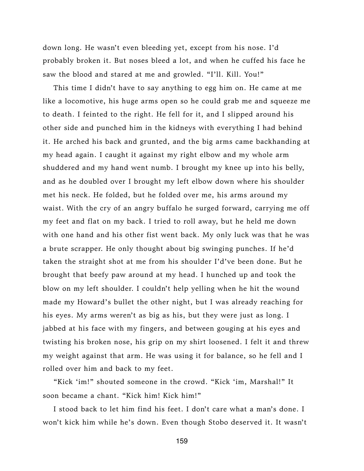down long. He wasn't even bleeding yet, except from his nose. I'd probably broken it. But noses bleed a lot, and when he cuffed his face he saw the blood and stared at me and growled. "I'll. Kill. You!"

This time I didn't have to say anything to egg him on. He came at me like a locomotive, his huge arms open so he could grab me and squeeze me to death. I feinted to the right. He fell for it, and I slipped around his other side and punched him in the kidneys with everything I had behind it. He arched his back and grunted, and the big arms came backhanding at my head again. I caught it against my right elbow and my whole arm shuddered and my hand went numb. I brought my knee up into his belly, and as he doubled over I brought my left elbow down where his shoulder met his neck. He folded, but he folded over me, his arms around my waist. With the cry of an angry buffalo he surged forward, carrying me off my feet and flat on my back. I tried to roll away, but he held me down with one hand and his other fist went back. My only luck was that he was a brute scrapper. He only thought about big swinging punches. If he'd taken the straight shot at me from his shoulder I'd've been done. But he brought that beefy paw around at my head. I hunched up and took the blow on my left shoulder. I couldn't help yelling when he hit the wound made my Howard's bullet the other night, but I was already reaching for his eyes. My arms weren't as big as his, but they were just as long. I jabbed at his face with my fingers, and between gouging at his eyes and twisting his broken nose, his grip on my shirt loosened. I felt it and threw my weight against that arm. He was using it for balance, so he fell and I rolled over him and back to my feet.

"Kick 'im!" shouted someone in the crowd. "Kick 'im, Marshal!" It soon became a chant. "Kick him! Kick him!"

I stood back to let him find his feet. I don't care what a man's done. I won't kick him while he's down. Even though Stobo deserved it. It wasn't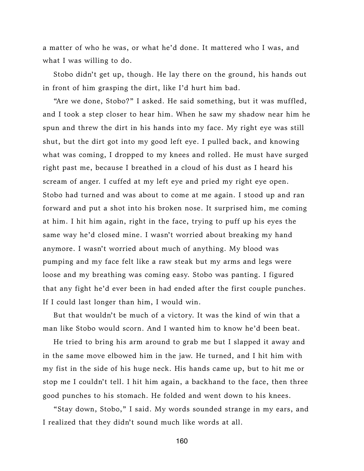a matter of who he was, or what he'd done. It mattered who I was, and what I was willing to do.

Stobo didn't get up, though. He lay there on the ground, his hands out in front of him grasping the dirt, like I'd hurt him bad.

"Are we done, Stobo?" I asked. He said something, but it was muffled, and I took a step closer to hear him. When he saw my shadow near him he spun and threw the dirt in his hands into my face. My right eye was still shut, but the dirt got into my good left eye. I pulled back, and knowing what was coming, I dropped to my knees and rolled. He must have surged right past me, because I breathed in a cloud of his dust as I heard his scream of anger. I cuffed at my left eye and pried my right eye open. Stobo had turned and was about to come at me again. I stood up and ran forward and put a shot into his broken nose. It surprised him, me coming at him. I hit him again, right in the face, trying to puff up his eyes the same way he'd closed mine. I wasn't worried about breaking my hand anymore. I wasn't worried about much of anything. My blood was pumping and my face felt like a raw steak but my arms and legs were loose and my breathing was coming easy. Stobo was panting. I figured that any fight he'd ever been in had ended after the first couple punches. If I could last longer than him, I would win.

But that wouldn't be much of a victory. It was the kind of win that a man like Stobo would scorn. And I wanted him to know he'd been beat.

He tried to bring his arm around to grab me but I slapped it away and in the same move elbowed him in the jaw. He turned, and I hit him with my fist in the side of his huge neck. His hands came up, but to hit me or stop me I couldn't tell. I hit him again, a backhand to the face, then three good punches to his stomach. He folded and went down to his knees.

"Stay down, Stobo," I said. My words sounded strange in my ears, and I realized that they didn't sound much like words at all.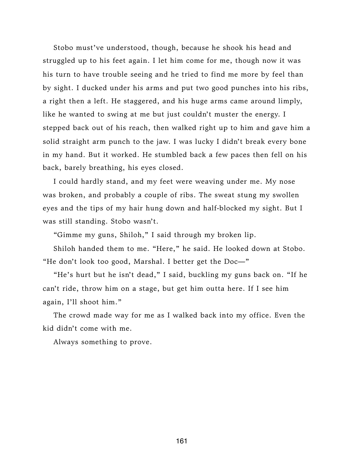Stobo must've understood, though, because he shook his head and struggled up to his feet again. I let him come for me, though now it was his turn to have trouble seeing and he tried to find me more by feel than by sight. I ducked under his arms and put two good punches into his ribs, a right then a left. He staggered, and his huge arms came around limply, like he wanted to swing at me but just couldn't muster the energy. I stepped back out of his reach, then walked right up to him and gave him a solid straight arm punch to the jaw. I was lucky I didn't break every bone in my hand. But it worked. He stumbled back a few paces then fell on his back, barely breathing, his eyes closed.

I could hardly stand, and my feet were weaving under me. My nose was broken, and probably a couple of ribs. The sweat stung my swollen eyes and the tips of my hair hung down and half-blocked my sight. But I was still standing. Stobo wasn't.

"Gimme my guns, Shiloh," I said through my broken lip.

Shiloh handed them to me. "Here," he said. He looked down at Stobo. "He don't look too good, Marshal. I better get the Doc—"

"He's hurt but he isn't dead," I said, buckling my guns back on. "If he can't ride, throw him on a stage, but get him outta here. If I see him again, I'll shoot him."

The crowd made way for me as I walked back into my office. Even the kid didn't come with me.

Always something to prove.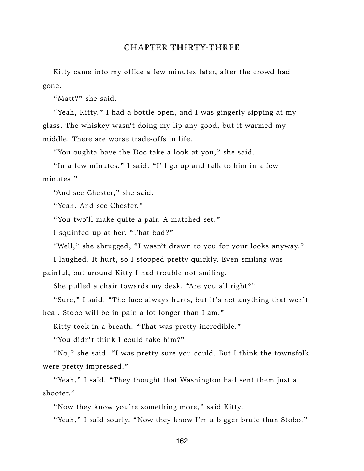#### Chapter Thirty-Three

Kitty came into my office a few minutes later, after the crowd had gone.

"Matt?" she said.

"Yeah, Kitty." I had a bottle open, and I was gingerly sipping at my glass. The whiskey wasn't doing my lip any good, but it warmed my middle. There are worse trade-offs in life.

"You oughta have the Doc take a look at you," she said.

"In a few minutes," I said. "I'll go up and talk to him in a few minutes."

"And see Chester," she said.

"Yeah. And see Chester."

"You two'll make quite a pair. A matched set."

I squinted up at her. "That bad?"

"Well," she shrugged, "I wasn't drawn to you for your looks anyway."

I laughed. It hurt, so I stopped pretty quickly. Even smiling was

painful, but around Kitty I had trouble not smiling.

She pulled a chair towards my desk. "Are you all right?"

"Sure," I said. "The face always hurts, but it's not anything that won't

heal. Stobo will be in pain a lot longer than I am."

Kitty took in a breath. "That was pretty incredible."

"You didn't think I could take him?"

"No," she said. "I was pretty sure you could. But I think the townsfolk were pretty impressed."

"Yeah," I said. "They thought that Washington had sent them just a shooter."

"Now they know you're something more," said Kitty.

"Yeah," I said sourly. "Now they know I'm a bigger brute than Stobo."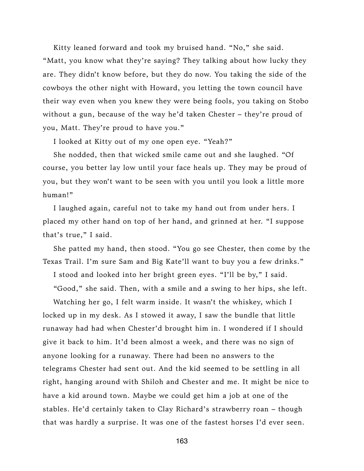Kitty leaned forward and took my bruised hand. "No," she said. "Matt, you know what they're saying? They talking about how lucky they are. They didn't know before, but they do now. You taking the side of the cowboys the other night with Howard, you letting the town council have their way even when you knew they were being fools, you taking on Stobo without a gun, because of the way he'd taken Chester – they're proud of you, Matt. They're proud to have you."

I looked at Kitty out of my one open eye. "Yeah?"

She nodded, then that wicked smile came out and she laughed. "Of course, you better lay low until your face heals up. They may be proud of you, but they won't want to be seen with you until you look a little more human!"

I laughed again, careful not to take my hand out from under hers. I placed my other hand on top of her hand, and grinned at her. "I suppose that's true," I said.

She patted my hand, then stood. "You go see Chester, then come by the Texas Trail. I'm sure Sam and Big Kate'll want to buy you a few drinks."

I stood and looked into her bright green eyes. "I'll be by," I said.

"Good," she said. Then, with a smile and a swing to her hips, she left. Watching her go, I felt warm inside. It wasn't the whiskey, which I locked up in my desk. As I stowed it away, I saw the bundle that little runaway had had when Chester'd brought him in. I wondered if I should give it back to him. It'd been almost a week, and there was no sign of anyone looking for a runaway. There had been no answers to the telegrams Chester had sent out. And the kid seemed to be settling in all right, hanging around with Shiloh and Chester and me. It might be nice to have a kid around town. Maybe we could get him a job at one of the stables. He'd certainly taken to Clay Richard's strawberry roan – though that was hardly a surprise. It was one of the fastest horses I'd ever seen.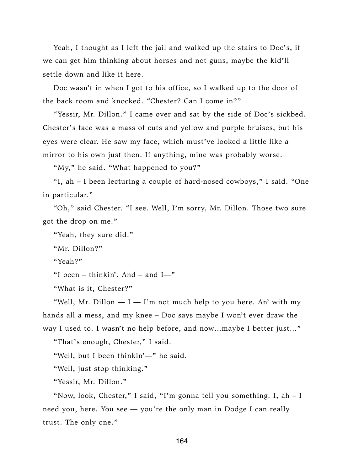Yeah, I thought as I left the jail and walked up the stairs to Doc's, if we can get him thinking about horses and not guns, maybe the kid'll settle down and like it here.

Doc wasn't in when I got to his office, so I walked up to the door of the back room and knocked. "Chester? Can I come in?"

"Yessir, Mr. Dillon." I came over and sat by the side of Doc's sickbed. Chester's face was a mass of cuts and yellow and purple bruises, but his eyes were clear. He saw my face, which must've looked a little like a mirror to his own just then. If anything, mine was probably worse.

"My," he said. "What happened to you?"

"I, ah – I been lecturing a couple of hard-nosed cowboys," I said. "One in particular."

"Oh," said Chester. "I see. Well, I'm sorry, Mr. Dillon. Those two sure got the drop on me."

"Yeah, they sure did."

"Mr. Dillon?"

"Yeah?"

"I been – thinkin'. And – and I—"

"What is it, Chester?"

"Well, Mr. Dillon  $- I - I$ 'm not much help to you here. An' with my hands all a mess, and my knee – Doc says maybe I won't ever draw the way I used to. I wasn't no help before, and now…maybe I better just…"

"That's enough, Chester," I said.

"Well, but I been thinkin'—" he said.

"Well, just stop thinking."

"Yessir, Mr. Dillon."

"Now, look, Chester," I said, "I'm gonna tell you something. I, ah – I need you, here. You see — you're the only man in Dodge I can really trust. The only one."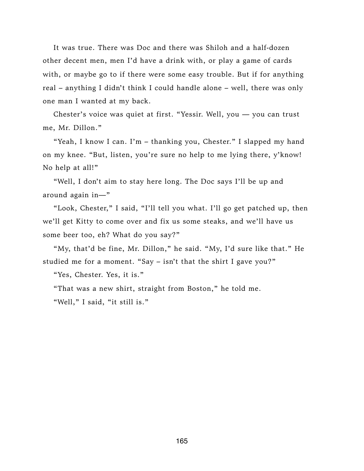It was true. There was Doc and there was Shiloh and a half-dozen other decent men, men I'd have a drink with, or play a game of cards with, or maybe go to if there were some easy trouble. But if for anything real – anything I didn't think I could handle alone – well, there was only one man I wanted at my back.

Chester's voice was quiet at first. "Yessir. Well, you — you can trust me, Mr. Dillon."

"Yeah, I know I can. I'm – thanking you, Chester." I slapped my hand on my knee. "But, listen, you're sure no help to me lying there, y'know! No help at all!"

"Well, I don't aim to stay here long. The Doc says I'll be up and around again in—"

"Look, Chester," I said, "I'll tell you what. I'll go get patched up, then we'll get Kitty to come over and fix us some steaks, and we'll have us some beer too, eh? What do you say?"

"My, that'd be fine, Mr. Dillon," he said. "My, I'd sure like that." He studied me for a moment. "Say – isn't that the shirt I gave you?"

"Yes, Chester. Yes, it is."

"That was a new shirt, straight from Boston," he told me. "Well," I said, "it still is."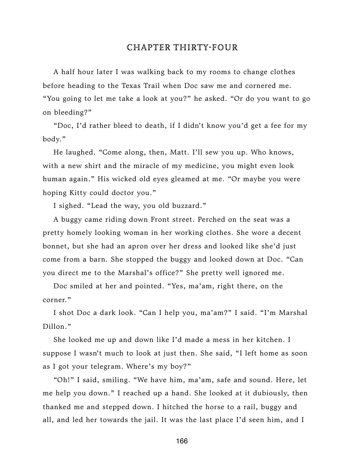#### Chapter Thirty-Four

A half hour later I was walking back to my rooms to change clothes before heading to the Texas Trail when Doc saw me and cornered me. "You going to let me take a look at you?" he asked. "Or do you want to go on bleeding?"

"Doc, I'd rather bleed to death, if I didn't know you'd get a fee for my body."

He laughed. "Come along, then, Matt. I'll sew you up. Who knows, with a new shirt and the miracle of my medicine, you might even look human again." His wicked old eyes gleamed at me. "Or maybe you were hoping Kitty could doctor you."

I sighed. "Lead the way, you old buzzard."

A buggy came riding down Front street. Perched on the seat was a pretty homely looking woman in her working clothes. She wore a decent bonnet, but she had an apron over her dress and looked like she'd just come from a barn. She stopped the buggy and looked down at Doc. "Can you direct me to the Marshal's office?" She pretty well ignored me.

Doc smiled at her and pointed. "Yes, ma'am, right there, on the corner."

I shot Doc a dark look. "Can I help you, ma'am?" I said. "I'm Marshal Dillon."

She looked me up and down like I'd made a mess in her kitchen. I suppose I wasn't much to look at just then. She said, "I left home as soon as I got your telegram. Where's my boy?"

"Oh!" I said, smiling. "We have him, ma'am, safe and sound. Here, let me help you down." I reached up a hand. She looked at it dubiously, then thanked me and stepped down. I hitched the horse to a rail, buggy and all, and led her towards the jail. It was the last place I'd seen him, and I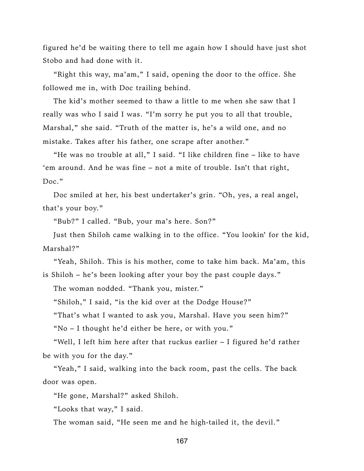figured he'd be waiting there to tell me again how I should have just shot Stobo and had done with it.

"Right this way, ma'am," I said, opening the door to the office. She followed me in, with Doc trailing behind.

The kid's mother seemed to thaw a little to me when she saw that I really was who I said I was. "I'm sorry he put you to all that trouble, Marshal," she said. "Truth of the matter is, he's a wild one, and no mistake. Takes after his father, one scrape after another."

"He was no trouble at all," I said. "I like children fine – like to have 'em around. And he was fine – not a mite of trouble. Isn't that right, Doc."

Doc smiled at her, his best undertaker's grin. "Oh, yes, a real angel, that's your boy."

"Bub?" I called. "Bub, your ma's here. Son?"

Just then Shiloh came walking in to the office. "You lookin' for the kid, Marshal?"

"Yeah, Shiloh. This is his mother, come to take him back. Ma'am, this is Shiloh – he's been looking after your boy the past couple days."

The woman nodded. "Thank you, mister."

"Shiloh," I said, "is the kid over at the Dodge House?"

"That's what I wanted to ask you, Marshal. Have you seen him?"

"No – I thought he'd either be here, or with you."

"Well, I left him here after that ruckus earlier – I figured he'd rather be with you for the day."

"Yeah," I said, walking into the back room, past the cells. The back door was open.

"He gone, Marshal?" asked Shiloh.

"Looks that way," I said.

The woman said, "He seen me and he high-tailed it, the devil."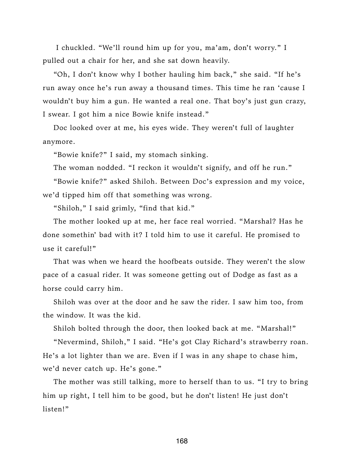I chuckled. "We'll round him up for you, ma'am, don't worry." I pulled out a chair for her, and she sat down heavily.

"Oh, I don't know why I bother hauling him back," she said. "If he's run away once he's run away a thousand times. This time he ran 'cause I wouldn't buy him a gun. He wanted a real one. That boy's just gun crazy, I swear. I got him a nice Bowie knife instead."

Doc looked over at me, his eyes wide. They weren't full of laughter anymore.

"Bowie knife?" I said, my stomach sinking.

The woman nodded. "I reckon it wouldn't signify, and off he run."

"Bowie knife?" asked Shiloh. Between Doc's expression and my voice, we'd tipped him off that something was wrong.

"Shiloh," I said grimly, "find that kid."

The mother looked up at me, her face real worried. "Marshal? Has he done somethin' bad with it? I told him to use it careful. He promised to use it careful!"

That was when we heard the hoofbeats outside. They weren't the slow pace of a casual rider. It was someone getting out of Dodge as fast as a horse could carry him.

Shiloh was over at the door and he saw the rider. I saw him too, from the window. It was the kid.

Shiloh bolted through the door, then looked back at me. "Marshal!"

"Nevermind, Shiloh," I said. "He's got Clay Richard's strawberry roan. He's a lot lighter than we are. Even if I was in any shape to chase him, we'd never catch up. He's gone."

The mother was still talking, more to herself than to us. "I try to bring him up right, I tell him to be good, but he don't listen! He just don't listen!"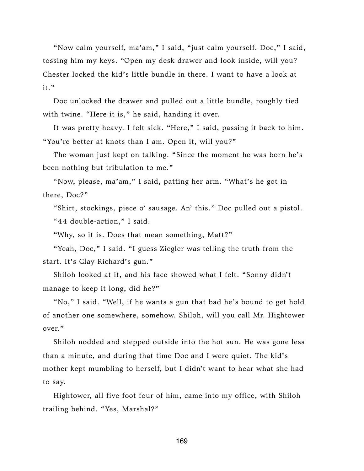"Now calm yourself, ma'am," I said, "just calm yourself. Doc," I said, tossing him my keys. "Open my desk drawer and look inside, will you? Chester locked the kid's little bundle in there. I want to have a look at it."

Doc unlocked the drawer and pulled out a little bundle, roughly tied with twine. "Here it is," he said, handing it over.

It was pretty heavy. I felt sick. "Here," I said, passing it back to him. "You're better at knots than I am. Open it, will you?"

The woman just kept on talking. "Since the moment he was born he's been nothing but tribulation to me."

"Now, please, ma'am," I said, patting her arm. "What's he got in there, Doc?"

"Shirt, stockings, piece o' sausage. An' this." Doc pulled out a pistol. "44 double-action," I said.

"Why, so it is. Does that mean something, Matt?"

"Yeah, Doc," I said. "I guess Ziegler was telling the truth from the start. It's Clay Richard's gun."

Shiloh looked at it, and his face showed what I felt. "Sonny didn't manage to keep it long, did he?"

"No," I said. "Well, if he wants a gun that bad he's bound to get hold of another one somewhere, somehow. Shiloh, will you call Mr. Hightower over."

Shiloh nodded and stepped outside into the hot sun. He was gone less than a minute, and during that time Doc and I were quiet. The kid's mother kept mumbling to herself, but I didn't want to hear what she had to say.

Hightower, all five foot four of him, came into my office, with Shiloh trailing behind. "Yes, Marshal?"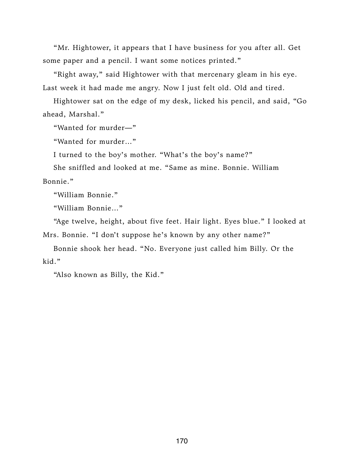"Mr. Hightower, it appears that I have business for you after all. Get some paper and a pencil. I want some notices printed."

"Right away," said Hightower with that mercenary gleam in his eye. Last week it had made me angry. Now I just felt old. Old and tired.

Hightower sat on the edge of my desk, licked his pencil, and said, "Go ahead, Marshal."

"Wanted for murder—"

"Wanted for murder…"

I turned to the boy's mother. "What's the boy's name?"

She sniffled and looked at me. "Same as mine. Bonnie. William Bonnie."

"William Bonnie."

"William Bonnie…"

"Age twelve, height, about five feet. Hair light. Eyes blue." I looked at Mrs. Bonnie. "I don't suppose he's known by any other name?"

Bonnie shook her head. "No. Everyone just called him Billy. Or the kid."

"Also known as Billy, the Kid."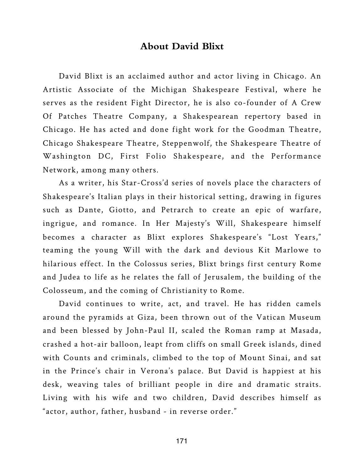### **About David Blixt**

David Blixt is an acclaimed author and actor living in Chicago. An Artistic Associate of the Michigan Shakespeare Festival, where he serves as the resident Fight Director, he is also co-founder of A Crew Of Patches Theatre Company, a Shakespearean repertory based in Chicago. He has acted and done fight work for the Goodman Theatre, Chicago Shakespeare Theatre, Steppenwolf, the Shakespeare Theatre of Washington DC, First Folio Shakespeare, and the Performance Network, among many others.

As a writer, his Star-Cross'd series of novels place the characters of Shakespeare's Italian plays in their historical setting, drawing in figures such as Dante, Giotto, and Petrarch to create an epic of warfare, ingrigue, and romance. In Her Majesty's Will, Shakespeare himself becomes a character as Blixt explores Shakespeare's "Lost Years," teaming the young Will with the dark and devious Kit Marlowe to hilarious effect. In the Colossus series, Blixt brings first century Rome and Judea to life as he relates the fall of Jerusalem, the building of the Colosseum, and the coming of Christianity to Rome.

David continues to write, act, and travel. He has ridden camels around the pyramids at Giza, been thrown out of the Vatican Museum and been blessed by John-Paul II, scaled the Roman ramp at Masada, crashed a hot-air balloon, leapt from cliffs on small Greek islands, dined with Counts and criminals, climbed to the top of Mount Sinai, and sat in the Prince's chair in Verona's palace. But David is happiest at his desk, weaving tales of brilliant people in dire and dramatic straits. Living with his wife and two children, David describes himself as "actor, author, father, husband - in reverse order."